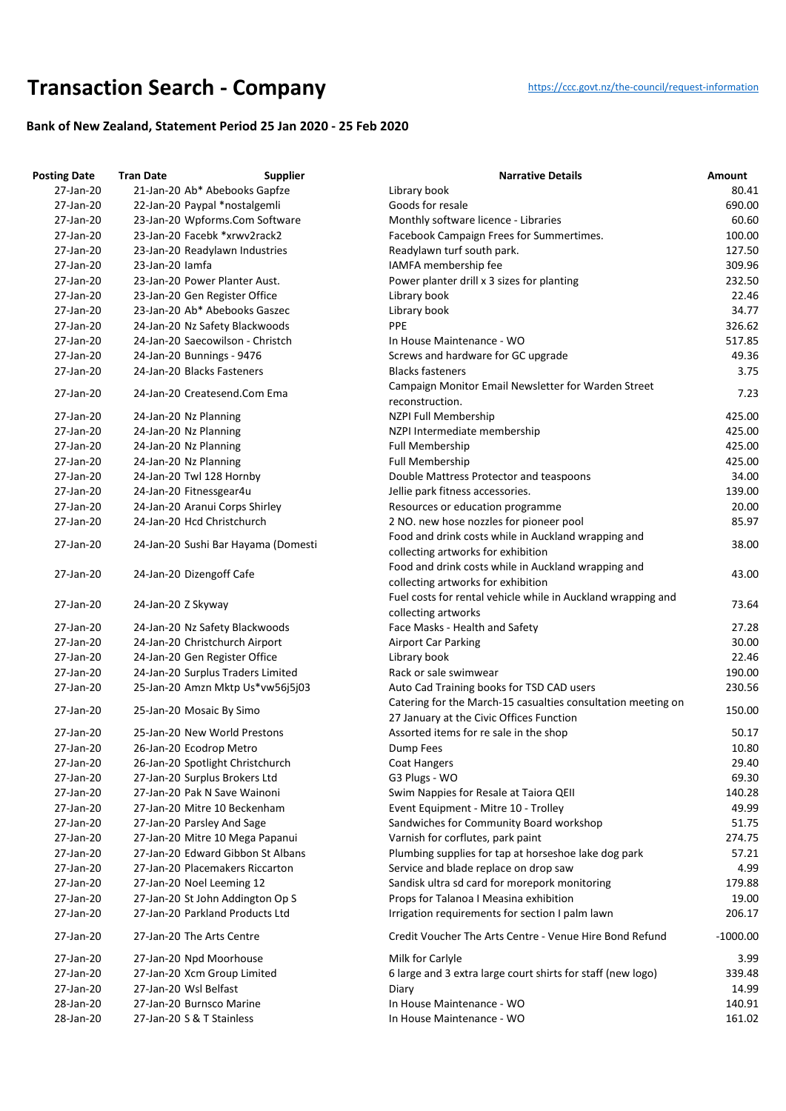## **Transaction Searc[h](https://ccc.govt.nz/the-council/request-information) - Company** https://ccc.govt.nz/the-council/request-information

## **Bank of New Zealand, Statement Period 25 Jan 2020 - 25 Feb 2020**

| <b>Posting Date</b> | <b>Tran Date</b>   | <b>Supplier</b>                     | <b>Narrative Details</b>                                                                  | <b>Amount</b> |
|---------------------|--------------------|-------------------------------------|-------------------------------------------------------------------------------------------|---------------|
| 27-Jan-20           |                    | 21-Jan-20 Ab* Abebooks Gapfze       | Library book                                                                              | 80.41         |
| 27-Jan-20           |                    | 22-Jan-20 Paypal *nostalgemli       | Goods for resale                                                                          | 690.00        |
| 27-Jan-20           |                    | 23-Jan-20 Wpforms.Com Software      | Monthly software licence - Libraries                                                      | 60.60         |
| 27-Jan-20           |                    | 23-Jan-20 Facebk *xrwv2rack2        | Facebook Campaign Frees for Summertimes.                                                  | 100.00        |
| 27-Jan-20           |                    | 23-Jan-20 Readylawn Industries      | Readylawn turf south park.                                                                | 127.50        |
| 27-Jan-20           | 23-Jan-20 lamfa    |                                     | IAMFA membership fee                                                                      | 309.96        |
| 27-Jan-20           |                    | 23-Jan-20 Power Planter Aust.       | Power planter drill x 3 sizes for planting                                                | 232.50        |
| 27-Jan-20           |                    | 23-Jan-20 Gen Register Office       | Library book                                                                              | 22.46         |
| 27-Jan-20           |                    | 23-Jan-20 Ab* Abebooks Gaszec       | Library book                                                                              | 34.77         |
| 27-Jan-20           |                    | 24-Jan-20 Nz Safety Blackwoods      | <b>PPE</b>                                                                                | 326.62        |
| 27-Jan-20           |                    | 24-Jan-20 Saecowilson - Christch    | In House Maintenance - WO                                                                 | 517.85        |
| 27-Jan-20           |                    | 24-Jan-20 Bunnings - 9476           | Screws and hardware for GC upgrade                                                        | 49.36         |
| 27-Jan-20           |                    | 24-Jan-20 Blacks Fasteners          | <b>Blacks fasteners</b>                                                                   | 3.75          |
| 27-Jan-20           |                    | 24-Jan-20 Createsend.Com Ema        | Campaign Monitor Email Newsletter for Warden Street                                       | 7.23          |
|                     |                    |                                     | reconstruction.                                                                           |               |
| 27-Jan-20           |                    | 24-Jan-20 Nz Planning               | NZPI Full Membership                                                                      | 425.00        |
| 27-Jan-20           |                    | 24-Jan-20 Nz Planning               | NZPI Intermediate membership                                                              | 425.00        |
| 27-Jan-20           |                    | 24-Jan-20 Nz Planning               | Full Membership                                                                           | 425.00        |
| 27-Jan-20           |                    | 24-Jan-20 Nz Planning               | <b>Full Membership</b>                                                                    | 425.00        |
| 27-Jan-20           |                    | 24-Jan-20 Twl 128 Hornby            | Double Mattress Protector and teaspoons                                                   | 34.00         |
| 27-Jan-20           |                    | 24-Jan-20 Fitnessgear4u             | Jellie park fitness accessories.                                                          | 139.00        |
| 27-Jan-20           |                    | 24-Jan-20 Aranui Corps Shirley      | Resources or education programme                                                          | 20.00         |
| 27-Jan-20           |                    | 24-Jan-20 Hcd Christchurch          | 2 NO. new hose nozzles for pioneer pool                                                   | 85.97         |
| 27-Jan-20           |                    | 24-Jan-20 Sushi Bar Hayama (Domesti | Food and drink costs while in Auckland wrapping and<br>collecting artworks for exhibition | 38.00         |
| 27-Jan-20           |                    | 24-Jan-20 Dizengoff Cafe            | Food and drink costs while in Auckland wrapping and<br>collecting artworks for exhibition | 43.00         |
| 27-Jan-20           | 24-Jan-20 Z Skyway |                                     | Fuel costs for rental vehicle while in Auckland wrapping and<br>collecting artworks       | 73.64         |
| 27-Jan-20           |                    | 24-Jan-20 Nz Safety Blackwoods      | Face Masks - Health and Safety                                                            | 27.28         |
| 27-Jan-20           |                    | 24-Jan-20 Christchurch Airport      | <b>Airport Car Parking</b>                                                                | 30.00         |
| 27-Jan-20           |                    | 24-Jan-20 Gen Register Office       | Library book                                                                              | 22.46         |
| 27-Jan-20           |                    | 24-Jan-20 Surplus Traders Limited   | Rack or sale swimwear                                                                     | 190.00        |
| 27-Jan-20           |                    |                                     | Auto Cad Training books for TSD CAD users                                                 |               |
|                     |                    | 25-Jan-20 Amzn Mktp Us*vw56j5j03    |                                                                                           | 230.56        |
| 27-Jan-20           |                    | 25-Jan-20 Mosaic By Simo            | Catering for the March-15 casualties consultation meeting on                              | 150.00        |
|                     |                    |                                     | 27 January at the Civic Offices Function                                                  |               |
| 27-Jan-20           |                    | 25-Jan-20 New World Prestons        | Assorted items for re sale in the shop                                                    | 50.17         |
| 27-Jan-20           |                    | 26-Jan-20 Ecodrop Metro             | Dump Fees                                                                                 | 10.80         |
| 27-Jan-20           |                    | 26-Jan-20 Spotlight Christchurch    | Coat Hangers                                                                              | 29.40         |
| 27-Jan-20           |                    | 27-Jan-20 Surplus Brokers Ltd       | G3 Plugs - WO                                                                             | 69.30         |
| 27-Jan-20           |                    | 27-Jan-20 Pak N Save Wainoni        | Swim Nappies for Resale at Taiora QEII                                                    | 140.28        |
| 27-Jan-20           |                    | 27-Jan-20 Mitre 10 Beckenham        | Event Equipment - Mitre 10 - Trolley                                                      | 49.99         |
| 27-Jan-20           |                    | 27-Jan-20 Parsley And Sage          | Sandwiches for Community Board workshop                                                   | 51.75         |
| 27-Jan-20           |                    | 27-Jan-20 Mitre 10 Mega Papanui     | Varnish for corflutes, park paint                                                         | 274.75        |
| 27-Jan-20           |                    | 27-Jan-20 Edward Gibbon St Albans   | Plumbing supplies for tap at horseshoe lake dog park                                      | 57.21         |
| 27-Jan-20           |                    | 27-Jan-20 Placemakers Riccarton     | Service and blade replace on drop saw                                                     | 4.99          |
| 27-Jan-20           |                    | 27-Jan-20 Noel Leeming 12           | Sandisk ultra sd card for morepork monitoring                                             | 179.88        |
| 27-Jan-20           |                    | 27-Jan-20 St John Addington Op S    | Props for Talanoa I Measina exhibition                                                    | 19.00         |
| 27-Jan-20           |                    | 27-Jan-20 Parkland Products Ltd     | Irrigation requirements for section I palm lawn                                           | 206.17        |
| 27-Jan-20           |                    | 27-Jan-20 The Arts Centre           | Credit Voucher The Arts Centre - Venue Hire Bond Refund                                   | $-1000.00$    |
| 27-Jan-20           |                    | 27-Jan-20 Npd Moorhouse             | Milk for Carlyle                                                                          | 3.99          |
| 27-Jan-20           |                    | 27-Jan-20 Xcm Group Limited         | 6 large and 3 extra large court shirts for staff (new logo)                               | 339.48        |
| 27-Jan-20           |                    | 27-Jan-20 Wsl Belfast               | Diary                                                                                     | 14.99         |
| 28-Jan-20           |                    | 27-Jan-20 Burnsco Marine            | In House Maintenance - WO                                                                 | 140.91        |
| 28-Jan-20           |                    | 27-Jan-20 S & T Stainless           | In House Maintenance - WO                                                                 | 161.02        |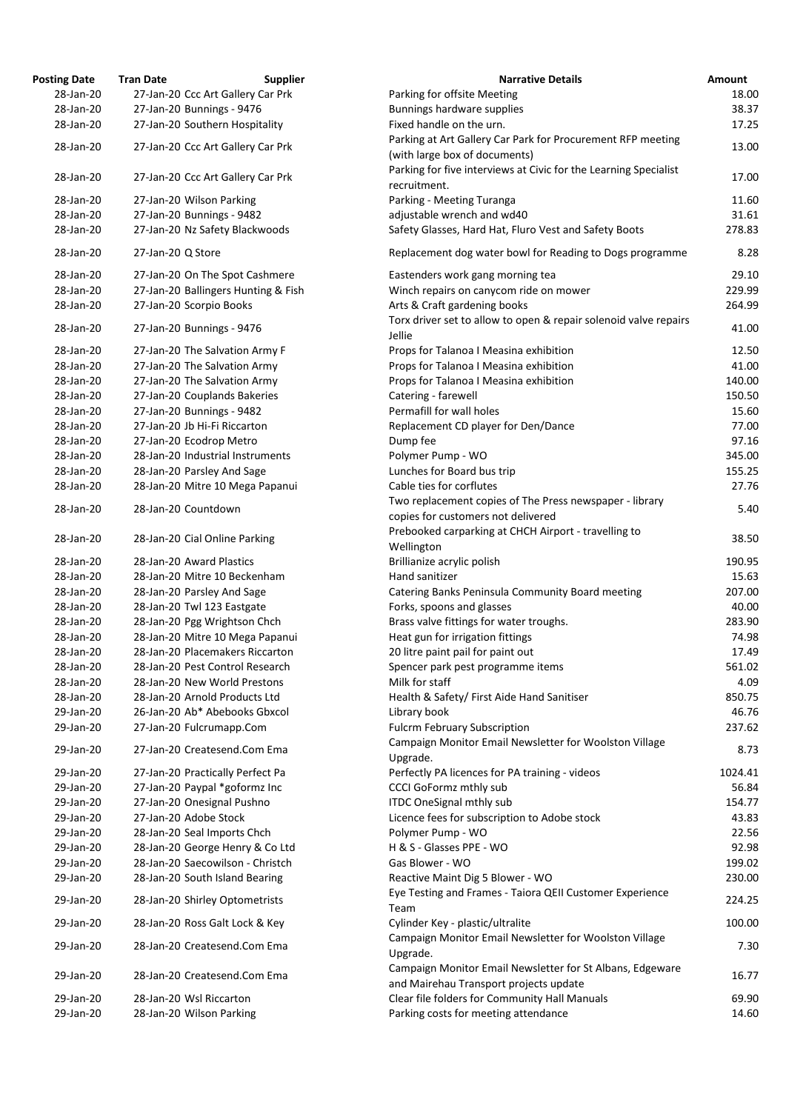| <b>Posting Date</b> | <b>Tran Date</b>                  | <b>Supplier</b>                     | <b>Narrative Details</b>                                                                        |
|---------------------|-----------------------------------|-------------------------------------|-------------------------------------------------------------------------------------------------|
| 28-Jan-20           | 27-Jan-20 Ccc Art Gallery Car Prk |                                     | Parking for offsite Meeting                                                                     |
| 28-Jan-20           | 27-Jan-20 Bunnings - 9476         |                                     | Bunnings hardware supplies                                                                      |
| 28-Jan-20           | 27-Jan-20 Southern Hospitality    |                                     | Fixed handle on the urn.                                                                        |
| 28-Jan-20           | 27-Jan-20 Ccc Art Gallery Car Prk |                                     | Parking at Art Gallery Car Park for Procurement RFP me<br>(with large box of documents)         |
| 28-Jan-20           | 27-Jan-20 Ccc Art Gallery Car Prk |                                     | Parking for five interviews at Civic for the Learning Spec<br>recruitment.                      |
| 28-Jan-20           | 27-Jan-20 Wilson Parking          |                                     | Parking - Meeting Turanga                                                                       |
| 28-Jan-20           | 27-Jan-20 Bunnings - 9482         |                                     | adjustable wrench and wd40                                                                      |
| 28-Jan-20           | 27-Jan-20 Nz Safety Blackwoods    |                                     | Safety Glasses, Hard Hat, Fluro Vest and Safety Boots                                           |
| 28-Jan-20           | 27-Jan-20 Q Store                 |                                     | Replacement dog water bowl for Reading to Dogs progr                                            |
| 28-Jan-20           | 27-Jan-20 On The Spot Cashmere    |                                     | Eastenders work gang morning tea                                                                |
| 28-Jan-20           |                                   | 27-Jan-20 Ballingers Hunting & Fish | Winch repairs on canycom ride on mower                                                          |
| 28-Jan-20           | 27-Jan-20 Scorpio Books           |                                     | Arts & Craft gardening books                                                                    |
| 28-Jan-20           | 27-Jan-20 Bunnings - 9476         |                                     | Torx driver set to allow to open & repair solenoid valve                                        |
|                     |                                   |                                     | Jellie                                                                                          |
| 28-Jan-20           | 27-Jan-20 The Salvation Army F    |                                     | Props for Talanoa I Measina exhibition                                                          |
| 28-Jan-20           | 27-Jan-20 The Salvation Army      |                                     | Props for Talanoa I Measina exhibition                                                          |
| 28-Jan-20           | 27-Jan-20 The Salvation Army      |                                     | Props for Talanoa I Measina exhibition                                                          |
| 28-Jan-20           | 27-Jan-20 Couplands Bakeries      |                                     | Catering - farewell                                                                             |
| 28-Jan-20           | 27-Jan-20 Bunnings - 9482         |                                     | Permafill for wall holes                                                                        |
| 28-Jan-20           | 27-Jan-20 Jb Hi-Fi Riccarton      |                                     | Replacement CD player for Den/Dance                                                             |
| 28-Jan-20           | 27-Jan-20 Ecodrop Metro           |                                     | Dump fee                                                                                        |
| 28-Jan-20           | 28-Jan-20 Industrial Instruments  |                                     | Polymer Pump - WO                                                                               |
| 28-Jan-20           | 28-Jan-20 Parsley And Sage        |                                     | Lunches for Board bus trip                                                                      |
| 28-Jan-20           | 28-Jan-20 Mitre 10 Mega Papanui   |                                     | Cable ties for corflutes                                                                        |
| 28-Jan-20           | 28-Jan-20 Countdown               |                                     | Two replacement copies of The Press newspaper - librar<br>copies for customers not delivered    |
| 28-Jan-20           | 28-Jan-20 Cial Online Parking     |                                     | Prebooked carparking at CHCH Airport - travelling to                                            |
|                     |                                   |                                     | Wellington                                                                                      |
| 28-Jan-20           | 28-Jan-20 Award Plastics          |                                     | Brillianize acrylic polish                                                                      |
| 28-Jan-20           | 28-Jan-20 Mitre 10 Beckenham      |                                     | Hand sanitizer                                                                                  |
| 28-Jan-20           | 28-Jan-20 Parsley And Sage        |                                     | Catering Banks Peninsula Community Board meeting                                                |
| 28-Jan-20           | 28-Jan-20 Twl 123 Eastgate        |                                     | Forks, spoons and glasses                                                                       |
| 28-Jan-20           | 28-Jan-20 Pgg Wrightson Chch      |                                     | Brass valve fittings for water troughs.                                                         |
| 28-Jan-20           | 28-Jan-20 Mitre 10 Mega Papanui   |                                     | Heat gun for irrigation fittings                                                                |
| 28-Jan-20           | 28-Jan-20 Placemakers Riccarton   |                                     | 20 litre paint pail for paint out                                                               |
| 28-Jan-20           | 28-Jan-20 Pest Control Research   |                                     | Spencer park pest programme items                                                               |
| 28-Jan-20           | 28-Jan-20 New World Prestons      |                                     | Milk for staff                                                                                  |
| 28-Jan-20           | 28-Jan-20 Arnold Products Ltd     |                                     | Health & Safety/ First Aide Hand Sanitiser                                                      |
| 29-Jan-20           | 26-Jan-20 Ab* Abebooks Gbxcol     |                                     | Library book                                                                                    |
| 29-Jan-20           | 27-Jan-20 Fulcrumapp.Com          |                                     | <b>Fulcrm February Subscription</b>                                                             |
| 29-Jan-20           | 27-Jan-20 Createsend.Com Ema      |                                     | Campaign Monitor Email Newsletter for Woolston Villag<br>Upgrade.                               |
| 29-Jan-20           | 27-Jan-20 Practically Perfect Pa  |                                     | Perfectly PA licences for PA training - videos                                                  |
| 29-Jan-20           | 27-Jan-20 Paypal *goformz Inc     |                                     | <b>CCCI GoFormz mthly sub</b>                                                                   |
| 29-Jan-20           | 27-Jan-20 Onesignal Pushno        |                                     | <b>ITDC OneSignal mthly sub</b>                                                                 |
| 29-Jan-20           | 27-Jan-20 Adobe Stock             |                                     | Licence fees for subscription to Adobe stock                                                    |
| 29-Jan-20           | 28-Jan-20 Seal Imports Chch       |                                     | Polymer Pump - WO                                                                               |
| 29-Jan-20           | 28-Jan-20 George Henry & Co Ltd   |                                     | H & S - Glasses PPE - WO                                                                        |
| 29-Jan-20           | 28-Jan-20 Saecowilson - Christch  |                                     | Gas Blower - WO                                                                                 |
| 29-Jan-20           | 28-Jan-20 South Island Bearing    |                                     | Reactive Maint Dig 5 Blower - WO                                                                |
| 29-Jan-20           | 28-Jan-20 Shirley Optometrists    |                                     | Eye Testing and Frames - Taiora QEII Customer Experien<br>Team                                  |
| 29-Jan-20           | 28-Jan-20 Ross Galt Lock & Key    |                                     | Cylinder Key - plastic/ultralite                                                                |
| 29-Jan-20           | 28-Jan-20 Createsend.Com Ema      |                                     | Campaign Monitor Email Newsletter for Woolston Villag                                           |
|                     |                                   |                                     | Upgrade.                                                                                        |
| 29-Jan-20           | 28-Jan-20 Createsend.Com Ema      |                                     | Campaign Monitor Email Newsletter for St Albans, Edge<br>and Mairehau Transport projects update |
| 29-Jan-20           | 28-Jan-20 Wsl Riccarton           |                                     | Clear file folders for Community Hall Manuals                                                   |
| 29-Jan-20           | 28-Jan-20 Wilson Parking          |                                     | Parking costs for meeting attendance                                                            |

| ing Date  | Tran Date         | <b>Supplier</b>                     | <b>Narrative Details</b>                                                                            | Amount  |
|-----------|-------------------|-------------------------------------|-----------------------------------------------------------------------------------------------------|---------|
| 28-Jan-20 |                   | 27-Jan-20 Ccc Art Gallery Car Prk   | Parking for offsite Meeting                                                                         | 18.00   |
| 28-Jan-20 |                   | 27-Jan-20 Bunnings - 9476           | Bunnings hardware supplies                                                                          | 38.37   |
| 28-Jan-20 |                   | 27-Jan-20 Southern Hospitality      | Fixed handle on the urn.                                                                            | 17.25   |
| 28-Jan-20 |                   | 27-Jan-20 Ccc Art Gallery Car Prk   | Parking at Art Gallery Car Park for Procurement RFP meeting                                         | 13.00   |
|           |                   |                                     | (with large box of documents)                                                                       |         |
| 28-Jan-20 |                   | 27-Jan-20 Ccc Art Gallery Car Prk   | Parking for five interviews at Civic for the Learning Specialist                                    | 17.00   |
|           |                   |                                     | recruitment.                                                                                        |         |
| 28-Jan-20 |                   | 27-Jan-20 Wilson Parking            | Parking - Meeting Turanga                                                                           | 11.60   |
| 28-Jan-20 |                   | 27-Jan-20 Bunnings - 9482           | adjustable wrench and wd40                                                                          | 31.61   |
| 28-Jan-20 |                   | 27-Jan-20 Nz Safety Blackwoods      | Safety Glasses, Hard Hat, Fluro Vest and Safety Boots                                               | 278.83  |
| 28-Jan-20 | 27-Jan-20 Q Store |                                     | Replacement dog water bowl for Reading to Dogs programme                                            | 8.28    |
| 28-Jan-20 |                   | 27-Jan-20 On The Spot Cashmere      | Eastenders work gang morning tea                                                                    | 29.10   |
| 28-Jan-20 |                   | 27-Jan-20 Ballingers Hunting & Fish | Winch repairs on canycom ride on mower                                                              | 229.99  |
| 28-Jan-20 |                   | 27-Jan-20 Scorpio Books             | Arts & Craft gardening books                                                                        | 264.99  |
|           |                   |                                     | Torx driver set to allow to open & repair solenoid valve repairs                                    |         |
| 28-Jan-20 |                   | 27-Jan-20 Bunnings - 9476           | Jellie                                                                                              | 41.00   |
| 28-Jan-20 |                   | 27-Jan-20 The Salvation Army F      | Props for Talanoa I Measina exhibition                                                              | 12.50   |
| 28-Jan-20 |                   | 27-Jan-20 The Salvation Army        | Props for Talanoa I Measina exhibition                                                              | 41.00   |
| 28-Jan-20 |                   | 27-Jan-20 The Salvation Army        | Props for Talanoa I Measina exhibition                                                              | 140.00  |
| 28-Jan-20 |                   | 27-Jan-20 Couplands Bakeries        | Catering - farewell                                                                                 | 150.50  |
| 28-Jan-20 |                   | 27-Jan-20 Bunnings - 9482           | Permafill for wall holes                                                                            | 15.60   |
| 28-Jan-20 |                   | 27-Jan-20 Jb Hi-Fi Riccarton        | Replacement CD player for Den/Dance                                                                 | 77.00   |
| 28-Jan-20 |                   | 27-Jan-20 Ecodrop Metro             | Dump fee                                                                                            | 97.16   |
| 28-Jan-20 |                   | 28-Jan-20 Industrial Instruments    | Polymer Pump - WO                                                                                   | 345.00  |
| 28-Jan-20 |                   | 28-Jan-20 Parsley And Sage          | Lunches for Board bus trip                                                                          | 155.25  |
| 28-Jan-20 |                   | 28-Jan-20 Mitre 10 Mega Papanui     | Cable ties for corflutes                                                                            | 27.76   |
|           |                   |                                     | Two replacement copies of The Press newspaper - library                                             |         |
| 28-Jan-20 |                   | 28-Jan-20 Countdown                 | copies for customers not delivered                                                                  | 5.40    |
|           |                   |                                     | Prebooked carparking at CHCH Airport - travelling to                                                |         |
| 28-Jan-20 |                   | 28-Jan-20 Cial Online Parking       | Wellington                                                                                          | 38.50   |
| 28-Jan-20 |                   | 28-Jan-20 Award Plastics            | Brillianize acrylic polish                                                                          | 190.95  |
| 28-Jan-20 |                   | 28-Jan-20 Mitre 10 Beckenham        | Hand sanitizer                                                                                      | 15.63   |
| 28-Jan-20 |                   | 28-Jan-20 Parsley And Sage          | Catering Banks Peninsula Community Board meeting                                                    | 207.00  |
| 28-Jan-20 |                   | 28-Jan-20 Twl 123 Eastgate          | Forks, spoons and glasses                                                                           | 40.00   |
| 28-Jan-20 |                   | 28-Jan-20 Pgg Wrightson Chch        | Brass valve fittings for water troughs.                                                             | 283.90  |
| 28-Jan-20 |                   | 28-Jan-20 Mitre 10 Mega Papanui     | Heat gun for irrigation fittings                                                                    | 74.98   |
| 28-Jan-20 |                   | 28-Jan-20 Placemakers Riccarton     | 20 litre paint pail for paint out                                                                   | 17.49   |
| 28-Jan-20 |                   | 28-Jan-20 Pest Control Research     | Spencer park pest programme items                                                                   | 561.02  |
| 28-Jan-20 |                   | 28-Jan-20 New World Prestons        | Milk for staff                                                                                      | 4.09    |
| 28-Jan-20 |                   | 28-Jan-20 Arnold Products Ltd       | Health & Safety/ First Aide Hand Sanitiser                                                          | 850.75  |
| 29-Jan-20 |                   | 26-Jan-20 Ab* Abebooks Gbxcol       | Library book                                                                                        | 46.76   |
| 29-Jan-20 |                   | 27-Jan-20 Fulcrumapp.Com            | <b>Fulcrm February Subscription</b>                                                                 | 237.62  |
|           |                   |                                     | Campaign Monitor Email Newsletter for Woolston Village                                              |         |
| 29-Jan-20 |                   | 27-Jan-20 Createsend.Com Ema        | Upgrade.                                                                                            | 8.73    |
| 29-Jan-20 |                   | 27-Jan-20 Practically Perfect Pa    | Perfectly PA licences for PA training - videos                                                      | 1024.41 |
| 29-Jan-20 |                   | 27-Jan-20 Paypal *goformz Inc       | <b>CCCI GoFormz mthly sub</b>                                                                       | 56.84   |
| 29-Jan-20 |                   | 27-Jan-20 Onesignal Pushno          | <b>ITDC OneSignal mthly sub</b>                                                                     | 154.77  |
| 29-Jan-20 |                   | 27-Jan-20 Adobe Stock               | Licence fees for subscription to Adobe stock                                                        | 43.83   |
| 29-Jan-20 |                   | 28-Jan-20 Seal Imports Chch         | Polymer Pump - WO                                                                                   | 22.56   |
| 29-Jan-20 |                   | 28-Jan-20 George Henry & Co Ltd     | H & S - Glasses PPE - WO                                                                            | 92.98   |
| 29-Jan-20 |                   | 28-Jan-20 Saecowilson - Christch    | Gas Blower - WO                                                                                     | 199.02  |
| 29-Jan-20 |                   | 28-Jan-20 South Island Bearing      | Reactive Maint Dig 5 Blower - WO                                                                    | 230.00  |
|           |                   |                                     | Eye Testing and Frames - Taiora QEII Customer Experience                                            |         |
| 29-Jan-20 |                   | 28-Jan-20 Shirley Optometrists      | Team                                                                                                | 224.25  |
| 29-Jan-20 |                   | 28-Jan-20 Ross Galt Lock & Key      | Cylinder Key - plastic/ultralite<br>Campaign Monitor Email Newsletter for Woolston Village          | 100.00  |
| 29-Jan-20 |                   | 28-Jan-20 Createsend.Com Ema        | Upgrade.                                                                                            | 7.30    |
| 29-Jan-20 |                   | 28-Jan-20 Createsend.Com Ema        | Campaign Monitor Email Newsletter for St Albans, Edgeware<br>and Mairehau Transport projects update | 16.77   |
| 29-Jan-20 |                   | 28-Jan-20 Wsl Riccarton             | Clear file folders for Community Hall Manuals                                                       | 69.90   |
| 29-Jan-20 |                   | 28-Jan-20 Wilson Parking            | Parking costs for meeting attendance                                                                | 14.60   |
|           |                   |                                     |                                                                                                     |         |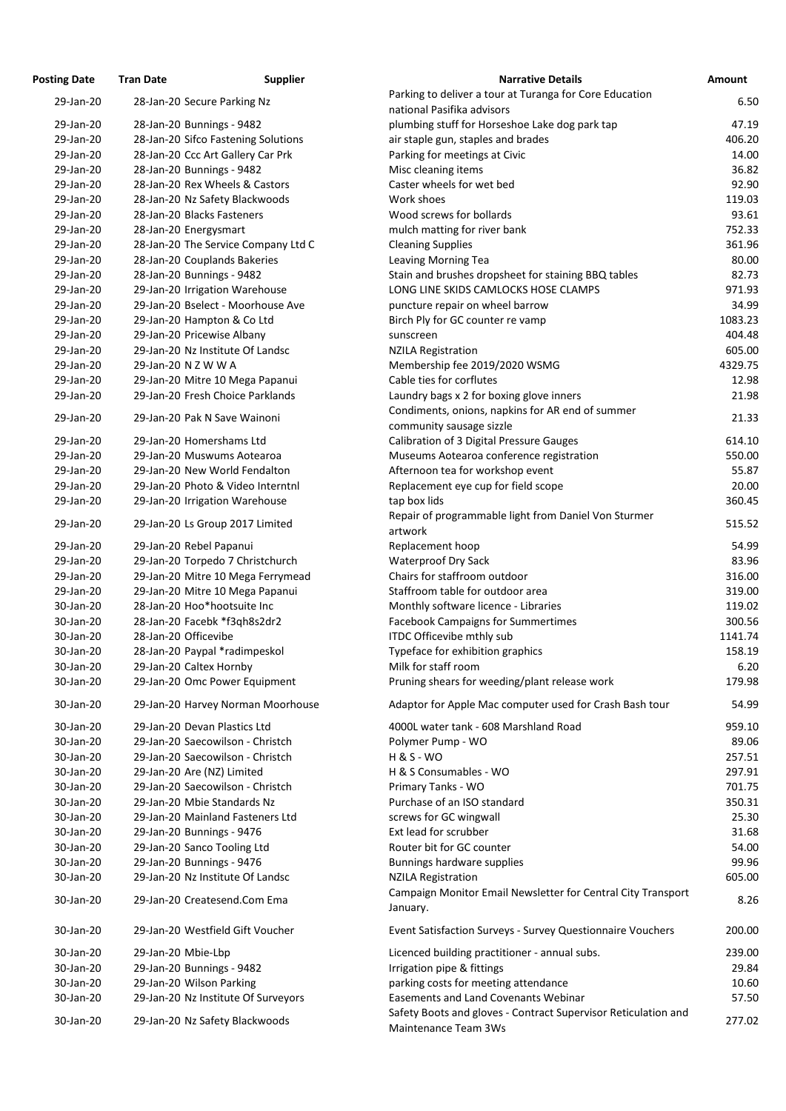| <b>osting Date</b>     | <b>Tran Date</b>             | <b>Supplier</b>                     | <b>Narrative Details</b>                                                             |
|------------------------|------------------------------|-------------------------------------|--------------------------------------------------------------------------------------|
| 29-Jan-20              | 28-Jan-20 Secure Parking Nz  |                                     | Parking to deliver a tour at Turanga for Core Educat                                 |
|                        |                              |                                     | national Pasifika advisors                                                           |
| 29-Jan-20<br>29-Jan-20 | 28-Jan-20 Bunnings - 9482    | 28-Jan-20 Sifco Fastening Solutions | plumbing stuff for Horseshoe Lake dog park tap<br>air staple gun, staples and brades |
| 29-Jan-20              |                              | 28-Jan-20 Ccc Art Gallery Car Prk   | Parking for meetings at Civic                                                        |
| 29-Jan-20              | 28-Jan-20 Bunnings - 9482    |                                     | Misc cleaning items                                                                  |
| 29-Jan-20              |                              | 28-Jan-20 Rex Wheels & Castors      | Caster wheels for wet bed                                                            |
| 29-Jan-20              |                              | 28-Jan-20 Nz Safety Blackwoods      | Work shoes                                                                           |
| 29-Jan-20              | 28-Jan-20 Blacks Fasteners   |                                     | Wood screws for bollards                                                             |
| 29-Jan-20              | 28-Jan-20 Energysmart        |                                     | mulch matting for river bank                                                         |
| 29-Jan-20              |                              | 28-Jan-20 The Service Company Ltd C | <b>Cleaning Supplies</b>                                                             |
| 29-Jan-20              |                              | 28-Jan-20 Couplands Bakeries        | Leaving Morning Tea                                                                  |
| 29-Jan-20              | 28-Jan-20 Bunnings - 9482    |                                     | Stain and brushes dropsheet for staining BBQ tables                                  |
| 29-Jan-20              |                              | 29-Jan-20 Irrigation Warehouse      | LONG LINE SKIDS CAMLOCKS HOSE CLAMPS                                                 |
| 29-Jan-20              |                              | 29-Jan-20 Bselect - Moorhouse Ave   | puncture repair on wheel barrow                                                      |
| 29-Jan-20              |                              | 29-Jan-20 Hampton & Co Ltd          | Birch Ply for GC counter re vamp                                                     |
| 29-Jan-20              | 29-Jan-20 Pricewise Albany   |                                     | sunscreen                                                                            |
| 29-Jan-20              |                              | 29-Jan-20 Nz Institute Of Landsc    | <b>NZILA Registration</b>                                                            |
| 29-Jan-20              | 29-Jan-20 N Z W W A          |                                     | Membership fee 2019/2020 WSMG                                                        |
| 29-Jan-20              |                              | 29-Jan-20 Mitre 10 Mega Papanui     | Cable ties for corflutes                                                             |
| 29-Jan-20              |                              | 29-Jan-20 Fresh Choice Parklands    | Laundry bags x 2 for boxing glove inners                                             |
| 29-Jan-20              |                              | 29-Jan-20 Pak N Save Wainoni        | Condiments, onions, napkins for AR end of summer                                     |
|                        |                              |                                     | community sausage sizzle                                                             |
| 29-Jan-20              | 29-Jan-20 Homershams Ltd     |                                     | Calibration of 3 Digital Pressure Gauges                                             |
| 29-Jan-20              |                              | 29-Jan-20 Muswums Aotearoa          | Museums Aotearoa conference registration                                             |
| 29-Jan-20              |                              | 29-Jan-20 New World Fendalton       | Afternoon tea for workshop event                                                     |
| 29-Jan-20              |                              | 29-Jan-20 Photo & Video Interntnl   | Replacement eye cup for field scope                                                  |
| 29-Jan-20              |                              | 29-Jan-20 Irrigation Warehouse      | tap box lids                                                                         |
| 29-Jan-20              |                              | 29-Jan-20 Ls Group 2017 Limited     | Repair of programmable light from Daniel Von Sturr<br>artwork                        |
| 29-Jan-20              | 29-Jan-20 Rebel Papanui      |                                     | Replacement hoop                                                                     |
| 29-Jan-20              |                              | 29-Jan-20 Torpedo 7 Christchurch    | <b>Waterproof Dry Sack</b>                                                           |
| 29-Jan-20              |                              | 29-Jan-20 Mitre 10 Mega Ferrymead   | Chairs for staffroom outdoor                                                         |
| 29-Jan-20              |                              | 29-Jan-20 Mitre 10 Mega Papanui     | Staffroom table for outdoor area                                                     |
| 30-Jan-20              |                              | 28-Jan-20 Hoo*hootsuite Inc         | Monthly software licence - Libraries                                                 |
| 30-Jan-20              |                              | 28-Jan-20 Facebk *f3qh8s2dr2        | <b>Facebook Campaigns for Summertimes</b>                                            |
| 30-Jan-20              | 28-Jan-20 Officevibe         |                                     | ITDC Officevibe mthly sub                                                            |
| 30-Jan-20              |                              | 28-Jan-20 Paypal *radimpeskol       | Typeface for exhibition graphics                                                     |
| 30-Jan-20              | 29-Jan-20 Caltex Hornby      |                                     | Milk for staff room                                                                  |
| 30-Jan-20              |                              | 29-Jan-20 Omc Power Equipment       | Pruning shears for weeding/plant release work                                        |
| 30-Jan-20              |                              | 29-Jan-20 Harvey Norman Moorhouse   | Adaptor for Apple Mac computer used for Crash Bas                                    |
| 30-Jan-20              | 29-Jan-20 Devan Plastics Ltd |                                     | 4000L water tank - 608 Marshland Road                                                |
| 30-Jan-20              |                              | 29-Jan-20 Saecowilson - Christch    | Polymer Pump - WO                                                                    |
| 30-Jan-20              |                              | 29-Jan-20 Saecowilson - Christch    | <b>H &amp; S - WO</b>                                                                |
| 30-Jan-20              | 29-Jan-20 Are (NZ) Limited   |                                     | H & S Consumables - WO                                                               |
| 30-Jan-20              |                              | 29-Jan-20 Saecowilson - Christch    | Primary Tanks - WO                                                                   |
| 30-Jan-20              |                              | 29-Jan-20 Mbie Standards Nz         | Purchase of an ISO standard                                                          |
| 30-Jan-20              |                              | 29-Jan-20 Mainland Fasteners Ltd    | screws for GC wingwall                                                               |
| 30-Jan-20              | 29-Jan-20 Bunnings - 9476    |                                     | Ext lead for scrubber                                                                |
| 30-Jan-20              | 29-Jan-20 Sanco Tooling Ltd  |                                     | Router bit for GC counter                                                            |
| 30-Jan-20              | 29-Jan-20 Bunnings - 9476    |                                     | Bunnings hardware supplies                                                           |
| 30-Jan-20              |                              | 29-Jan-20 Nz Institute Of Landsc    | <b>NZILA Registration</b>                                                            |
| 30-Jan-20              |                              | 29-Jan-20 Createsend.Com Ema        | Campaign Monitor Email Newsletter for Central City<br>January.                       |
| 30-Jan-20              |                              | 29-Jan-20 Westfield Gift Voucher    | Event Satisfaction Surveys - Survey Questionnaire V                                  |
| 30-Jan-20              | 29-Jan-20 Mbie-Lbp           |                                     | Licenced building practitioner - annual subs.                                        |
| 30-Jan-20              | 29-Jan-20 Bunnings - 9482    |                                     | Irrigation pipe & fittings                                                           |
| 30-Jan-20              | 29-Jan-20 Wilson Parking     |                                     | parking costs for meeting attendance                                                 |
| 30-Jan-20              |                              | 29-Jan-20 Nz Institute Of Surveyors | <b>Easements and Land Covenants Webinar</b>                                          |
|                        |                              |                                     | Safety Boots and gloves - Contract Supervisor Reticu                                 |
| 30-Jan-20              |                              | 29-Jan-20 Nz Safety Blackwoods      | Maintenance Team 3Ws                                                                 |

| <b>Posting Date</b> | <b>Tran Date</b>     | <b>Supplier</b>                     | <b>Narrative Details</b>                                                               | <b>Amount</b> |
|---------------------|----------------------|-------------------------------------|----------------------------------------------------------------------------------------|---------------|
| 29-Jan-20           |                      | 28-Jan-20 Secure Parking Nz         | Parking to deliver a tour at Turanga for Core Education                                | 6.50          |
|                     |                      |                                     | national Pasifika advisors                                                             |               |
| 29-Jan-20           |                      | 28-Jan-20 Bunnings - 9482           | plumbing stuff for Horseshoe Lake dog park tap                                         | 47.19         |
| 29-Jan-20           |                      | 28-Jan-20 Sifco Fastening Solutions | air staple gun, staples and brades                                                     | 406.20        |
| 29-Jan-20           |                      | 28-Jan-20 Ccc Art Gallery Car Prk   | Parking for meetings at Civic                                                          | 14.00         |
| 29-Jan-20           |                      | 28-Jan-20 Bunnings - 9482           | Misc cleaning items                                                                    | 36.82         |
| 29-Jan-20           |                      | 28-Jan-20 Rex Wheels & Castors      | Caster wheels for wet bed                                                              | 92.90         |
| 29-Jan-20           |                      | 28-Jan-20 Nz Safety Blackwoods      | Work shoes                                                                             | 119.03        |
| 29-Jan-20           |                      | 28-Jan-20 Blacks Fasteners          | Wood screws for bollards                                                               | 93.61         |
| 29-Jan-20           |                      | 28-Jan-20 Energysmart               | mulch matting for river bank                                                           | 752.33        |
| 29-Jan-20           |                      | 28-Jan-20 The Service Company Ltd C | <b>Cleaning Supplies</b>                                                               | 361.96        |
| 29-Jan-20           |                      | 28-Jan-20 Couplands Bakeries        | Leaving Morning Tea                                                                    | 80.00         |
| 29-Jan-20           |                      | 28-Jan-20 Bunnings - 9482           | Stain and brushes dropsheet for staining BBQ tables                                    | 82.73         |
| 29-Jan-20           |                      | 29-Jan-20 Irrigation Warehouse      | LONG LINE SKIDS CAMLOCKS HOSE CLAMPS                                                   | 971.93        |
| 29-Jan-20           |                      | 29-Jan-20 Bselect - Moorhouse Ave   | puncture repair on wheel barrow                                                        | 34.99         |
| 29-Jan-20           |                      | 29-Jan-20 Hampton & Co Ltd          | Birch Ply for GC counter re vamp                                                       | 1083.23       |
| 29-Jan-20           |                      | 29-Jan-20 Pricewise Albany          | sunscreen                                                                              | 404.48        |
| 29-Jan-20           |                      | 29-Jan-20 Nz Institute Of Landsc    | <b>NZILA Registration</b>                                                              | 605.00        |
| 29-Jan-20           | 29-Jan-20 N Z W W A  |                                     | Membership fee 2019/2020 WSMG                                                          | 4329.75       |
| 29-Jan-20           |                      | 29-Jan-20 Mitre 10 Mega Papanui     | Cable ties for corflutes                                                               | 12.98         |
| 29-Jan-20           |                      | 29-Jan-20 Fresh Choice Parklands    | Laundry bags x 2 for boxing glove inners                                               | 21.98         |
|                     |                      |                                     | Condiments, onions, napkins for AR end of summer                                       |               |
| 29-Jan-20           |                      | 29-Jan-20 Pak N Save Wainoni        |                                                                                        | 21.33         |
|                     |                      |                                     | community sausage sizzle                                                               |               |
| 29-Jan-20           |                      | 29-Jan-20 Homershams Ltd            | Calibration of 3 Digital Pressure Gauges                                               | 614.10        |
| 29-Jan-20           |                      | 29-Jan-20 Muswums Aotearoa          | Museums Aotearoa conference registration                                               | 550.00        |
| 29-Jan-20           |                      | 29-Jan-20 New World Fendalton       | Afternoon tea for workshop event                                                       | 55.87         |
| 29-Jan-20           |                      | 29-Jan-20 Photo & Video Interntnl   | Replacement eye cup for field scope                                                    | 20.00         |
| 29-Jan-20           |                      | 29-Jan-20 Irrigation Warehouse      | tap box lids                                                                           | 360.45        |
| 29-Jan-20           |                      | 29-Jan-20 Ls Group 2017 Limited     | Repair of programmable light from Daniel Von Sturmer                                   | 515.52        |
|                     |                      |                                     | artwork                                                                                |               |
| 29-Jan-20           |                      | 29-Jan-20 Rebel Papanui             | Replacement hoop                                                                       | 54.99         |
| 29-Jan-20           |                      | 29-Jan-20 Torpedo 7 Christchurch    | <b>Waterproof Dry Sack</b>                                                             | 83.96         |
| 29-Jan-20           |                      | 29-Jan-20 Mitre 10 Mega Ferrymead   | Chairs for staffroom outdoor                                                           | 316.00        |
| 29-Jan-20           |                      | 29-Jan-20 Mitre 10 Mega Papanui     | Staffroom table for outdoor area                                                       | 319.00        |
| 30-Jan-20           |                      | 28-Jan-20 Hoo*hootsuite Inc         | Monthly software licence - Libraries                                                   | 119.02        |
| 30-Jan-20           |                      | 28-Jan-20 Facebk *f3qh8s2dr2        | <b>Facebook Campaigns for Summertimes</b>                                              | 300.56        |
| 30-Jan-20           | 28-Jan-20 Officevibe |                                     | ITDC Officevibe mthly sub                                                              | 1141.74       |
| 30-Jan-20           |                      | 28-Jan-20 Paypal *radimpeskol       | Typeface for exhibition graphics                                                       | 158.19        |
| 30-Jan-20           |                      | 29-Jan-20 Caltex Hornby             | Milk for staff room                                                                    | 6.20          |
| 30-Jan-20           |                      | 29-Jan-20 Omc Power Equipment       | Pruning shears for weeding/plant release work                                          | 179.98        |
| 30-Jan-20           |                      | 29-Jan-20 Harvey Norman Moorhouse   | Adaptor for Apple Mac computer used for Crash Bash tour                                | 54.99         |
| 30-Jan-20           |                      | 29-Jan-20 Devan Plastics Ltd        | 4000L water tank - 608 Marshland Road                                                  | 959.10        |
| 30-Jan-20           |                      | 29-Jan-20 Saecowilson - Christch    | Polymer Pump - WO                                                                      | 89.06         |
| 30-Jan-20           |                      | 29-Jan-20 Saecowilson - Christch    | <b>H &amp; S - WO</b>                                                                  | 257.51        |
| 30-Jan-20           |                      | 29-Jan-20 Are (NZ) Limited          | H & S Consumables - WO                                                                 | 297.91        |
| 30-Jan-20           |                      | 29-Jan-20 Saecowilson - Christch    | Primary Tanks - WO                                                                     | 701.75        |
| 30-Jan-20           |                      | 29-Jan-20 Mbie Standards Nz         | Purchase of an ISO standard                                                            | 350.31        |
| 30-Jan-20           |                      | 29-Jan-20 Mainland Fasteners Ltd    | screws for GC wingwall                                                                 | 25.30         |
| 30-Jan-20           |                      | 29-Jan-20 Bunnings - 9476           | Ext lead for scrubber                                                                  | 31.68         |
| 30-Jan-20           |                      | 29-Jan-20 Sanco Tooling Ltd         | Router bit for GC counter                                                              | 54.00         |
| 30-Jan-20           |                      | 29-Jan-20 Bunnings - 9476           | Bunnings hardware supplies                                                             | 99.96         |
| 30-Jan-20           |                      | 29-Jan-20 Nz Institute Of Landsc    | <b>NZILA Registration</b>                                                              | 605.00        |
|                     |                      |                                     |                                                                                        |               |
| 30-Jan-20           |                      | 29-Jan-20 Createsend.Com Ema        | Campaign Monitor Email Newsletter for Central City Transport<br>January.               | 8.26          |
| 30-Jan-20           |                      | 29-Jan-20 Westfield Gift Voucher    | Event Satisfaction Surveys - Survey Questionnaire Vouchers                             | 200.00        |
| 30-Jan-20           | 29-Jan-20 Mbie-Lbp   |                                     | Licenced building practitioner - annual subs.                                          | 239.00        |
| 30-Jan-20           |                      | 29-Jan-20 Bunnings - 9482           | Irrigation pipe & fittings                                                             | 29.84         |
| 30-Jan-20           |                      | 29-Jan-20 Wilson Parking            | parking costs for meeting attendance                                                   | 10.60         |
| 30-Jan-20           |                      | 29-Jan-20 Nz Institute Of Surveyors | <b>Easements and Land Covenants Webinar</b>                                            | 57.50         |
| 30-Jan-20           |                      | 29-Jan-20 Nz Safety Blackwoods      | Safety Boots and gloves - Contract Supervisor Reticulation and<br>Maintenance Team 3Ws | 277.02        |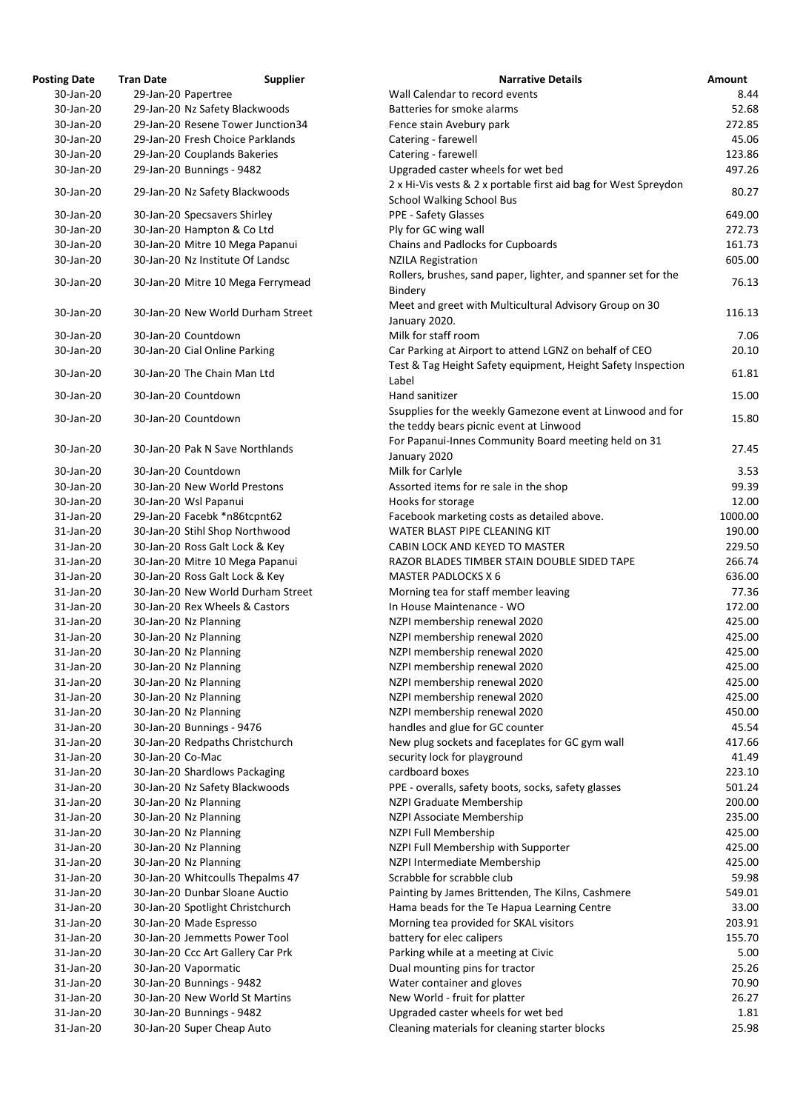| <b>Osting Date</b>     | <b>Tran Date</b> | <b>Supplier</b>                                             |
|------------------------|------------------|-------------------------------------------------------------|
| 30-Jan-20              |                  | 29-Jan-20 Papertree                                         |
| 30-Jan-20              |                  | 29-Jan-20 Nz Safety Blackwoods                              |
| 30-Jan-20              |                  | 29-Jan-20 Resene Tower Junction34                           |
| 30-Jan-20              |                  | 29-Jan-20 Fresh Choice Parklands                            |
| 30-Jan-20              |                  | 29-Jan-20 Couplands Bakeries                                |
| 30-Jan-20              |                  | 29-Jan-20 Bunnings - 9482                                   |
| 30-Jan-20              |                  | 29-Jan-20 Nz Safety Blackwoods                              |
| 30-Jan-20              |                  | 30-Jan-20 Specsavers Shirley                                |
| 30-Jan-20              |                  | 30-Jan-20 Hampton & Co Ltd                                  |
| 30-Jan-20              |                  | 30-Jan-20 Mitre 10 Mega Papanui                             |
| 30-Jan-20              |                  | 30-Jan-20 Nz Institute Of Landsc                            |
| 30-Jan-20              |                  | 30-Jan-20 Mitre 10 Mega Ferrymead                           |
| 30-Jan-20              |                  | 30-Jan-20 New World Durham Street                           |
| 30-Jan-20              |                  | 30-Jan-20 Countdown                                         |
| 30-Jan-20              |                  | 30-Jan-20 Cial Online Parking                               |
| 30-Jan-20              |                  | 30-Jan-20 The Chain Man Ltd                                 |
| 30-Jan-20              |                  | 30-Jan-20 Countdown                                         |
| 30-Jan-20              |                  | 30-Jan-20 Countdown                                         |
| 30-Jan-20              |                  | 30-Jan-20 Pak N Save Northlands                             |
| 30-Jan-20              |                  | 30-Jan-20 Countdown                                         |
| 30-Jan-20              |                  | 30-Jan-20 New World Prestons                                |
| 30-Jan-20              |                  | 30-Jan-20 Wsl Papanui                                       |
| 31-Jan-20              |                  | 29-Jan-20 Facebk *n86tcpnt62                                |
| 31-Jan-20              |                  | 30-Jan-20 Stihl Shop Northwood                              |
| 31-Jan-20              |                  | 30-Jan-20 Ross Galt Lock & Key                              |
| 31-Jan-20              |                  | 30-Jan-20 Mitre 10 Mega Papanui                             |
| 31-Jan-20              |                  | 30-Jan-20 Ross Galt Lock & Key                              |
| 31-Jan-20              |                  | 30-Jan-20 New World Durham Street                           |
| 31-Jan-20              |                  | 30-Jan-20 Rex Wheels & Castors                              |
| 31-Jan-20<br>31-Jan-20 |                  | 30-Jan-20 Nz Planning<br>30-Jan-20 Nz Planning              |
| 31-Jan-20              |                  | 30-Jan-20 Nz Planning                                       |
| 31-Jan-20              |                  | 30-Jan-20 Nz Planning                                       |
| 31-Jan-20              |                  | 30-Jan-20 Nz Planning                                       |
| 31-Jan-20              |                  | 30-Jan-20 Nz Planning                                       |
| 31-Jan-20              |                  | 30-Jan-20 Nz Planning                                       |
| 31-Jan-20              |                  | 30-Jan-20 Bunnings - 9476                                   |
| 31-Jan-20              |                  | 30-Jan-20 Redpaths Christchurch                             |
| 31-Jan-20              | 30-Jan-20 Co-Mac |                                                             |
| 31-Jan-20              |                  | 30-Jan-20 Shardlows Packaging                               |
| 31-Jan-20              |                  | 30-Jan-20 Nz Safety Blackwoods                              |
| 31-Jan-20              |                  | 30-Jan-20 Nz Planning                                       |
| 31-Jan-20              |                  | 30-Jan-20 Nz Planning                                       |
| 31-Jan-20              |                  | 30-Jan-20 Nz Planning                                       |
| 31-Jan-20              |                  | 30-Jan-20 Nz Planning                                       |
| 31-Jan-20              |                  | 30-Jan-20 Nz Planning                                       |
| 31-Jan-20              |                  | 30-Jan-20 Whitcoulls Thepalms 47                            |
| 31-Jan-20              |                  | 30-Jan-20 Dunbar Sloane Auctio                              |
| 31-Jan-20              |                  | 30-Jan-20 Spotlight Christchurch                            |
| 31-Jan-20              |                  | 30-Jan-20 Made Espresso                                     |
| 31-Jan-20              |                  | 30-Jan-20 Jemmetts Power Tool                               |
| 31-Jan-20              |                  | 30-Jan-20 Ccc Art Gallery Car Prk                           |
| 31-Jan-20              |                  | 30-Jan-20 Vapormatic                                        |
| 31-Jan-20              |                  | 30-Jan-20 Bunnings - 9482<br>30-Jan-20 New World St Martins |
| 31-Jan-20              |                  |                                                             |
| 31-Jan-20              |                  | 30-Jan-20 Bunnings - 9482                                   |
| 31-Jan-20              |                  | 30-Jan-20 Super Cheap Auto                                  |

| <b>Posting Date</b> | <b>Tran Date</b> | <b>Supplier</b>                   | <b>Narrative Details</b>                                                                              | <b>Amount</b> |
|---------------------|------------------|-----------------------------------|-------------------------------------------------------------------------------------------------------|---------------|
| 30-Jan-20           |                  | 29-Jan-20 Papertree               | Wall Calendar to record events                                                                        | 8.44          |
| 30-Jan-20           |                  | 29-Jan-20 Nz Safety Blackwoods    | Batteries for smoke alarms                                                                            | 52.68         |
| 30-Jan-20           |                  | 29-Jan-20 Resene Tower Junction34 | Fence stain Avebury park                                                                              | 272.85        |
| 30-Jan-20           |                  | 29-Jan-20 Fresh Choice Parklands  | Catering - farewell                                                                                   | 45.06         |
| 30-Jan-20           |                  | 29-Jan-20 Couplands Bakeries      | Catering - farewell                                                                                   | 123.86        |
| 30-Jan-20           |                  | 29-Jan-20 Bunnings - 9482         | Upgraded caster wheels for wet bed                                                                    | 497.26        |
| 30-Jan-20           |                  | 29-Jan-20 Nz Safety Blackwoods    | 2 x Hi-Vis vests & 2 x portable first aid bag for West Spreydon                                       | 80.27         |
|                     |                  |                                   | <b>School Walking School Bus</b>                                                                      |               |
| 30-Jan-20           |                  | 30-Jan-20 Specsavers Shirley      | PPE - Safety Glasses                                                                                  | 649.00        |
| 30-Jan-20           |                  | 30-Jan-20 Hampton & Co Ltd        | Ply for GC wing wall                                                                                  | 272.73        |
| 30-Jan-20           |                  | 30-Jan-20 Mitre 10 Mega Papanui   | Chains and Padlocks for Cupboards                                                                     | 161.73        |
| 30-Jan-20           |                  | 30-Jan-20 Nz Institute Of Landsc  | <b>NZILA Registration</b>                                                                             | 605.00        |
| 30-Jan-20           |                  | 30-Jan-20 Mitre 10 Mega Ferrymead | Rollers, brushes, sand paper, lighter, and spanner set for the<br>Bindery                             | 76.13         |
| 30-Jan-20           |                  | 30-Jan-20 New World Durham Street | Meet and greet with Multicultural Advisory Group on 30<br>January 2020.                               | 116.13        |
| 30-Jan-20           |                  | 30-Jan-20 Countdown               | Milk for staff room                                                                                   | 7.06          |
| 30-Jan-20           |                  | 30-Jan-20 Cial Online Parking     | Car Parking at Airport to attend LGNZ on behalf of CEO                                                | 20.10         |
|                     |                  |                                   | Test & Tag Height Safety equipment, Height Safety Inspection                                          |               |
| 30-Jan-20           |                  | 30-Jan-20 The Chain Man Ltd       | Label                                                                                                 | 61.81         |
| 30-Jan-20           |                  | 30-Jan-20 Countdown               | Hand sanitizer                                                                                        | 15.00         |
| 30-Jan-20           |                  | 30-Jan-20 Countdown               | Ssupplies for the weekly Gamezone event at Linwood and for<br>the teddy bears picnic event at Linwood | 15.80         |
| 30-Jan-20           |                  | 30-Jan-20 Pak N Save Northlands   | For Papanui-Innes Community Board meeting held on 31<br>January 2020                                  | 27.45         |
| 30-Jan-20           |                  | 30-Jan-20 Countdown               | Milk for Carlyle                                                                                      | 3.53          |
| 30-Jan-20           |                  | 30-Jan-20 New World Prestons      | Assorted items for re sale in the shop                                                                | 99.39         |
| 30-Jan-20           |                  |                                   | Hooks for storage                                                                                     | 12.00         |
|                     |                  | 30-Jan-20 Wsl Papanui             |                                                                                                       | 1000.00       |
| 31-Jan-20           |                  | 29-Jan-20 Facebk *n86tcpnt62      | Facebook marketing costs as detailed above                                                            |               |
| 31-Jan-20           |                  | 30-Jan-20 Stihl Shop Northwood    | WATER BLAST PIPE CLEANING KIT                                                                         | 190.00        |
| 31-Jan-20           |                  | 30-Jan-20 Ross Galt Lock & Key    | CABIN LOCK AND KEYED TO MASTER                                                                        | 229.50        |
| 31-Jan-20           |                  | 30-Jan-20 Mitre 10 Mega Papanui   | RAZOR BLADES TIMBER STAIN DOUBLE SIDED TAPE                                                           | 266.74        |
| 31-Jan-20           |                  | 30-Jan-20 Ross Galt Lock & Key    | <b>MASTER PADLOCKS X 6</b>                                                                            | 636.00        |
| 31-Jan-20           |                  | 30-Jan-20 New World Durham Street | Morning tea for staff member leaving                                                                  | 77.36         |
| 31-Jan-20           |                  | 30-Jan-20 Rex Wheels & Castors    | In House Maintenance - WO                                                                             | 172.00        |
| 31-Jan-20           |                  | 30-Jan-20 Nz Planning             | NZPI membership renewal 2020                                                                          | 425.00        |
| 31-Jan-20           |                  | 30-Jan-20 Nz Planning             | NZPI membership renewal 2020                                                                          | 425.00        |
| 31-Jan-20           |                  | 30-Jan-20 Nz Planning             | NZPI membership renewal 2020                                                                          | 425.00        |
| 31-Jan-20           |                  | 30-Jan-20 Nz Planning             | NZPI membership renewal 2020                                                                          | 425.00        |
| 31-Jan-20           |                  | 30-Jan-20 Nz Planning             | NZPI membership renewal 2020                                                                          | 425.00        |
| 31-Jan-20           |                  | 30-Jan-20 Nz Planning             | NZPI membership renewal 2020                                                                          | 425.00        |
| 31-Jan-20           |                  | 30-Jan-20 Nz Planning             | NZPI membership renewal 2020                                                                          | 450.00        |
| 31-Jan-20           |                  | 30-Jan-20 Bunnings - 9476         | handles and glue for GC counter                                                                       | 45.54         |
| 31-Jan-20           |                  | 30-Jan-20 Redpaths Christchurch   | New plug sockets and faceplates for GC gym wall                                                       | 417.66        |
| 31-Jan-20           | 30-Jan-20 Co-Mac |                                   | security lock for playground                                                                          | 41.49         |
| 31-Jan-20           |                  | 30-Jan-20 Shardlows Packaging     | cardboard boxes                                                                                       | 223.10        |
| 31-Jan-20           |                  | 30-Jan-20 Nz Safety Blackwoods    | PPE - overalls, safety boots, socks, safety glasses                                                   | 501.24        |
| 31-Jan-20           |                  | 30-Jan-20 Nz Planning             | NZPI Graduate Membership                                                                              | 200.00        |
| 31-Jan-20           |                  | 30-Jan-20 Nz Planning             | NZPI Associate Membership                                                                             | 235.00        |
| 31-Jan-20           |                  | 30-Jan-20 Nz Planning             | NZPI Full Membership                                                                                  | 425.00        |
| 31-Jan-20           |                  | 30-Jan-20 Nz Planning             | NZPI Full Membership with Supporter                                                                   | 425.00        |
| 31-Jan-20           |                  | 30-Jan-20 Nz Planning             | NZPI Intermediate Membership                                                                          | 425.00        |
| 31-Jan-20           |                  | 30-Jan-20 Whitcoulls Thepalms 47  | Scrabble for scrabble club                                                                            | 59.98         |
| 31-Jan-20           |                  | 30-Jan-20 Dunbar Sloane Auctio    | Painting by James Brittenden, The Kilns, Cashmere                                                     | 549.01        |
| 31-Jan-20           |                  | 30-Jan-20 Spotlight Christchurch  | Hama beads for the Te Hapua Learning Centre                                                           | 33.00         |
| 31-Jan-20           |                  | 30-Jan-20 Made Espresso           | Morning tea provided for SKAL visitors                                                                | 203.91        |
|                     |                  | 30-Jan-20 Jemmetts Power Tool     |                                                                                                       |               |
| 31-Jan-20           |                  |                                   | battery for elec calipers                                                                             | 155.70        |
| 31-Jan-20           |                  | 30-Jan-20 Ccc Art Gallery Car Prk | Parking while at a meeting at Civic                                                                   | 5.00          |
| 31-Jan-20           |                  | 30-Jan-20 Vapormatic              | Dual mounting pins for tractor                                                                        | 25.26         |
| 31-Jan-20           |                  | 30-Jan-20 Bunnings - 9482         | Water container and gloves                                                                            | 70.90         |
| 31-Jan-20           |                  | 30-Jan-20 New World St Martins    | New World - fruit for platter                                                                         | 26.27         |
| 31-Jan-20           |                  | 30-Jan-20 Bunnings - 9482         | Upgraded caster wheels for wet bed                                                                    | 1.81          |
| 31-Jan-20           |                  | 30-Jan-20 Super Cheap Auto        | Cleaning materials for cleaning starter blocks                                                        | 25.98         |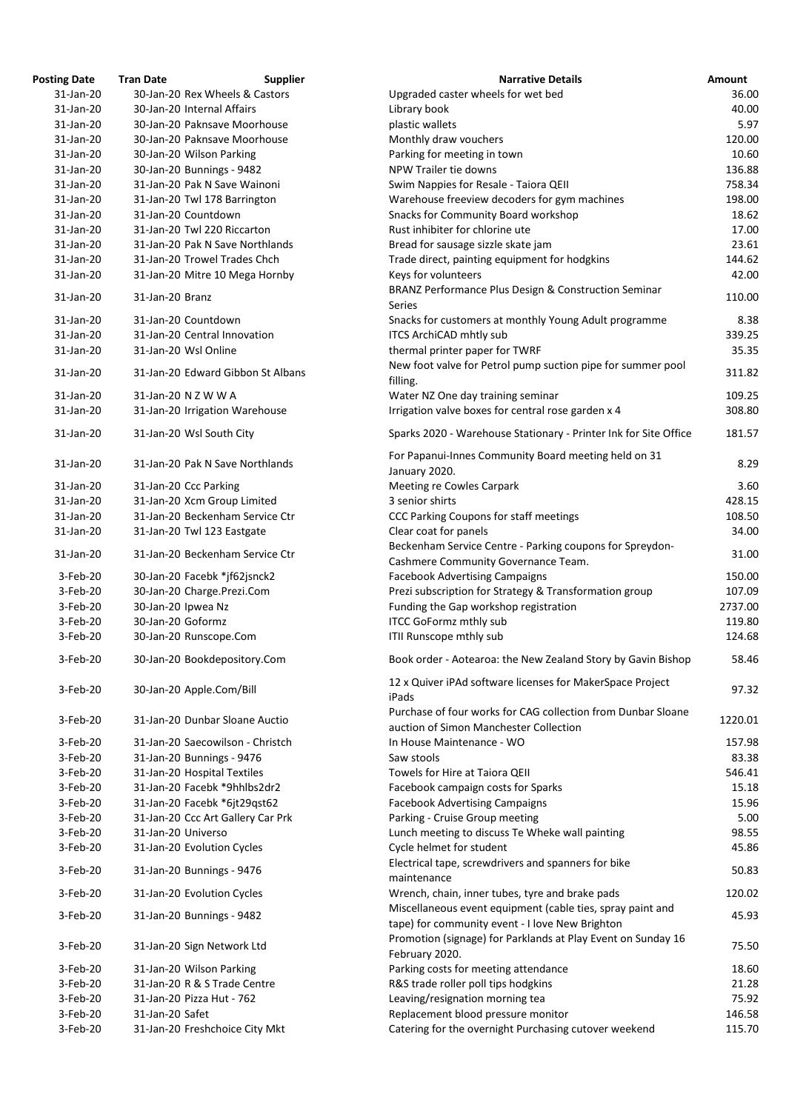| <b>Posting Date</b> | <b>Tran Date</b>   | <b>Supplier</b>                   | <b>Narrative Details</b>                                                                                      | <b>Amount</b> |
|---------------------|--------------------|-----------------------------------|---------------------------------------------------------------------------------------------------------------|---------------|
| 31-Jan-20           |                    | 30-Jan-20 Rex Wheels & Castors    | Upgraded caster wheels for wet bed                                                                            | 36.00         |
| 31-Jan-20           |                    | 30-Jan-20 Internal Affairs        | Library book                                                                                                  | 40.00         |
| 31-Jan-20           |                    | 30-Jan-20 Paknsave Moorhouse      | plastic wallets                                                                                               | 5.97          |
| 31-Jan-20           |                    | 30-Jan-20 Paknsave Moorhouse      | Monthly draw vouchers                                                                                         | 120.00        |
| 31-Jan-20           |                    | 30-Jan-20 Wilson Parking          | Parking for meeting in town                                                                                   | 10.60         |
| 31-Jan-20           |                    | 30-Jan-20 Bunnings - 9482         | NPW Trailer tie downs                                                                                         | 136.88        |
| 31-Jan-20           |                    | 31-Jan-20 Pak N Save Wainoni      | Swim Nappies for Resale - Taiora QEII                                                                         | 758.34        |
| 31-Jan-20           |                    | 31-Jan-20 Twl 178 Barrington      | Warehouse freeview decoders for gym machines                                                                  | 198.00        |
| 31-Jan-20           |                    | 31-Jan-20 Countdown               | <b>Snacks for Community Board workshop</b>                                                                    | 18.62         |
| 31-Jan-20           |                    | 31-Jan-20 Twl 220 Riccarton       | Rust inhibiter for chlorine ute                                                                               | 17.00         |
| 31-Jan-20           |                    | 31-Jan-20 Pak N Save Northlands   | Bread for sausage sizzle skate jam                                                                            | 23.61         |
| 31-Jan-20           |                    | 31-Jan-20 Trowel Trades Chch      | Trade direct, painting equipment for hodgkins                                                                 | 144.62        |
| 31-Jan-20           |                    | 31-Jan-20 Mitre 10 Mega Hornby    | Keys for volunteers                                                                                           | 42.00         |
| 31-Jan-20           | 31-Jan-20 Branz    |                                   | BRANZ Performance Plus Design & Construction Seminar<br><b>Series</b>                                         | 110.00        |
| 31-Jan-20           |                    | 31-Jan-20 Countdown               | Snacks for customers at monthly Young Adult programme                                                         | 8.38          |
| 31-Jan-20           |                    | 31-Jan-20 Central Innovation      | <b>ITCS ArchiCAD mhtly sub</b>                                                                                | 339.25        |
| 31-Jan-20           |                    | 31-Jan-20 Wsl Online              | thermal printer paper for TWRF                                                                                | 35.35         |
| 31-Jan-20           |                    | 31-Jan-20 Edward Gibbon St Albans | New foot valve for Petrol pump suction pipe for summer pool<br>filling.                                       | 311.82        |
| 31-Jan-20           |                    | 31-Jan-20 N Z W W A               | Water NZ One day training seminar                                                                             | 109.25        |
| 31-Jan-20           |                    | 31-Jan-20 Irrigation Warehouse    | Irrigation valve boxes for central rose garden x 4                                                            | 308.80        |
| 31-Jan-20           |                    | 31-Jan-20 Wsl South City          | Sparks 2020 - Warehouse Stationary - Printer Ink for Site Office                                              | 181.57        |
| 31-Jan-20           |                    | 31-Jan-20 Pak N Save Northlands   | For Papanui-Innes Community Board meeting held on 31<br>January 2020.                                         | 8.29          |
| 31-Jan-20           |                    | 31-Jan-20 Ccc Parking             | Meeting re Cowles Carpark                                                                                     | 3.60          |
| 31-Jan-20           |                    | 31-Jan-20 Xcm Group Limited       | 3 senior shirts                                                                                               | 428.15        |
| 31-Jan-20           |                    | 31-Jan-20 Beckenham Service Ctr   | CCC Parking Coupons for staff meetings                                                                        | 108.50        |
| 31-Jan-20           |                    | 31-Jan-20 Twl 123 Eastgate        | Clear coat for panels                                                                                         | 34.00         |
| 31-Jan-20           |                    | 31-Jan-20 Beckenham Service Ctr   | Beckenham Service Centre - Parking coupons for Spreydon-<br>Cashmere Community Governance Team.               | 31.00         |
| 3-Feb-20            |                    | 30-Jan-20 Facebk *jf62jsnck2      | <b>Facebook Advertising Campaigns</b>                                                                         | 150.00        |
| 3-Feb-20            |                    | 30-Jan-20 Charge.Prezi.Com        | Prezi subscription for Strategy & Transformation group                                                        | 107.09        |
| 3-Feb-20            | 30-Jan-20 Ipwea Nz |                                   | Funding the Gap workshop registration                                                                         | 2737.00       |
| 3-Feb-20            | 30-Jan-20 Goformz  |                                   | <b>ITCC GoFormz mthly sub</b>                                                                                 | 119.80        |
| 3-Feb-20            |                    | 30-Jan-20 Runscope.Com            | ITII Runscope mthly sub                                                                                       | 124.68        |
| 3-Feb-20            |                    | 30-Jan-20 Bookdepository.Com      | Book order - Aotearoa: the New Zealand Story by Gavin Bishop                                                  | 58.46         |
| 3-Feb-20            |                    | 30-Jan-20 Apple.Com/Bill          | 12 x Quiver iPAd software licenses for MakerSpace Project<br>iPads                                            | 97.32         |
| 3-Feb-20            |                    | 31-Jan-20 Dunbar Sloane Auctio    | Purchase of four works for CAG collection from Dunbar Sloane<br>auction of Simon Manchester Collection        | 1220.01       |
| 3-Feb-20            |                    | 31-Jan-20 Saecowilson - Christch  | In House Maintenance - WO                                                                                     | 157.98        |
| 3-Feb-20            |                    | 31-Jan-20 Bunnings - 9476         | Saw stools                                                                                                    | 83.38         |
| 3-Feb-20            |                    | 31-Jan-20 Hospital Textiles       | Towels for Hire at Taiora QEII                                                                                | 546.41        |
| 3-Feb-20            |                    | 31-Jan-20 Facebk *9hhlbs2dr2      | Facebook campaign costs for Sparks                                                                            | 15.18         |
| 3-Feb-20            |                    | 31-Jan-20 Facebk *6jt29qst62      | <b>Facebook Advertising Campaigns</b>                                                                         | 15.96         |
| 3-Feb-20            |                    | 31-Jan-20 Ccc Art Gallery Car Prk | Parking - Cruise Group meeting                                                                                | 5.00          |
| 3-Feb-20            | 31-Jan-20 Universo |                                   | Lunch meeting to discuss Te Wheke wall painting                                                               | 98.55         |
| 3-Feb-20            |                    | 31-Jan-20 Evolution Cycles        | Cycle helmet for student                                                                                      | 45.86         |
| 3-Feb-20            |                    | 31-Jan-20 Bunnings - 9476         | Electrical tape, screwdrivers and spanners for bike<br>maintenance                                            | 50.83         |
| 3-Feb-20            |                    | 31-Jan-20 Evolution Cycles        | Wrench, chain, inner tubes, tyre and brake pads                                                               | 120.02        |
| 3-Feb-20            |                    | 31-Jan-20 Bunnings - 9482         | Miscellaneous event equipment (cable ties, spray paint and<br>tape) for community event - I love New Brighton | 45.93         |
| 3-Feb-20            |                    | 31-Jan-20 Sign Network Ltd        | Promotion (signage) for Parklands at Play Event on Sunday 16<br>February 2020.                                | 75.50         |
| 3-Feb-20            |                    | 31-Jan-20 Wilson Parking          | Parking costs for meeting attendance                                                                          | 18.60         |
| 3-Feb-20            |                    | 31-Jan-20 R & S Trade Centre      | R&S trade roller poll tips hodgkins                                                                           | 21.28         |
| 3-Feb-20            |                    | 31-Jan-20 Pizza Hut - 762         | Leaving/resignation morning tea                                                                               | 75.92         |
| 3-Feb-20            | 31-Jan-20 Safet    |                                   | Replacement blood pressure monitor                                                                            | 146.58        |
| 3-Feb-20            |                    | 31-Jan-20 Freshchoice City Mkt    | Catering for the overnight Purchasing cutover weekend                                                         | 115.70        |
|                     |                    |                                   |                                                                                                               |               |

| <b>Narrative Details</b>                                                                                      | <b>Amount</b>    |
|---------------------------------------------------------------------------------------------------------------|------------------|
| Upgraded caster wheels for wet bed                                                                            | 36.00            |
| Library book                                                                                                  | 40.00            |
| plastic wallets                                                                                               | 5.97             |
| Monthly draw vouchers                                                                                         | 120.00           |
| Parking for meeting in town                                                                                   | 10.60            |
| <b>NPW Trailer tie downs</b>                                                                                  | 136.88           |
| Swim Nappies for Resale - Taiora QEII<br>Warehouse freeview decoders for gym machines                         | 758.34<br>198.00 |
| <b>Snacks for Community Board workshop</b>                                                                    | 18.62            |
| Rust inhibiter for chlorine ute                                                                               | 17.00            |
| Bread for sausage sizzle skate jam                                                                            | 23.61            |
| Trade direct, painting equipment for hodgkins                                                                 | 144.62           |
| Keys for volunteers                                                                                           | 42.00            |
| BRANZ Performance Plus Design & Construction Seminar                                                          |                  |
| <b>Series</b>                                                                                                 | 110.00           |
| Snacks for customers at monthly Young Adult programme                                                         | 8.38             |
| <b>ITCS ArchiCAD mhtly sub</b>                                                                                | 339.25           |
| thermal printer paper for TWRF                                                                                | 35.35            |
| New foot valve for Petrol pump suction pipe for summer pool                                                   | 311.82           |
| filling.                                                                                                      |                  |
| Water NZ One day training seminar                                                                             | 109.25           |
| Irrigation valve boxes for central rose garden x 4                                                            | 308.80           |
| Sparks 2020 - Warehouse Stationary - Printer Ink for Site Office                                              | 181.57           |
| For Papanui-Innes Community Board meeting held on 31                                                          | 8.29             |
| January 2020.<br><b>Meeting re Cowles Carpark</b>                                                             | 3.60             |
| 3 senior shirts                                                                                               | 428.15           |
| <b>CCC Parking Coupons for staff meetings</b>                                                                 | 108.50           |
| Clear coat for panels                                                                                         | 34.00            |
| Beckenham Service Centre - Parking coupons for Spreydon-                                                      |                  |
| Cashmere Community Governance Team.                                                                           | 31.00            |
| <b>Facebook Advertising Campaigns</b>                                                                         | 150.00           |
| Prezi subscription for Strategy & Transformation group                                                        | 107.09           |
| Funding the Gap workshop registration                                                                         | 2737.00          |
| <b>ITCC GoFormz mthly sub</b>                                                                                 | 119.80           |
| ITII Runscope mthly sub                                                                                       | 124.68           |
| Book order - Aotearoa: the New Zealand Story by Gavin Bishop                                                  | 58.46            |
| 12 x Quiver iPAd software licenses for MakerSpace Project                                                     |                  |
| iPads                                                                                                         | 97.32            |
| Purchase of four works for CAG collection from Dunbar Sloane                                                  |                  |
| auction of Simon Manchester Collection                                                                        | 1220.01          |
| In House Maintenance - WO                                                                                     | 157.98           |
| Saw stools                                                                                                    | 83.38            |
| Towels for Hire at Taiora QEII                                                                                | 546.41           |
| Facebook campaign costs for Sparks                                                                            | 15.18            |
| <b>Facebook Advertising Campaigns</b>                                                                         | 15.96            |
| Parking - Cruise Group meeting                                                                                | 5.00             |
| Lunch meeting to discuss Te Wheke wall painting                                                               | 98.55            |
| Cycle helmet for student                                                                                      | 45.86            |
| Electrical tape, screwdrivers and spanners for bike                                                           | 50.83            |
| maintenance                                                                                                   |                  |
| Wrench, chain, inner tubes, tyre and brake pads<br>Miscellaneous event equipment (cable ties, spray paint and | 120.02           |
| tape) for community event - I love New Brighton                                                               | 45.93            |
| Promotion (signage) for Parklands at Play Event on Sunday 16                                                  |                  |
| February 2020.                                                                                                | 75.50            |
| Parking costs for meeting attendance                                                                          | 18.60            |
| R&S trade roller poll tips hodgkins                                                                           | 21.28            |
| Leaving/resignation morning tea                                                                               | 75.92            |
| Replacement blood pressure monitor                                                                            | 146.58           |
| Catering for the overnight Purchasing cutover weekend                                                         | 115.70           |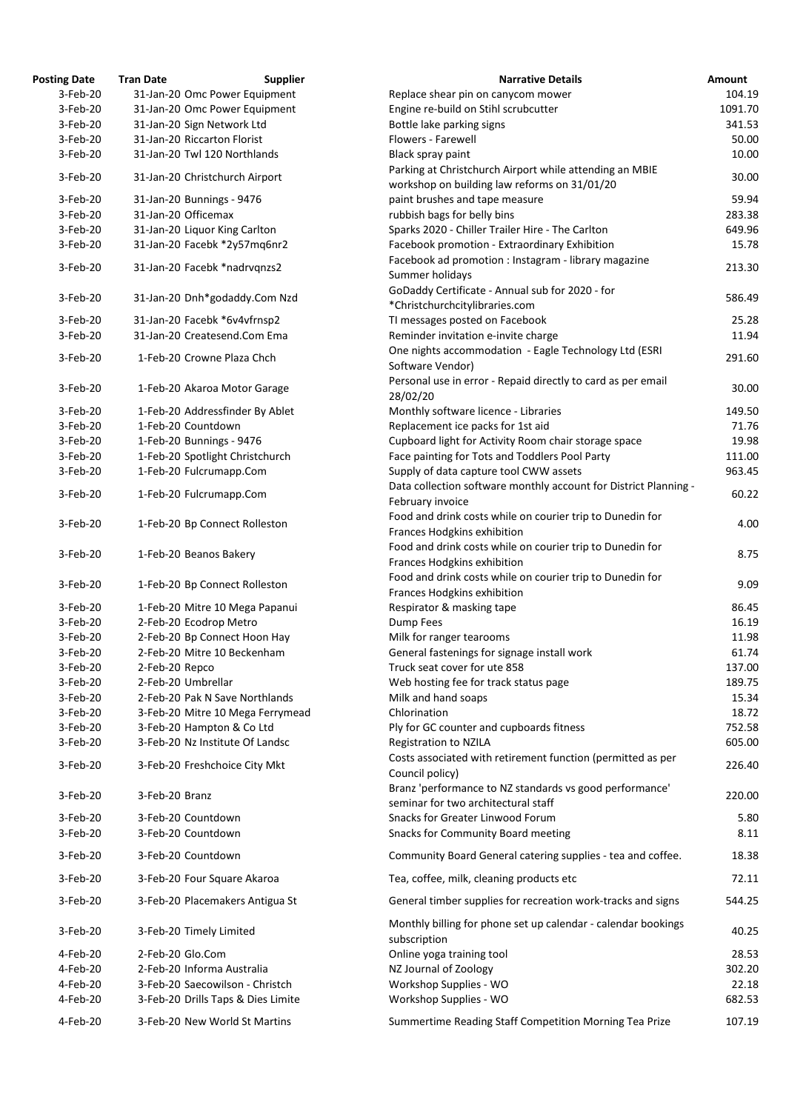| <b>Posting Date</b> | <b>Tran Date</b>    | <b>Supplier</b>                    | <b>Narrative Details</b>                                                                 | <b>Amount</b> |
|---------------------|---------------------|------------------------------------|------------------------------------------------------------------------------------------|---------------|
| 3-Feb-20            |                     | 31-Jan-20 Omc Power Equipment      | Replace shear pin on canycom mower                                                       | 104.19        |
| 3-Feb-20            |                     | 31-Jan-20 Omc Power Equipment      | Engine re-build on Stihl scrubcutter                                                     | 1091.70       |
| 3-Feb-20            |                     | 31-Jan-20 Sign Network Ltd         | Bottle lake parking signs                                                                | 341.53        |
| 3-Feb-20            |                     | 31-Jan-20 Riccarton Florist        | Flowers - Farewell                                                                       | 50.00         |
| 3-Feb-20            |                     | 31-Jan-20 Twl 120 Northlands       | Black spray paint                                                                        | 10.00         |
|                     |                     |                                    | Parking at Christchurch Airport while attending an MBIE                                  |               |
| 3-Feb-20            |                     | 31-Jan-20 Christchurch Airport     | workshop on building law reforms on 31/01/20                                             | 30.00         |
| 3-Feb-20            |                     | 31-Jan-20 Bunnings - 9476          | paint brushes and tape measure                                                           | 59.94         |
| 3-Feb-20            | 31-Jan-20 Officemax |                                    | rubbish bags for belly bins                                                              | 283.38        |
|                     |                     |                                    |                                                                                          |               |
| 3-Feb-20            |                     | 31-Jan-20 Liquor King Carlton      | Sparks 2020 - Chiller Trailer Hire - The Carlton                                         | 649.96        |
| 3-Feb-20            |                     | 31-Jan-20 Facebk *2y57mq6nr2       | Facebook promotion - Extraordinary Exhibition                                            | 15.78         |
| 3-Feb-20            |                     | 31-Jan-20 Facebk *nadrvqnzs2       | Facebook ad promotion : Instagram - library magazine<br>Summer holidays                  | 213.30        |
| 3-Feb-20            |                     | 31-Jan-20 Dnh*godaddy.Com Nzd      | GoDaddy Certificate - Annual sub for 2020 - for                                          | 586.49        |
|                     |                     |                                    | *Christchurchcitylibraries.com                                                           |               |
| 3-Feb-20            |                     | 31-Jan-20 Facebk *6v4vfrnsp2       | TI messages posted on Facebook                                                           | 25.28         |
| 3-Feb-20            |                     | 31-Jan-20 Createsend.Com Ema       | Reminder invitation e-invite charge                                                      | 11.94         |
|                     |                     |                                    | One nights accommodation - Eagle Technology Ltd (ESRI                                    |               |
| 3-Feb-20            |                     | 1-Feb-20 Crowne Plaza Chch         | Software Vendor)                                                                         | 291.60        |
|                     |                     |                                    | Personal use in error - Repaid directly to card as per email                             |               |
| 3-Feb-20            |                     | 1-Feb-20 Akaroa Motor Garage       | 28/02/20                                                                                 | 30.00         |
| 3-Feb-20            |                     | 1-Feb-20 Addressfinder By Ablet    | Monthly software licence - Libraries                                                     | 149.50        |
| 3-Feb-20            |                     | 1-Feb-20 Countdown                 | Replacement ice packs for 1st aid                                                        | 71.76         |
| 3-Feb-20            |                     | 1-Feb-20 Bunnings - 9476           |                                                                                          | 19.98         |
|                     |                     |                                    | Cupboard light for Activity Room chair storage space                                     |               |
| 3-Feb-20            |                     | 1-Feb-20 Spotlight Christchurch    | Face painting for Tots and Toddlers Pool Party                                           | 111.00        |
| 3-Feb-20            |                     | 1-Feb-20 Fulcrumapp.Com            | Supply of data capture tool CWW assets                                                   | 963.45        |
| 3-Feb-20            |                     | 1-Feb-20 Fulcrumapp.Com            | Data collection software monthly account for District Planning -<br>February invoice     | 60.22         |
| $3-Feb-20$          |                     | 1-Feb-20 Bp Connect Rolleston      | Food and drink costs while on courier trip to Dunedin for<br>Frances Hodgkins exhibition | 4.00          |
|                     |                     |                                    | Food and drink costs while on courier trip to Dunedin for                                |               |
| 3-Feb-20            |                     | 1-Feb-20 Beanos Bakery             | Frances Hodgkins exhibition                                                              | 8.75          |
|                     |                     |                                    | Food and drink costs while on courier trip to Dunedin for                                |               |
| 3-Feb-20            |                     | 1-Feb-20 Bp Connect Rolleston      | Frances Hodgkins exhibition                                                              | 9.09          |
| 3-Feb-20            |                     | 1-Feb-20 Mitre 10 Mega Papanui     | Respirator & masking tape                                                                | 86.45         |
| 3-Feb-20            |                     | 2-Feb-20 Ecodrop Metro             | Dump Fees                                                                                | 16.19         |
|                     |                     |                                    |                                                                                          |               |
| 3-Feb-20            |                     | 2-Feb-20 Bp Connect Hoon Hay       | Milk for ranger tearooms                                                                 | 11.98         |
| 3-Feb-20            |                     | 2-Feb-20 Mitre 10 Beckenham        | General fastenings for signage install work                                              | 61.74         |
| 3-Feb-20            | 2-Feb-20 Repco      |                                    | Truck seat cover for ute 858                                                             | 137.00        |
| 3-Feb-20            | 2-Feb-20 Umbrellar  |                                    | Web hosting fee for track status page                                                    | 189.75        |
| 3-Feb-20            |                     | 2-Feb-20 Pak N Save Northlands     | Milk and hand soaps                                                                      | 15.34         |
| 3-Feb-20            |                     | 3-Feb-20 Mitre 10 Mega Ferrymead   | Chlorination                                                                             | 18.72         |
| 3-Feb-20            |                     | 3-Feb-20 Hampton & Co Ltd          | Ply for GC counter and cupboards fitness                                                 | 752.58        |
| 3-Feb-20            |                     | 3-Feb-20 Nz Institute Of Landsc    | <b>Registration to NZILA</b>                                                             | 605.00        |
| 3-Feb-20            |                     | 3-Feb-20 Freshchoice City Mkt      | Costs associated with retirement function (permitted as per                              | 226.40        |
| 3-Feb-20            | 3-Feb-20 Branz      |                                    | Council policy)<br>Branz 'performance to NZ standards vs good performance'               | 220.00        |
|                     |                     |                                    | seminar for two architectural staff                                                      |               |
| 3-Feb-20            |                     | 3-Feb-20 Countdown                 | <b>Snacks for Greater Linwood Forum</b>                                                  | 5.80          |
| 3-Feb-20            |                     | 3-Feb-20 Countdown                 | <b>Snacks for Community Board meeting</b>                                                | 8.11          |
| 3-Feb-20            |                     | 3-Feb-20 Countdown                 | Community Board General catering supplies - tea and coffee.                              | 18.38         |
| 3-Feb-20            |                     | 3-Feb-20 Four Square Akaroa        | Tea, coffee, milk, cleaning products etc                                                 | 72.11         |
| 3-Feb-20            |                     | 3-Feb-20 Placemakers Antigua St    | General timber supplies for recreation work-tracks and signs                             | 544.25        |
| 3-Feb-20            |                     | 3-Feb-20 Timely Limited            | Monthly billing for phone set up calendar - calendar bookings<br>subscription            | 40.25         |
| 4-Feb-20            | 2-Feb-20 Glo.Com    |                                    | Online yoga training tool                                                                | 28.53         |
| 4-Feb-20            |                     | 2-Feb-20 Informa Australia         | NZ Journal of Zoology                                                                    | 302.20        |
|                     |                     |                                    |                                                                                          |               |
| 4-Feb-20            |                     | 3-Feb-20 Saecowilson - Christch    | Workshop Supplies - WO                                                                   | 22.18         |
| 4-Feb-20            |                     | 3-Feb-20 Drills Taps & Dies Limite | Workshop Supplies - WO                                                                   | 682.53        |
| 4-Feb-20            |                     | 3-Feb-20 New World St Martins      | Summertime Reading Staff Competition Morning Tea Prize                                   | 107.19        |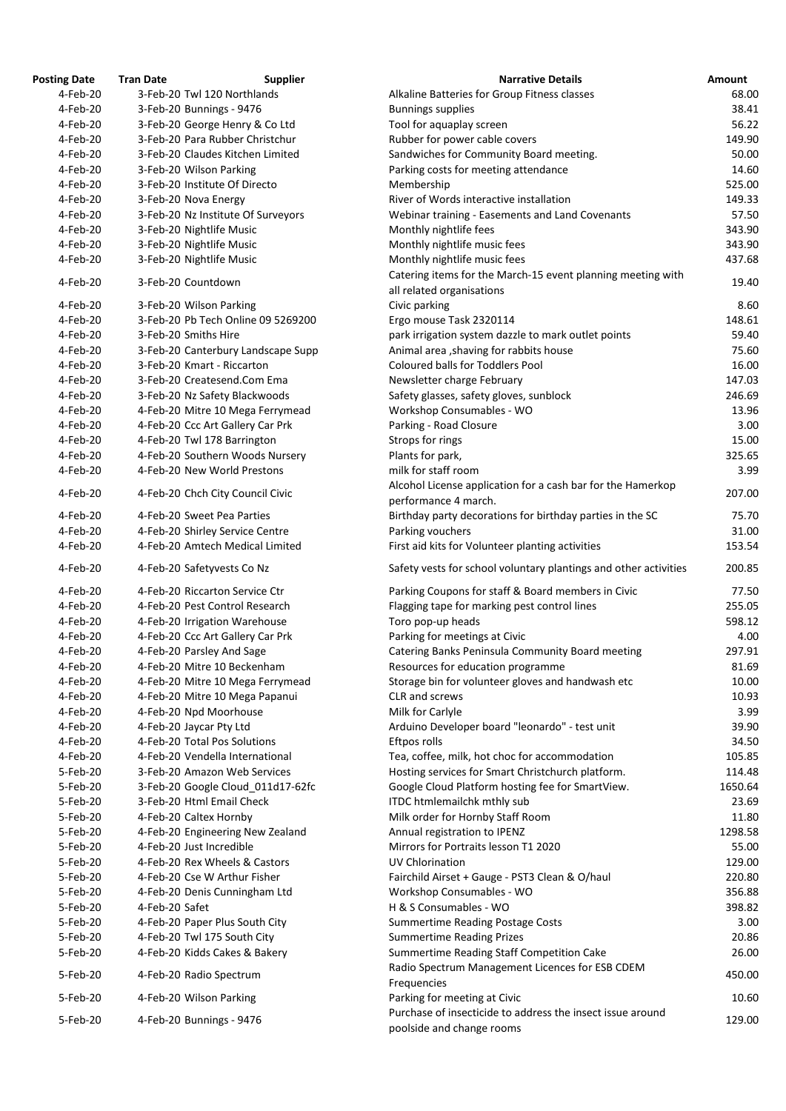| osting Date | <b>Tran Date</b> | <b>Supplier</b>                    | <b>Narrative Details</b>                                                              |
|-------------|------------------|------------------------------------|---------------------------------------------------------------------------------------|
| 4-Feb-20    |                  | 3-Feb-20 Twl 120 Northlands        | Alkaline Batteries for Group Fitness classes                                          |
| 4-Feb-20    |                  | 3-Feb-20 Bunnings - 9476           | <b>Bunnings supplies</b>                                                              |
| 4-Feb-20    |                  | 3-Feb-20 George Henry & Co Ltd     | Tool for aquaplay screen                                                              |
| 4-Feb-20    |                  | 3-Feb-20 Para Rubber Christchur    | Rubber for power cable covers                                                         |
| 4-Feb-20    |                  | 3-Feb-20 Claudes Kitchen Limited   | Sandwiches for Community Board meeting.                                               |
| 4-Feb-20    |                  | 3-Feb-20 Wilson Parking            | Parking costs for meeting attendance                                                  |
| 4-Feb-20    |                  | 3-Feb-20 Institute Of Directo      | Membership                                                                            |
| 4-Feb-20    |                  | 3-Feb-20 Nova Energy               | River of Words interactive installation                                               |
| 4-Feb-20    |                  | 3-Feb-20 Nz Institute Of Surveyors | Webinar training - Easements and Land Covenants                                       |
| 4-Feb-20    |                  | 3-Feb-20 Nightlife Music           | Monthly nightlife fees                                                                |
| 4-Feb-20    |                  | 3-Feb-20 Nightlife Music           | Monthly nightlife music fees                                                          |
| 4-Feb-20    |                  | 3-Feb-20 Nightlife Music           | Monthly nightlife music fees                                                          |
| 4-Feb-20    |                  | 3-Feb-20 Countdown                 | Catering items for the March-15 event planning meeting v<br>all related organisations |
| 4-Feb-20    |                  | 3-Feb-20 Wilson Parking            | Civic parking                                                                         |
| 4-Feb-20    |                  | 3-Feb-20 Pb Tech Online 09 5269200 | Ergo mouse Task 2320114                                                               |
| 4-Feb-20    |                  | 3-Feb-20 Smiths Hire               | park irrigation system dazzle to mark outlet points                                   |
| 4-Feb-20    |                  | 3-Feb-20 Canterbury Landscape Supp | Animal area, shaving for rabbits house                                                |
| 4-Feb-20    |                  | 3-Feb-20 Kmart - Riccarton         | <b>Coloured balls for Toddlers Pool</b>                                               |
| 4-Feb-20    |                  | 3-Feb-20 Createsend.Com Ema        | Newsletter charge February                                                            |
| 4-Feb-20    |                  | 3-Feb-20 Nz Safety Blackwoods      | Safety glasses, safety gloves, sunblock                                               |
| 4-Feb-20    |                  | 4-Feb-20 Mitre 10 Mega Ferrymead   | Workshop Consumables - WO                                                             |
| 4-Feb-20    |                  | 4-Feb-20 Ccc Art Gallery Car Prk   | Parking - Road Closure                                                                |
| 4-Feb-20    |                  | 4-Feb-20 Twl 178 Barrington        | Strops for rings                                                                      |
| 4-Feb-20    |                  | 4-Feb-20 Southern Woods Nursery    | Plants for park,                                                                      |
| 4-Feb-20    |                  | 4-Feb-20 New World Prestons        | milk for staff room                                                                   |
| 4-Feb-20    |                  | 4-Feb-20 Chch City Council Civic   | Alcohol License application for a cash bar for the Hamerko                            |
|             |                  |                                    | performance 4 march.                                                                  |
| 4-Feb-20    |                  | 4-Feb-20 Sweet Pea Parties         | Birthday party decorations for birthday parties in the SC                             |
| 4-Feb-20    |                  | 4-Feb-20 Shirley Service Centre    | Parking vouchers                                                                      |
| 4-Feb-20    |                  | 4-Feb-20 Amtech Medical Limited    | First aid kits for Volunteer planting activities                                      |
| 4-Feb-20    |                  | 4-Feb-20 Safetyvests Co Nz         | Safety vests for school voluntary plantings and other activ                           |
| 4-Feb-20    |                  | 4-Feb-20 Riccarton Service Ctr     | Parking Coupons for staff & Board members in Civic                                    |
| 4-Feb-20    |                  | 4-Feb-20 Pest Control Research     | Flagging tape for marking pest control lines                                          |
| 4-Feb-20    |                  | 4-Feb-20 Irrigation Warehouse      | Toro pop-up heads                                                                     |
| 4-Feb-20    |                  | 4-Feb-20 Ccc Art Gallery Car Prk   | Parking for meetings at Civic                                                         |
| 4-Feb-20    |                  | 4-Feb-20 Parsley And Sage          | Catering Banks Peninsula Community Board meeting                                      |
| 4-Feb-20    |                  | 4-Feb-20 Mitre 10 Beckenham        | Resources for education programme                                                     |
| 4-Feb-20    |                  | 4-Feb-20 Mitre 10 Mega Ferrymead   | Storage bin for volunteer gloves and handwash etc                                     |
| 4-Feb-20    |                  | 4-Feb-20 Mitre 10 Mega Papanui     | CLR and screws                                                                        |
| 4-Feb-20    |                  | 4-Feb-20 Npd Moorhouse             | Milk for Carlyle                                                                      |
| 4-Feb-20    |                  | 4-Feb-20 Jaycar Pty Ltd            | Arduino Developer board "leonardo" - test unit                                        |
| 4-Feb-20    |                  | 4-Feb-20 Total Pos Solutions       | Eftpos rolls                                                                          |
| 4-Feb-20    |                  | 4-Feb-20 Vendella International    | Tea, coffee, milk, hot choc for accommodation                                         |
| 5-Feb-20    |                  | 3-Feb-20 Amazon Web Services       | Hosting services for Smart Christchurch platform.                                     |
| 5-Feb-20    |                  | 3-Feb-20 Google Cloud_011d17-62fc  | Google Cloud Platform hosting fee for SmartView.                                      |
| 5-Feb-20    |                  | 3-Feb-20 Html Email Check          | ITDC htmlemailchk mthly sub                                                           |
| 5-Feb-20    |                  | 4-Feb-20 Caltex Hornby             | Milk order for Hornby Staff Room                                                      |
| 5-Feb-20    |                  | 4-Feb-20 Engineering New Zealand   | Annual registration to IPENZ                                                          |
| 5-Feb-20    |                  | 4-Feb-20 Just Incredible           | Mirrors for Portraits lesson T1 2020                                                  |
| 5-Feb-20    |                  | 4-Feb-20 Rex Wheels & Castors      | <b>UV Chlorination</b>                                                                |
| 5-Feb-20    |                  | 4-Feb-20 Cse W Arthur Fisher       | Fairchild Airset + Gauge - PST3 Clean & O/haul                                        |
| 5-Feb-20    |                  | 4-Feb-20 Denis Cunningham Ltd      | Workshop Consumables - WO                                                             |
| 5-Feb-20    | 4-Feb-20 Safet   |                                    | H & S Consumables - WO                                                                |
| 5-Feb-20    |                  | 4-Feb-20 Paper Plus South City     | <b>Summertime Reading Postage Costs</b>                                               |
| 5-Feb-20    |                  | 4-Feb-20 Twl 175 South City        | <b>Summertime Reading Prizes</b>                                                      |
| 5-Feb-20    |                  | 4-Feb-20 Kidds Cakes & Bakery      | Summertime Reading Staff Competition Cake                                             |
| 5-Feb-20    |                  | 4-Feb-20 Radio Spectrum            | Radio Spectrum Management Licences for ESB CDEM<br>Frequencies                        |
| 5-Feb-20    |                  | 4-Feb-20 Wilson Parking            | Parking for meeting at Civic                                                          |
| 5-Feb-20    |                  | 4-Feb-20 Bunnings - 9476           | Purchase of insecticide to address the insect issue around                            |
|             |                  |                                    | poolside and change rooms                                                             |

| <b>Posting Date</b> | <b>Tran Date</b> | <b>Supplier</b>                    | <b>Narrative Details</b>                                                            | Amount  |
|---------------------|------------------|------------------------------------|-------------------------------------------------------------------------------------|---------|
| 4-Feb-20            |                  | 3-Feb-20 Twl 120 Northlands        | Alkaline Batteries for Group Fitness classes                                        | 68.00   |
| 4-Feb-20            |                  | 3-Feb-20 Bunnings - 9476           | <b>Bunnings supplies</b>                                                            | 38.41   |
| 4-Feb-20            |                  | 3-Feb-20 George Henry & Co Ltd     | Tool for aquaplay screen                                                            | 56.22   |
| 4-Feb-20            |                  | 3-Feb-20 Para Rubber Christchur    | Rubber for power cable covers                                                       | 149.90  |
| 4-Feb-20            |                  | 3-Feb-20 Claudes Kitchen Limited   | Sandwiches for Community Board meeting.                                             | 50.00   |
| 4-Feb-20            |                  | 3-Feb-20 Wilson Parking            | Parking costs for meeting attendance                                                | 14.60   |
| 4-Feb-20            |                  | 3-Feb-20 Institute Of Directo      | Membership                                                                          | 525.00  |
| 4-Feb-20            |                  | 3-Feb-20 Nova Energy               | River of Words interactive installation                                             | 149.33  |
| 4-Feb-20            |                  | 3-Feb-20 Nz Institute Of Surveyors | Webinar training - Easements and Land Covenants                                     | 57.50   |
| 4-Feb-20            |                  | 3-Feb-20 Nightlife Music           | Monthly nightlife fees                                                              | 343.90  |
| 4-Feb-20            |                  | 3-Feb-20 Nightlife Music           | Monthly nightlife music fees                                                        | 343.90  |
| 4-Feb-20            |                  | 3-Feb-20 Nightlife Music           | Monthly nightlife music fees                                                        | 437.68  |
|                     |                  |                                    | Catering items for the March-15 event planning meeting with                         |         |
| 4-Feb-20            |                  | 3-Feb-20 Countdown                 | all related organisations                                                           | 19.40   |
| 4-Feb-20            |                  | 3-Feb-20 Wilson Parking            | Civic parking                                                                       | 8.60    |
| 4-Feb-20            |                  | 3-Feb-20 Pb Tech Online 09 5269200 | Ergo mouse Task 2320114                                                             | 148.61  |
| 4-Feb-20            |                  | 3-Feb-20 Smiths Hire               | park irrigation system dazzle to mark outlet points                                 | 59.40   |
| 4-Feb-20            |                  | 3-Feb-20 Canterbury Landscape Supp | Animal area, shaving for rabbits house                                              | 75.60   |
| 4-Feb-20            |                  | 3-Feb-20 Kmart - Riccarton         | <b>Coloured balls for Toddlers Pool</b>                                             | 16.00   |
| 4-Feb-20            |                  | 3-Feb-20 Createsend.Com Ema        | Newsletter charge February                                                          | 147.03  |
| 4-Feb-20            |                  | 3-Feb-20 Nz Safety Blackwoods      | Safety glasses, safety gloves, sunblock                                             | 246.69  |
| 4-Feb-20            |                  |                                    | Workshop Consumables - WO                                                           | 13.96   |
|                     |                  | 4-Feb-20 Mitre 10 Mega Ferrymead   |                                                                                     |         |
| 4-Feb-20            |                  | 4-Feb-20 Ccc Art Gallery Car Prk   | Parking - Road Closure                                                              | 3.00    |
| 4-Feb-20            |                  | 4-Feb-20 Twl 178 Barrington        | Strops for rings                                                                    | 15.00   |
| 4-Feb-20            |                  | 4-Feb-20 Southern Woods Nursery    | Plants for park,                                                                    | 325.65  |
| 4-Feb-20            |                  | 4-Feb-20 New World Prestons        | milk for staff room                                                                 | 3.99    |
| 4-Feb-20            |                  | 4-Feb-20 Chch City Council Civic   | Alcohol License application for a cash bar for the Hamerkop<br>performance 4 march. | 207.00  |
| 4-Feb-20            |                  | 4-Feb-20 Sweet Pea Parties         | Birthday party decorations for birthday parties in the SC                           | 75.70   |
| 4-Feb-20            |                  | 4-Feb-20 Shirley Service Centre    | Parking vouchers                                                                    | 31.00   |
| 4-Feb-20            |                  | 4-Feb-20 Amtech Medical Limited    | First aid kits for Volunteer planting activities                                    | 153.54  |
| 4-Feb-20            |                  | 4-Feb-20 Safetyvests Co Nz         | Safety vests for school voluntary plantings and other activities                    | 200.85  |
| 4-Feb-20            |                  | 4-Feb-20 Riccarton Service Ctr     | Parking Coupons for staff & Board members in Civic                                  | 77.50   |
| 4-Feb-20            |                  | 4-Feb-20 Pest Control Research     | Flagging tape for marking pest control lines                                        | 255.05  |
| 4-Feb-20            |                  | 4-Feb-20 Irrigation Warehouse      | Toro pop-up heads                                                                   | 598.12  |
| 4-Feb-20            |                  | 4-Feb-20 Ccc Art Gallery Car Prk   | Parking for meetings at Civic                                                       | 4.00    |
| 4-Feb-20            |                  | 4-Feb-20 Parsley And Sage          | Catering Banks Peninsula Community Board meeting                                    | 297.91  |
| 4-Feb-20            |                  | 4-Feb-20 Mitre 10 Beckenham        | Resources for education programme                                                   | 81.69   |
| 4-Feb-20            |                  | 4-Feb-20 Mitre 10 Mega Ferrymead   | Storage bin for volunteer gloves and handwash etc                                   | 10.00   |
| 4-Feb-20            |                  | 4-Feb-20 Mitre 10 Mega Papanui     | CLR and screws                                                                      | 10.93   |
| 4-Feb-20            |                  | 4-Feb-20 Npd Moorhouse             | Milk for Carlyle                                                                    | 3.99    |
| 4-Feb-20            |                  | 4-Feb-20 Jaycar Pty Ltd            | Arduino Developer board "leonardo" - test unit                                      | 39.90   |
| 4-Feb-20            |                  | 4-Feb-20 Total Pos Solutions       | Eftpos rolls                                                                        | 34.50   |
| 4-Feb-20            |                  | 4-Feb-20 Vendella International    | Tea, coffee, milk, hot choc for accommodation                                       | 105.85  |
| 5-Feb-20            |                  | 3-Feb-20 Amazon Web Services       | Hosting services for Smart Christchurch platform.                                   | 114.48  |
|                     |                  |                                    |                                                                                     | 1650.64 |
| 5-Feb-20            |                  | 3-Feb-20 Google Cloud 011d17-62fc  | Google Cloud Platform hosting fee for SmartView.                                    |         |
| 5-Feb-20            |                  | 3-Feb-20 Html Email Check          | <b>ITDC htmlemailchk mthly sub</b>                                                  | 23.69   |
| 5-Feb-20            |                  | 4-Feb-20 Caltex Hornby             | Milk order for Hornby Staff Room                                                    | 11.80   |
| 5-Feb-20            |                  | 4-Feb-20 Engineering New Zealand   | Annual registration to IPENZ                                                        | 1298.58 |
| 5-Feb-20            |                  | 4-Feb-20 Just Incredible           | Mirrors for Portraits lesson T1 2020                                                | 55.00   |
| 5-Feb-20            |                  | 4-Feb-20 Rex Wheels & Castors      | <b>UV Chlorination</b>                                                              | 129.00  |
| 5-Feb-20            |                  | 4-Feb-20 Cse W Arthur Fisher       | Fairchild Airset + Gauge - PST3 Clean & O/haul                                      | 220.80  |
| 5-Feb-20            |                  | 4-Feb-20 Denis Cunningham Ltd      | Workshop Consumables - WO                                                           | 356.88  |
| 5-Feb-20            | 4-Feb-20 Safet   |                                    | H & S Consumables - WO                                                              | 398.82  |
| 5-Feb-20            |                  | 4-Feb-20 Paper Plus South City     | <b>Summertime Reading Postage Costs</b>                                             | 3.00    |
| 5-Feb-20            |                  | 4-Feb-20 Twl 175 South City        | <b>Summertime Reading Prizes</b>                                                    | 20.86   |
| 5-Feb-20            |                  | 4-Feb-20 Kidds Cakes & Bakery      | Summertime Reading Staff Competition Cake                                           | 26.00   |
| 5-Feb-20            |                  | 4-Feb-20 Radio Spectrum            | Radio Spectrum Management Licences for ESB CDEM<br>Frequencies                      | 450.00  |
| 5-Feb-20            |                  | 4-Feb-20 Wilson Parking            | Parking for meeting at Civic                                                        | 10.60   |
| 5-Feb-20            |                  | 4-Feb-20 Bunnings - 9476           | Purchase of insecticide to address the insect issue around                          | 129.00  |
|                     |                  |                                    | poolside and change rooms                                                           |         |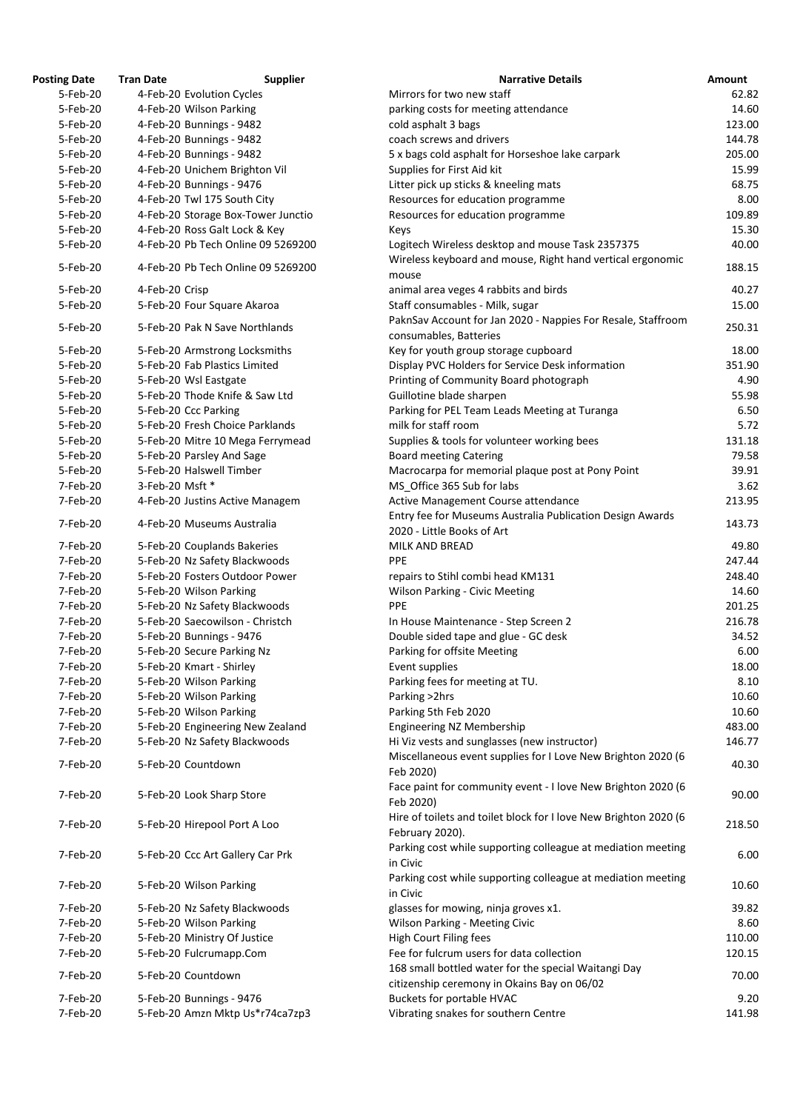| <b>Posting Date</b> | <b>Tran Date</b> | <b>Supplier</b>                    | <b>Narrative Details</b>                                                                | <b>Amount</b> |
|---------------------|------------------|------------------------------------|-----------------------------------------------------------------------------------------|---------------|
| 5-Feb-20            |                  | 4-Feb-20 Evolution Cycles          | Mirrors for two new staff                                                               | 62.           |
| 5-Feb-20            |                  | 4-Feb-20 Wilson Parking            | parking costs for meeting attendance                                                    | 14.           |
| 5-Feb-20            |                  | 4-Feb-20 Bunnings - 9482           | cold asphalt 3 bags                                                                     | 123.          |
| 5-Feb-20            |                  | 4-Feb-20 Bunnings - 9482           | coach screws and drivers                                                                | 144.          |
| 5-Feb-20            |                  | 4-Feb-20 Bunnings - 9482           | 5 x bags cold asphalt for Horseshoe lake carpark                                        | 205.          |
| 5-Feb-20            |                  | 4-Feb-20 Unichem Brighton Vil      | Supplies for First Aid kit                                                              | 15.           |
| 5-Feb-20            |                  | 4-Feb-20 Bunnings - 9476           | Litter pick up sticks & kneeling mats                                                   | 68.           |
| 5-Feb-20            |                  | 4-Feb-20 Twl 175 South City        | Resources for education programme                                                       | 8.            |
| 5-Feb-20            |                  | 4-Feb-20 Storage Box-Tower Junctio | Resources for education programme                                                       | 109.          |
| 5-Feb-20            |                  | 4-Feb-20 Ross Galt Lock & Key      | Keys                                                                                    | 15.           |
| 5-Feb-20            |                  | 4-Feb-20 Pb Tech Online 09 5269200 | Logitech Wireless desktop and mouse Task 2357375                                        | 40.           |
| 5-Feb-20            |                  | 4-Feb-20 Pb Tech Online 09 5269200 | Wireless keyboard and mouse, Right hand vertical ergonomic<br>mouse                     | 188.          |
| 5-Feb-20            | 4-Feb-20 Crisp   |                                    | animal area veges 4 rabbits and birds                                                   | 40.           |
| 5-Feb-20            |                  | 5-Feb-20 Four Square Akaroa        | Staff consumables - Milk, sugar                                                         | 15.           |
| 5-Feb-20            |                  | 5-Feb-20 Pak N Save Northlands     | PaknSav Account for Jan 2020 - Nappies For Resale, Staffroom<br>consumables, Batteries  | 250.          |
| 5-Feb-20            |                  | 5-Feb-20 Armstrong Locksmiths      | Key for youth group storage cupboard                                                    | 18.           |
| 5-Feb-20            |                  | 5-Feb-20 Fab Plastics Limited      | Display PVC Holders for Service Desk information                                        | 351.          |
| 5-Feb-20            |                  | 5-Feb-20 Wsl Eastgate              | Printing of Community Board photograph                                                  | 4.            |
| 5-Feb-20            |                  | 5-Feb-20 Thode Knife & Saw Ltd     | Guillotine blade sharpen                                                                | 55.           |
| 5-Feb-20            |                  | 5-Feb-20 Ccc Parking               | Parking for PEL Team Leads Meeting at Turanga                                           | 6.            |
| 5-Feb-20            |                  | 5-Feb-20 Fresh Choice Parklands    | milk for staff room                                                                     | 5.            |
| 5-Feb-20            |                  | 5-Feb-20 Mitre 10 Mega Ferrymead   | Supplies & tools for volunteer working bees                                             | 131.          |
| 5-Feb-20            |                  | 5-Feb-20 Parsley And Sage          | <b>Board meeting Catering</b>                                                           | 79.           |
| 5-Feb-20            |                  | 5-Feb-20 Halswell Timber           | Macrocarpa for memorial plaque post at Pony Point                                       | 39.           |
| 7-Feb-20            | 3-Feb-20 Msft *  |                                    | MS Office 365 Sub for labs                                                              | 3.            |
| 7-Feb-20            |                  | 4-Feb-20 Justins Active Managem    | Active Management Course attendance                                                     | 213.          |
| 7-Feb-20            |                  | 4-Feb-20 Museums Australia         | Entry fee for Museums Australia Publication Design Awards<br>2020 - Little Books of Art | 143.          |
| 7-Feb-20            |                  | 5-Feb-20 Couplands Bakeries        | MILK AND BREAD                                                                          | 49.           |
| 7-Feb-20            |                  | 5-Feb-20 Nz Safety Blackwoods      | <b>PPE</b>                                                                              | 247.          |
| 7-Feb-20            |                  | 5-Feb-20 Fosters Outdoor Power     | repairs to Stihl combi head KM131                                                       | 248.          |
| 7-Feb-20            |                  | 5-Feb-20 Wilson Parking            | <b>Wilson Parking - Civic Meeting</b>                                                   | 14.           |
| 7-Feb-20            |                  | 5-Feb-20 Nz Safety Blackwoods      | <b>PPE</b>                                                                              | 201.          |
| 7-Feb-20            |                  | 5-Feb-20 Saecowilson - Christch    |                                                                                         |               |
|                     |                  |                                    | In House Maintenance - Step Screen 2                                                    | 216.          |
| 7-Feb-20            |                  | 5-Feb-20 Bunnings - 9476           | Double sided tape and glue - GC desk                                                    | 34.           |
| 7-Feb-20            |                  | 5-Feb-20 Secure Parking Nz         | Parking for offsite Meeting                                                             | 6.            |
| 7-Feb-20            |                  | 5-Feb-20 Kmart - Shirley           | Event supplies                                                                          | 18.           |
| 7-Feb-20            |                  | 5-Feb-20 Wilson Parking            | Parking fees for meeting at TU.                                                         | 8.            |
| 7-Feb-20            |                  | 5-Feb-20 Wilson Parking            | Parking > 2hrs                                                                          | 10.           |
| 7-Feb-20            |                  | 5-Feb-20 Wilson Parking            | Parking 5th Feb 2020                                                                    | 10.           |
| 7-Feb-20            |                  | 5-Feb-20 Engineering New Zealand   | <b>Engineering NZ Membership</b>                                                        | 483.          |
| 7-Feb-20            |                  | 5-Feb-20 Nz Safety Blackwoods      | Hi Viz vests and sunglasses (new instructor)                                            | 146.          |
| 7-Feb-20            |                  | 5-Feb-20 Countdown                 | Miscellaneous event supplies for I Love New Brighton 2020 (6<br>Feb 2020)               | 40.           |
| 7-Feb-20            |                  | 5-Feb-20 Look Sharp Store          | Face paint for community event - I love New Brighton 2020 (6<br>Feb 2020)               | 90.           |
| 7-Feb-20            |                  | 5-Feb-20 Hirepool Port A Loo       | Hire of toilets and toilet block for I love New Brighton 2020 (6<br>February 2020).     | 218.          |
| 7-Feb-20            |                  | 5-Feb-20 Ccc Art Gallery Car Prk   | Parking cost while supporting colleague at mediation meeting<br>in Civic                | 6.            |
| 7-Feb-20            |                  | 5-Feb-20 Wilson Parking            | Parking cost while supporting colleague at mediation meeting<br>in Civic                | 10.           |
| 7-Feb-20            |                  | 5-Feb-20 Nz Safety Blackwoods      | glasses for mowing, ninja groves x1.                                                    | 39.           |
| 7-Feb-20            |                  | 5-Feb-20 Wilson Parking            | <b>Wilson Parking - Meeting Civic</b>                                                   | 8.            |
| 7-Feb-20            |                  | 5-Feb-20 Ministry Of Justice       | High Court Filing fees                                                                  | 110.          |
| 7-Feb-20            |                  | 5-Feb-20 Fulcrumapp.Com            | Fee for fulcrum users for data collection                                               | 120.          |
|                     |                  |                                    | 168 small bottled water for the special Waitangi Day                                    |               |
| 7-Feb-20            |                  | 5-Feb-20 Countdown                 | citizenship ceremony in Okains Bay on 06/02                                             | 70.           |
| 7-Feb-20            |                  | 5-Feb-20 Bunnings - 9476           | Buckets for portable HVAC                                                               | 9.            |
| 7-Feb-20            |                  | 5-Feb-20 Amzn Mktp Us*r74ca7zp3    | Vibrating snakes for southern Centre                                                    | 141.          |

| ig vale  | Hall Date<br><b>Supplici</b>       | <b>Natially Details</b>                                                                 | AIIIUUIIL |
|----------|------------------------------------|-----------------------------------------------------------------------------------------|-----------|
| 5-Feb-20 | 4-Feb-20 Evolution Cycles          | Mirrors for two new staff                                                               | 62.82     |
| 5-Feb-20 | 4-Feb-20 Wilson Parking            | parking costs for meeting attendance                                                    | 14.60     |
| 5-Feb-20 | 4-Feb-20 Bunnings - 9482           | cold asphalt 3 bags                                                                     | 123.00    |
| 5-Feb-20 | 4-Feb-20 Bunnings - 9482           | coach screws and drivers                                                                | 144.78    |
| 5-Feb-20 | 4-Feb-20 Bunnings - 9482           | 5 x bags cold asphalt for Horseshoe lake carpark                                        | 205.00    |
| 5-Feb-20 | 4-Feb-20 Unichem Brighton Vil      | Supplies for First Aid kit                                                              | 15.99     |
|          |                                    |                                                                                         |           |
| 5-Feb-20 | 4-Feb-20 Bunnings - 9476           | Litter pick up sticks & kneeling mats                                                   | 68.75     |
| 5-Feb-20 | 4-Feb-20 Twl 175 South City        | Resources for education programme                                                       | 8.00      |
| 5-Feb-20 | 4-Feb-20 Storage Box-Tower Junctio | Resources for education programme                                                       | 109.89    |
| 5-Feb-20 | 4-Feb-20 Ross Galt Lock & Key      | Keys                                                                                    | 15.30     |
| 5-Feb-20 | 4-Feb-20 Pb Tech Online 09 5269200 | Logitech Wireless desktop and mouse Task 2357375                                        | 40.00     |
| 5-Feb-20 | 4-Feb-20 Pb Tech Online 09 5269200 | Wireless keyboard and mouse, Right hand vertical ergonomic<br>mouse                     | 188.15    |
| 5-Feb-20 | 4-Feb-20 Crisp                     | animal area veges 4 rabbits and birds                                                   | 40.27     |
| 5-Feb-20 | 5-Feb-20 Four Square Akaroa        | Staff consumables - Milk, sugar                                                         | 15.00     |
|          |                                    |                                                                                         |           |
| 5-Feb-20 | 5-Feb-20 Pak N Save Northlands     | PaknSav Account for Jan 2020 - Nappies For Resale, Staffroom<br>consumables, Batteries  | 250.31    |
| 5-Feb-20 | 5-Feb-20 Armstrong Locksmiths      | Key for youth group storage cupboard                                                    | 18.00     |
| 5-Feb-20 | 5-Feb-20 Fab Plastics Limited      | Display PVC Holders for Service Desk information                                        | 351.90    |
| 5-Feb-20 | 5-Feb-20 Wsl Eastgate              | Printing of Community Board photograph                                                  | 4.90      |
| 5-Feb-20 | 5-Feb-20 Thode Knife & Saw Ltd     | Guillotine blade sharpen                                                                | 55.98     |
|          |                                    |                                                                                         |           |
| 5-Feb-20 | 5-Feb-20 Ccc Parking               | Parking for PEL Team Leads Meeting at Turanga                                           | 6.50      |
| 5-Feb-20 | 5-Feb-20 Fresh Choice Parklands    | milk for staff room                                                                     | 5.72      |
| 5-Feb-20 | 5-Feb-20 Mitre 10 Mega Ferrymead   | Supplies & tools for volunteer working bees                                             | 131.18    |
| 5-Feb-20 | 5-Feb-20 Parsley And Sage          | <b>Board meeting Catering</b>                                                           | 79.58     |
| 5-Feb-20 | 5-Feb-20 Halswell Timber           | Macrocarpa for memorial plaque post at Pony Point                                       | 39.91     |
| 7-Feb-20 | 3-Feb-20 Msft *                    | MS Office 365 Sub for labs                                                              | 3.62      |
| 7-Feb-20 | 4-Feb-20 Justins Active Managem    | Active Management Course attendance                                                     | 213.95    |
| 7-Feb-20 | 4-Feb-20 Museums Australia         | Entry fee for Museums Australia Publication Design Awards<br>2020 - Little Books of Art | 143.73    |
|          |                                    |                                                                                         |           |
| 7-Feb-20 | 5-Feb-20 Couplands Bakeries        | MILK AND BREAD                                                                          | 49.80     |
| 7-Feb-20 | 5-Feb-20 Nz Safety Blackwoods      | <b>PPE</b>                                                                              | 247.44    |
| 7-Feb-20 | 5-Feb-20 Fosters Outdoor Power     | repairs to Stihl combi head KM131                                                       | 248.40    |
| 7-Feb-20 | 5-Feb-20 Wilson Parking            | <b>Wilson Parking - Civic Meeting</b>                                                   | 14.60     |
| 7-Feb-20 | 5-Feb-20 Nz Safety Blackwoods      | <b>PPE</b>                                                                              | 201.25    |
| 7-Feb-20 | 5-Feb-20 Saecowilson - Christch    | In House Maintenance - Step Screen 2                                                    | 216.78    |
| 7-Feb-20 | 5-Feb-20 Bunnings - 9476           | Double sided tape and glue - GC desk                                                    | 34.52     |
| 7-Feb-20 | 5-Feb-20 Secure Parking Nz         | Parking for offsite Meeting                                                             | 6.00      |
| 7-Feb-20 | 5-Feb-20 Kmart - Shirley           | Event supplies                                                                          | 18.00     |
|          |                                    |                                                                                         |           |
| 7-Feb-20 | 5-Feb-20 Wilson Parking            | Parking fees for meeting at TU.                                                         | 8.10      |
| 7-Feb-20 | 5-Feb-20 Wilson Parking            | Parking > 2hrs                                                                          | 10.60     |
| 7-Feb-20 | 5-Feb-20 Wilson Parking            | Parking 5th Feb 2020                                                                    | 10.60     |
| 7-Feb-20 | 5-Feb-20 Engineering New Zealand   | Engineering NZ Membership                                                               | 483.00    |
| 7-Feb-20 | 5-Feb-20 Nz Safety Blackwoods      | Hi Viz vests and sunglasses (new instructor)                                            | 146.77    |
| 7-Feb-20 | 5-Feb-20 Countdown                 | Miscellaneous event supplies for I Love New Brighton 2020 (6<br>Feb 2020)               | 40.30     |
| 7-Feb-20 | 5-Feb-20 Look Sharp Store          | Face paint for community event - I love New Brighton 2020 (6<br>Feb 2020)               | 90.00     |
| 7-Feb-20 | 5-Feb-20 Hirepool Port A Loo       | Hire of toilets and toilet block for I love New Brighton 2020 (6<br>February 2020).     | 218.50    |
| 7-Feb-20 | 5-Feb-20 Ccc Art Gallery Car Prk   | Parking cost while supporting colleague at mediation meeting<br>in Civic                | 6.00      |
| 7-Feb-20 | 5-Feb-20 Wilson Parking            | Parking cost while supporting colleague at mediation meeting                            | 10.60     |
|          |                                    | in Civic                                                                                |           |
| 7-Feb-20 | 5-Feb-20 Nz Safety Blackwoods      | glasses for mowing, ninja groves x1.                                                    | 39.82     |
| 7-Feb-20 | 5-Feb-20 Wilson Parking            | <b>Wilson Parking - Meeting Civic</b>                                                   | 8.60      |
| 7-Feb-20 | 5-Feb-20 Ministry Of Justice       | <b>High Court Filing fees</b>                                                           | 110.00    |
| 7-Feb-20 | 5-Feb-20 Fulcrumapp.Com            | Fee for fulcrum users for data collection                                               | 120.15    |
|          |                                    | 168 small bottled water for the special Waitangi Day                                    |           |
| 7-Feb-20 | 5-Feb-20 Countdown                 | citizenship ceremony in Okains Bay on 06/02                                             | 70.00     |
| 7-Feb-20 | 5-Feb-20 Bunnings - 9476           | Buckets for portable HVAC                                                               | 9.20      |
| 7-Feb-20 | 5-Feb-20 Amzn Mktp Us*r74ca7zp3    | Vibrating snakes for southern Centre                                                    | 141.98    |
|          |                                    |                                                                                         |           |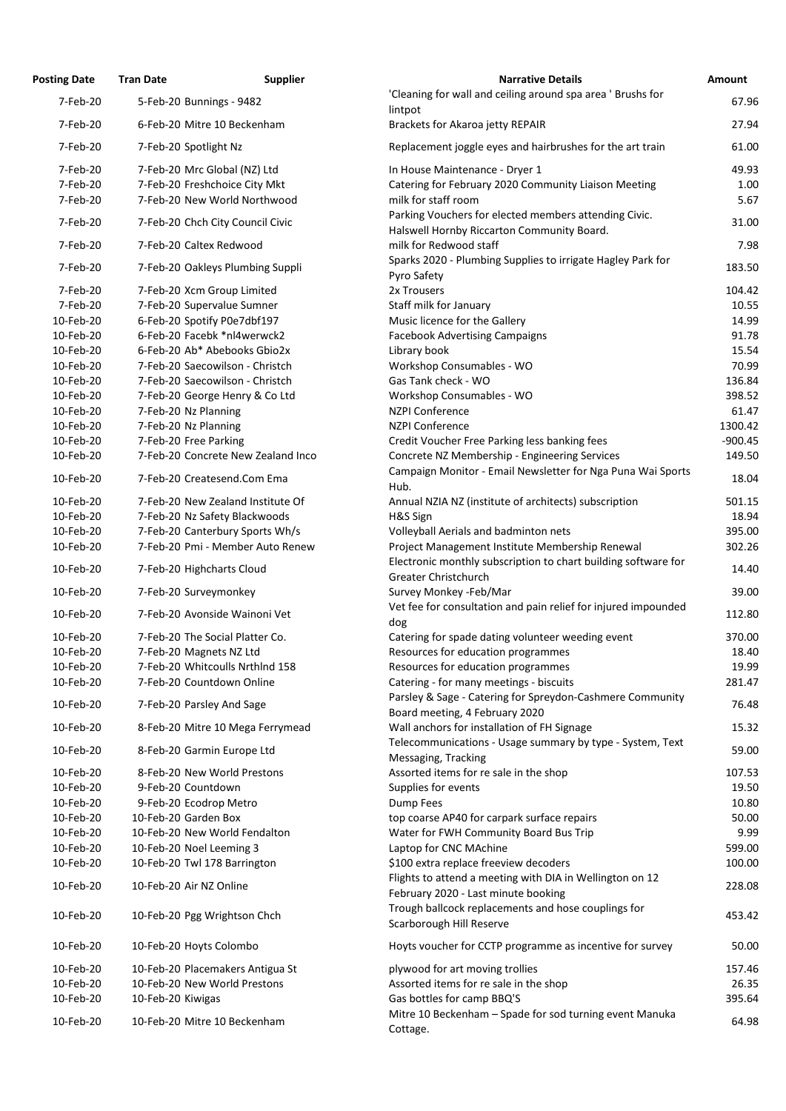| <b>Posting Date</b> | <b>Tran Date</b>         | <b>Supplier</b>                    | <b>Narrative Details</b>                                                                                 | <b>Amount</b> |
|---------------------|--------------------------|------------------------------------|----------------------------------------------------------------------------------------------------------|---------------|
| 7-Feb-20            |                          | 5-Feb-20 Bunnings - 9482           | 'Cleaning for wall and ceiling around spa area ' Brushs for                                              | 67.96         |
|                     |                          |                                    | lintpot                                                                                                  |               |
| 7-Feb-20            |                          | 6-Feb-20 Mitre 10 Beckenham        | Brackets for Akaroa jetty REPAIR                                                                         | 27.94         |
| 7-Feb-20            | 7-Feb-20 Spotlight Nz    |                                    | Replacement joggle eyes and hairbrushes for the art train                                                | 61.00         |
| 7-Feb-20            |                          | 7-Feb-20 Mrc Global (NZ) Ltd       | In House Maintenance - Dryer 1                                                                           | 49.93         |
| 7-Feb-20            |                          | 7-Feb-20 Freshchoice City Mkt      | Catering for February 2020 Community Liaison Meeting                                                     | 1.00          |
| 7-Feb-20            |                          | 7-Feb-20 New World Northwood       | milk for staff room                                                                                      | 5.67          |
| 7-Feb-20            |                          | 7-Feb-20 Chch City Council Civic   | Parking Vouchers for elected members attending Civic.                                                    | 31.00         |
|                     |                          |                                    | Halswell Hornby Riccarton Community Board.                                                               |               |
| 7-Feb-20            |                          | 7-Feb-20 Caltex Redwood            | milk for Redwood staff                                                                                   | 7.98          |
| 7-Feb-20            |                          | 7-Feb-20 Oakleys Plumbing Suppli   | Sparks 2020 - Plumbing Supplies to irrigate Hagley Park for<br>Pyro Safety                               | 183.50        |
| 7-Feb-20            |                          | 7-Feb-20 Xcm Group Limited         | 2x Trousers                                                                                              | 104.42        |
| 7-Feb-20            |                          | 7-Feb-20 Supervalue Sumner         | Staff milk for January                                                                                   | 10.55         |
| 10-Feb-20           |                          | 6-Feb-20 Spotify P0e7dbf197        | Music licence for the Gallery                                                                            | 14.99         |
| 10-Feb-20           |                          | 6-Feb-20 Facebk *nl4werwck2        | <b>Facebook Advertising Campaigns</b>                                                                    | 91.78         |
| 10-Feb-20           |                          | 6-Feb-20 Ab* Abebooks Gbio2x       | Library book                                                                                             | 15.54         |
| 10-Feb-20           |                          | 7-Feb-20 Saecowilson - Christch    | Workshop Consumables - WO                                                                                | 70.99         |
| 10-Feb-20           |                          | 7-Feb-20 Saecowilson - Christch    | Gas Tank check - WO                                                                                      | 136.84        |
| 10-Feb-20           |                          | 7-Feb-20 George Henry & Co Ltd     | Workshop Consumables - WO                                                                                | 398.52        |
| 10-Feb-20           | 7-Feb-20 Nz Planning     |                                    | <b>NZPI Conference</b>                                                                                   | 61.47         |
| 10-Feb-20           | 7-Feb-20 Nz Planning     |                                    | <b>NZPI Conference</b>                                                                                   | 1300.42       |
| 10-Feb-20           | 7-Feb-20 Free Parking    |                                    | Credit Voucher Free Parking less banking fees                                                            | $-900.45$     |
| 10-Feb-20           |                          | 7-Feb-20 Concrete New Zealand Inco | Concrete NZ Membership - Engineering Services                                                            | 149.50        |
| 10-Feb-20           |                          | 7-Feb-20 Createsend.Com Ema        | Campaign Monitor - Email Newsletter for Nga Puna Wai Sports<br>Hub.                                      | 18.04         |
| 10-Feb-20           |                          | 7-Feb-20 New Zealand Institute Of  | Annual NZIA NZ (institute of architects) subscription                                                    | 501.15        |
| 10-Feb-20           |                          | 7-Feb-20 Nz Safety Blackwoods      | H&S Sign                                                                                                 | 18.94         |
| 10-Feb-20           |                          | 7-Feb-20 Canterbury Sports Wh/s    | Volleyball Aerials and badminton nets                                                                    | 395.00        |
| 10-Feb-20           |                          | 7-Feb-20 Pmi - Member Auto Renew   | Project Management Institute Membership Renewal                                                          | 302.26        |
|                     |                          |                                    | Electronic monthly subscription to chart building software for                                           |               |
| 10-Feb-20           |                          | 7-Feb-20 Highcharts Cloud          | Greater Christchurch                                                                                     | 14.40         |
| 10-Feb-20           |                          | 7-Feb-20 Surveymonkey              | Survey Monkey -Feb/Mar                                                                                   | 39.00         |
|                     |                          |                                    | Vet fee for consultation and pain relief for injured impounded                                           |               |
| 10-Feb-20           |                          | 7-Feb-20 Avonside Wainoni Vet      | dog                                                                                                      | 112.80        |
| 10-Feb-20           |                          | 7-Feb-20 The Social Platter Co.    | Catering for spade dating volunteer weeding event                                                        | 370.00        |
| 10-Feb-20           |                          | 7-Feb-20 Magnets NZ Ltd            | Resources for education programmes                                                                       | 18.40         |
| 10-Feb-20           |                          | 7-Feb-20 Whitcoulls Nrthlnd 158    | Resources for education programmes                                                                       | 19.99         |
| 10-Feb-20           |                          | 7-Feb-20 Countdown Online          | Catering - for many meetings - biscuits                                                                  | 281.47        |
| 10-Feb-20           |                          | 7-Feb-20 Parsley And Sage          | Parsley & Sage - Catering for Spreydon-Cashmere Community                                                | 76.48         |
|                     |                          |                                    | Board meeting, 4 February 2020                                                                           |               |
| 10-Feb-20           |                          | 8-Feb-20 Mitre 10 Mega Ferrymead   | Wall anchors for installation of FH Signage<br>Telecommunications - Usage summary by type - System, Text | 15.32         |
| 10-Feb-20           |                          | 8-Feb-20 Garmin Europe Ltd         | Messaging, Tracking                                                                                      | 59.00         |
| 10-Feb-20           |                          | 8-Feb-20 New World Prestons        | Assorted items for re sale in the shop                                                                   | 107.53        |
| 10-Feb-20           | 9-Feb-20 Countdown       |                                    | Supplies for events                                                                                      | 19.50         |
| 10-Feb-20           |                          | 9-Feb-20 Ecodrop Metro             | Dump Fees                                                                                                | 10.80         |
| 10-Feb-20           | 10-Feb-20 Garden Box     |                                    | top coarse AP40 for carpark surface repairs                                                              | 50.00         |
| 10-Feb-20           |                          | 10-Feb-20 New World Fendalton      | Water for FWH Community Board Bus Trip                                                                   | 9.99          |
| 10-Feb-20           | 10-Feb-20 Noel Leeming 3 |                                    | Laptop for CNC MAchine                                                                                   | 599.00        |
| 10-Feb-20           |                          | 10-Feb-20 Twl 178 Barrington       | \$100 extra replace freeview decoders                                                                    | 100.00        |
|                     |                          |                                    | Flights to attend a meeting with DIA in Wellington on 12                                                 |               |
| 10-Feb-20           | 10-Feb-20 Air NZ Online  |                                    | February 2020 - Last minute booking                                                                      | 228.08        |
|                     |                          |                                    | Trough ballcock replacements and hose couplings for                                                      |               |
| 10-Feb-20           |                          | 10-Feb-20 Pgg Wrightson Chch       | Scarborough Hill Reserve                                                                                 | 453.42        |
| 10-Feb-20           | 10-Feb-20 Hoyts Colombo  |                                    | Hoyts voucher for CCTP programme as incentive for survey                                                 | 50.00         |
| 10-Feb-20           |                          | 10-Feb-20 Placemakers Antigua St   | plywood for art moving trollies                                                                          | 157.46        |
| 10-Feb-20           |                          | 10-Feb-20 New World Prestons       | Assorted items for re sale in the shop                                                                   | 26.35         |
| 10-Feb-20           | 10-Feb-20 Kiwigas        |                                    | Gas bottles for camp BBQ'S                                                                               | 395.64        |
| 10-Feb-20           |                          | 10-Feb-20 Mitre 10 Beckenham       | Mitre 10 Beckenham - Spade for sod turning event Manuka<br>Cottage.                                      | 64.98         |
|                     |                          |                                    |                                                                                                          |               |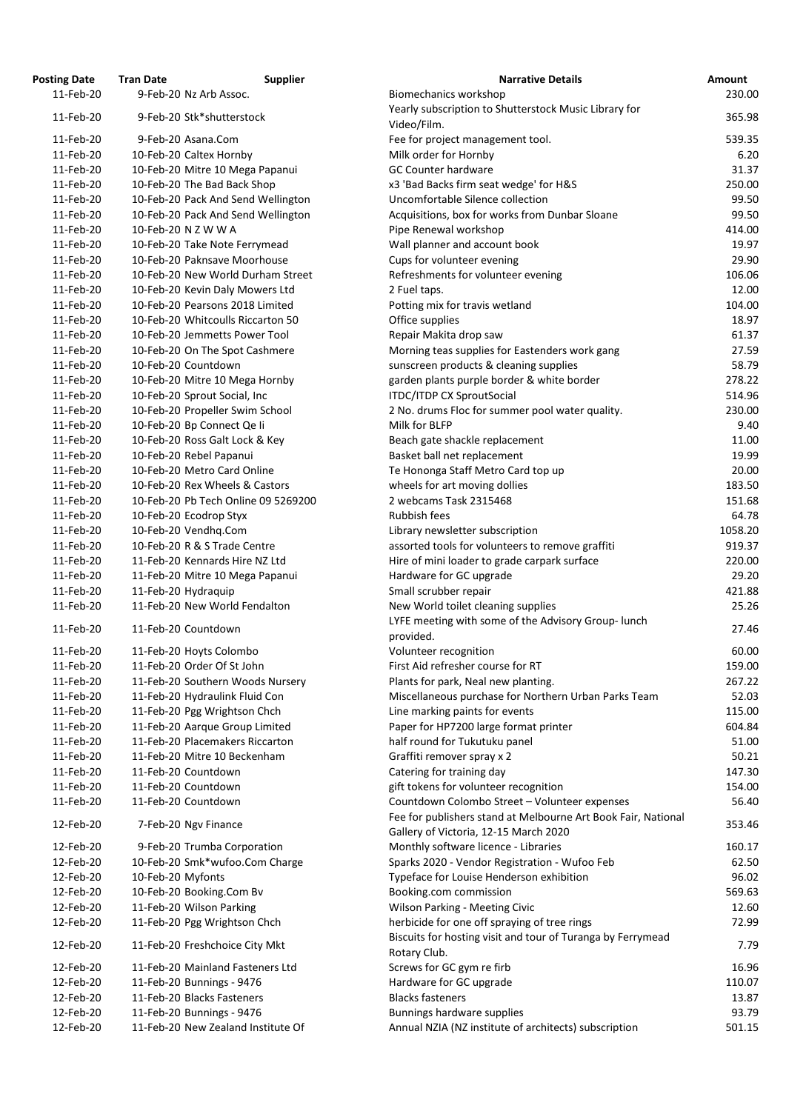| osting Date            | <b>Tran Date</b>  | <b>Supplier</b>                                               | <b>Narrative Details</b>                                                                                |
|------------------------|-------------------|---------------------------------------------------------------|---------------------------------------------------------------------------------------------------------|
| 11-Feb-20              |                   | 9-Feb-20 Nz Arb Assoc.                                        | Biomechanics workshop                                                                                   |
| 11-Feb-20              |                   | 9-Feb-20 Stk*shutterstock                                     | Yearly subscription to Shutterstock Music Library for                                                   |
|                        |                   |                                                               | Video/Film.                                                                                             |
| 11-Feb-20              |                   | 9-Feb-20 Asana.Com                                            | Fee for project management tool.                                                                        |
| 11-Feb-20              |                   | 10-Feb-20 Caltex Hornby                                       | Milk order for Hornby                                                                                   |
| 11-Feb-20              |                   | 10-Feb-20 Mitre 10 Mega Papanui                               | <b>GC Counter hardware</b>                                                                              |
| 11-Feb-20              |                   | 10-Feb-20 The Bad Back Shop                                   | x3 'Bad Backs firm seat wedge' for H&S                                                                  |
| 11-Feb-20              |                   | 10-Feb-20 Pack And Send Wellington                            | Uncomfortable Silence collection                                                                        |
| 11-Feb-20              |                   | 10-Feb-20 Pack And Send Wellington                            | Acquisitions, box for works from Dunbar Sloane                                                          |
| 11-Feb-20<br>11-Feb-20 |                   | 10-Feb-20 N Z W W A                                           | Pipe Renewal workshop                                                                                   |
| 11-Feb-20              |                   | 10-Feb-20 Take Note Ferrymead<br>10-Feb-20 Paknsave Moorhouse | Wall planner and account book<br>Cups for volunteer evening                                             |
| 11-Feb-20              |                   | 10-Feb-20 New World Durham Street                             | Refreshments for volunteer evening                                                                      |
| 11-Feb-20              |                   | 10-Feb-20 Kevin Daly Mowers Ltd                               | 2 Fuel taps.                                                                                            |
| 11-Feb-20              |                   | 10-Feb-20 Pearsons 2018 Limited                               | Potting mix for travis wetland                                                                          |
| 11-Feb-20              |                   | 10-Feb-20 Whitcoulls Riccarton 50                             | Office supplies                                                                                         |
| 11-Feb-20              |                   | 10-Feb-20 Jemmetts Power Tool                                 | Repair Makita drop saw                                                                                  |
| 11-Feb-20              |                   | 10-Feb-20 On The Spot Cashmere                                | Morning teas supplies for Eastenders work gang                                                          |
| 11-Feb-20              |                   | 10-Feb-20 Countdown                                           | sunscreen products & cleaning supplies                                                                  |
| 11-Feb-20              |                   | 10-Feb-20 Mitre 10 Mega Hornby                                | garden plants purple border & white border                                                              |
| 11-Feb-20              |                   | 10-Feb-20 Sprout Social, Inc                                  | <b>ITDC/ITDP CX SproutSocial</b>                                                                        |
| 11-Feb-20              |                   | 10-Feb-20 Propeller Swim School                               | 2 No. drums Floc for summer pool water quality.                                                         |
| 11-Feb-20              |                   | 10-Feb-20 Bp Connect Qe li                                    | Milk for BLFP                                                                                           |
| 11-Feb-20              |                   | 10-Feb-20 Ross Galt Lock & Key                                | Beach gate shackle replacement                                                                          |
| 11-Feb-20              |                   | 10-Feb-20 Rebel Papanui                                       | Basket ball net replacement                                                                             |
| 11-Feb-20              |                   | 10-Feb-20 Metro Card Online                                   | Te Hononga Staff Metro Card top up                                                                      |
| 11-Feb-20              |                   | 10-Feb-20 Rex Wheels & Castors                                | wheels for art moving dollies                                                                           |
| 11-Feb-20              |                   | 10-Feb-20 Pb Tech Online 09 5269200                           | 2 webcams Task 2315468                                                                                  |
| 11-Feb-20              |                   | 10-Feb-20 Ecodrop Styx                                        | Rubbish fees                                                                                            |
| 11-Feb-20              |                   | 10-Feb-20 Vendhq.Com                                          | Library newsletter subscription                                                                         |
| 11-Feb-20              |                   | 10-Feb-20 R & S Trade Centre                                  | assorted tools for volunteers to remove graffiti                                                        |
| 11-Feb-20              |                   | 11-Feb-20 Kennards Hire NZ Ltd                                | Hire of mini loader to grade carpark surface                                                            |
| 11-Feb-20              |                   | 11-Feb-20 Mitre 10 Mega Papanui                               | Hardware for GC upgrade                                                                                 |
| 11-Feb-20              |                   | 11-Feb-20 Hydraquip                                           | Small scrubber repair                                                                                   |
| 11-Feb-20              |                   | 11-Feb-20 New World Fendalton                                 | New World toilet cleaning supplies                                                                      |
| 11-Feb-20              |                   | 11-Feb-20 Countdown                                           | LYFE meeting with some of the Advisory Group-luncl<br>provided.                                         |
| 11-Feb-20              |                   | 11-Feb-20 Hoyts Colombo                                       | Volunteer recognition                                                                                   |
| 11-Feb-20              |                   | 11-Feb-20 Order Of St John                                    | First Aid refresher course for RT                                                                       |
| 11-Feb-20              |                   | 11-Feb-20 Southern Woods Nursery                              | Plants for park, Neal new planting.                                                                     |
| 11-Feb-20              |                   | 11-Feb-20 Hydraulink Fluid Con                                | Miscellaneous purchase for Northern Urban Parks Te                                                      |
| 11-Feb-20              |                   | 11-Feb-20 Pgg Wrightson Chch                                  | Line marking paints for events                                                                          |
| 11-Feb-20              |                   | 11-Feb-20 Aarque Group Limited                                | Paper for HP7200 large format printer                                                                   |
| 11-Feb-20              |                   | 11-Feb-20 Placemakers Riccarton                               | half round for Tukutuku panel                                                                           |
| 11-Feb-20              |                   | 11-Feb-20 Mitre 10 Beckenham                                  | Graffiti remover spray x 2                                                                              |
| 11-Feb-20              |                   | 11-Feb-20 Countdown                                           | Catering for training day                                                                               |
| 11-Feb-20              |                   | 11-Feb-20 Countdown                                           | gift tokens for volunteer recognition                                                                   |
| 11-Feb-20              |                   | 11-Feb-20 Countdown                                           | Countdown Colombo Street - Volunteer expenses<br>Fee for publishers stand at Melbourne Art Book Fair,   |
| 12-Feb-20              |                   | 7-Feb-20 Ngv Finance                                          | Gallery of Victoria, 12-15 March 2020                                                                   |
| 12-Feb-20              |                   | 9-Feb-20 Trumba Corporation                                   | Monthly software licence - Libraries                                                                    |
| 12-Feb-20              |                   | 10-Feb-20 Smk*wufoo.Com Charge                                | Sparks 2020 - Vendor Registration - Wufoo Feb                                                           |
| 12-Feb-20              | 10-Feb-20 Myfonts |                                                               | Typeface for Louise Henderson exhibition                                                                |
| 12-Feb-20              |                   | 10-Feb-20 Booking.Com Bv                                      | Booking.com commission                                                                                  |
| 12-Feb-20              |                   | 11-Feb-20 Wilson Parking                                      | Wilson Parking - Meeting Civic                                                                          |
| 12-Feb-20              |                   | 11-Feb-20 Pgg Wrightson Chch                                  | herbicide for one off spraying of tree rings<br>Biscuits for hosting visit and tour of Turanga by Ferry |
| 12-Feb-20              |                   | 11-Feb-20 Freshchoice City Mkt                                | Rotary Club.                                                                                            |
| 12-Feb-20              |                   | 11-Feb-20 Mainland Fasteners Ltd                              | Screws for GC gym re firb                                                                               |
| 12-Feb-20              |                   | 11-Feb-20 Bunnings - 9476                                     | Hardware for GC upgrade                                                                                 |
| 12-Feb-20              |                   | 11-Feb-20 Blacks Fasteners                                    | <b>Blacks fasteners</b>                                                                                 |
| 12-Feb-20              |                   | 11-Feb-20 Bunnings - 9476                                     | Bunnings hardware supplies                                                                              |
| 12-Feb-20              |                   | 11-Feb-20 New Zealand Institute Of                            | Annual NZIA (NZ institute of architects) subscription                                                   |

| <b>Posting Date</b> | <b>Tran Date</b>  | <b>Supplier</b>                     | <b>Narrative Details</b>                                      | <b>Amount</b> |
|---------------------|-------------------|-------------------------------------|---------------------------------------------------------------|---------------|
| 11-Feb-20           |                   | 9-Feb-20 Nz Arb Assoc.              | Biomechanics workshop                                         | 230.00        |
|                     |                   |                                     | Yearly subscription to Shutterstock Music Library for         |               |
| 11-Feb-20           |                   | 9-Feb-20 Stk*shutterstock           | Video/Film.                                                   | 365.98        |
| 11-Feb-20           |                   | 9-Feb-20 Asana.Com                  | Fee for project management tool.                              | 539.35        |
| 11-Feb-20           |                   | 10-Feb-20 Caltex Hornby             | Milk order for Hornby                                         | 6.20          |
| 11-Feb-20           |                   | 10-Feb-20 Mitre 10 Mega Papanui     | <b>GC Counter hardware</b>                                    | 31.37         |
| 11-Feb-20           |                   | 10-Feb-20 The Bad Back Shop         | x3 'Bad Backs firm seat wedge' for H&S                        | 250.00        |
| 11-Feb-20           |                   | 10-Feb-20 Pack And Send Wellington  | Uncomfortable Silence collection                              | 99.50         |
| 11-Feb-20           |                   | 10-Feb-20 Pack And Send Wellington  | Acquisitions, box for works from Dunbar Sloane                | 99.50         |
| 11-Feb-20           |                   | 10-Feb-20 N Z W W A                 | Pipe Renewal workshop                                         | 414.00        |
| 11-Feb-20           |                   | 10-Feb-20 Take Note Ferrymead       | Wall planner and account book                                 | 19.97         |
|                     |                   |                                     |                                                               |               |
| 11-Feb-20           |                   | 10-Feb-20 Paknsave Moorhouse        | Cups for volunteer evening                                    | 29.90         |
| 11-Feb-20           |                   | 10-Feb-20 New World Durham Street   | Refreshments for volunteer evening                            | 106.06        |
| 11-Feb-20           |                   | 10-Feb-20 Kevin Daly Mowers Ltd     | 2 Fuel taps.                                                  | 12.00         |
| 11-Feb-20           |                   | 10-Feb-20 Pearsons 2018 Limited     | Potting mix for travis wetland                                | 104.00        |
| 11-Feb-20           |                   | 10-Feb-20 Whitcoulls Riccarton 50   | Office supplies                                               | 18.97         |
| 11-Feb-20           |                   | 10-Feb-20 Jemmetts Power Tool       | Repair Makita drop saw                                        | 61.37         |
| 11-Feb-20           |                   | 10-Feb-20 On The Spot Cashmere      | Morning teas supplies for Eastenders work gang                | 27.59         |
| 11-Feb-20           |                   | 10-Feb-20 Countdown                 | sunscreen products & cleaning supplies                        | 58.79         |
| 11-Feb-20           |                   | 10-Feb-20 Mitre 10 Mega Hornby      | garden plants purple border & white border                    | 278.22        |
| 11-Feb-20           |                   | 10-Feb-20 Sprout Social, Inc        | <b>ITDC/ITDP CX SproutSocial</b>                              | 514.96        |
| 11-Feb-20           |                   | 10-Feb-20 Propeller Swim School     | 2 No. drums Floc for summer pool water quality.               | 230.00        |
| 11-Feb-20           |                   | 10-Feb-20 Bp Connect Qe li          | Milk for BLFP                                                 | 9.40          |
| 11-Feb-20           |                   | 10-Feb-20 Ross Galt Lock & Key      | Beach gate shackle replacement                                | 11.00         |
| 11-Feb-20           |                   | 10-Feb-20 Rebel Papanui             | Basket ball net replacement                                   | 19.99         |
| 11-Feb-20           |                   | 10-Feb-20 Metro Card Online         |                                                               | 20.00         |
|                     |                   | 10-Feb-20 Rex Wheels & Castors      | Te Hononga Staff Metro Card top up                            |               |
| 11-Feb-20           |                   |                                     | wheels for art moving dollies                                 | 183.50        |
| 11-Feb-20           |                   | 10-Feb-20 Pb Tech Online 09 5269200 | 2 webcams Task 2315468                                        | 151.68        |
| 11-Feb-20           |                   | 10-Feb-20 Ecodrop Styx              | Rubbish fees                                                  | 64.78         |
| 11-Feb-20           |                   | 10-Feb-20 Vendhq.Com                | Library newsletter subscription                               | 1058.20       |
| 11-Feb-20           |                   | 10-Feb-20 R & S Trade Centre        | assorted tools for volunteers to remove graffiti              | 919.37        |
| 11-Feb-20           |                   | 11-Feb-20 Kennards Hire NZ Ltd      | Hire of mini loader to grade carpark surface                  | 220.00        |
| 11-Feb-20           |                   | 11-Feb-20 Mitre 10 Mega Papanui     | Hardware for GC upgrade                                       | 29.20         |
| 11-Feb-20           |                   | 11-Feb-20 Hydraquip                 | Small scrubber repair                                         | 421.88        |
| 11-Feb-20           |                   | 11-Feb-20 New World Fendalton       | New World toilet cleaning supplies                            | 25.26         |
|                     |                   |                                     | LYFE meeting with some of the Advisory Group-lunch            |               |
| 11-Feb-20           |                   | 11-Feb-20 Countdown                 | provided.                                                     | 27.46         |
| 11-Feb-20           |                   | 11-Feb-20 Hoyts Colombo             | Volunteer recognition                                         | 60.00         |
| 11-Feb-20           |                   | 11-Feb-20 Order Of St John          | First Aid refresher course for RT                             | 159.00        |
| 11-Feb-20           |                   | 11-Feb-20 Southern Woods Nursery    | Plants for park, Neal new planting.                           | 267.22        |
| 11-Feb-20           |                   | 11-Feb-20 Hydraulink Fluid Con      | Miscellaneous purchase for Northern Urban Parks Team          | 52.03         |
| 11-Feb-20           |                   | 11-Feb-20 Pgg Wrightson Chch        | Line marking paints for events                                | 115.00        |
| 11-Feb-20           |                   | 11-Feb-20 Aarque Group Limited      | Paper for HP7200 large format printer                         | 604.84        |
|                     |                   |                                     |                                                               |               |
| 11-Feb-20           |                   | 11-Feb-20 Placemakers Riccarton     | half round for Tukutuku panel                                 | 51.00         |
| 11-Feb-20           |                   | 11-Feb-20 Mitre 10 Beckenham        | Graffiti remover spray x 2                                    | 50.21         |
| 11-Feb-20           |                   | 11-Feb-20 Countdown                 | Catering for training day                                     | 147.30        |
| 11-Feb-20           |                   | 11-Feb-20 Countdown                 | gift tokens for volunteer recognition                         | 154.00        |
| 11-Feb-20           |                   | 11-Feb-20 Countdown                 | Countdown Colombo Street - Volunteer expenses                 | 56.40         |
| 12-Feb-20           |                   | 7-Feb-20 Ngv Finance                | Fee for publishers stand at Melbourne Art Book Fair, National | 353.46        |
|                     |                   |                                     | Gallery of Victoria, 12-15 March 2020                         |               |
| 12-Feb-20           |                   | 9-Feb-20 Trumba Corporation         | Monthly software licence - Libraries                          | 160.17        |
| 12-Feb-20           |                   | 10-Feb-20 Smk*wufoo.Com Charge      | Sparks 2020 - Vendor Registration - Wufoo Feb                 | 62.50         |
| 12-Feb-20           | 10-Feb-20 Myfonts |                                     | Typeface for Louise Henderson exhibition                      | 96.02         |
| 12-Feb-20           |                   | 10-Feb-20 Booking.Com Bv            | Booking.com commission                                        | 569.63        |
| 12-Feb-20           |                   | 11-Feb-20 Wilson Parking            | Wilson Parking - Meeting Civic                                | 12.60         |
| 12-Feb-20           |                   | 11-Feb-20 Pgg Wrightson Chch        | herbicide for one off spraying of tree rings                  | 72.99         |
|                     |                   |                                     | Biscuits for hosting visit and tour of Turanga by Ferrymead   |               |
| 12-Feb-20           |                   | 11-Feb-20 Freshchoice City Mkt      |                                                               | 7.79          |
|                     |                   |                                     | Rotary Club.                                                  |               |
| 12-Feb-20           |                   | 11-Feb-20 Mainland Fasteners Ltd    | Screws for GC gym re firb                                     | 16.96         |
| 12-Feb-20           |                   | 11-Feb-20 Bunnings - 9476           | Hardware for GC upgrade                                       | 110.07        |
| 12-Feb-20           |                   | 11-Feb-20 Blacks Fasteners          | <b>Blacks fasteners</b>                                       | 13.87         |
| 12-Feb-20           |                   | 11-Feb-20 Bunnings - 9476           | Bunnings hardware supplies                                    | 93.79         |
| 12-Feb-20           |                   | 11-Feb-20 New Zealand Institute Of  | Annual NZIA (NZ institute of architects) subscription         | 501.15        |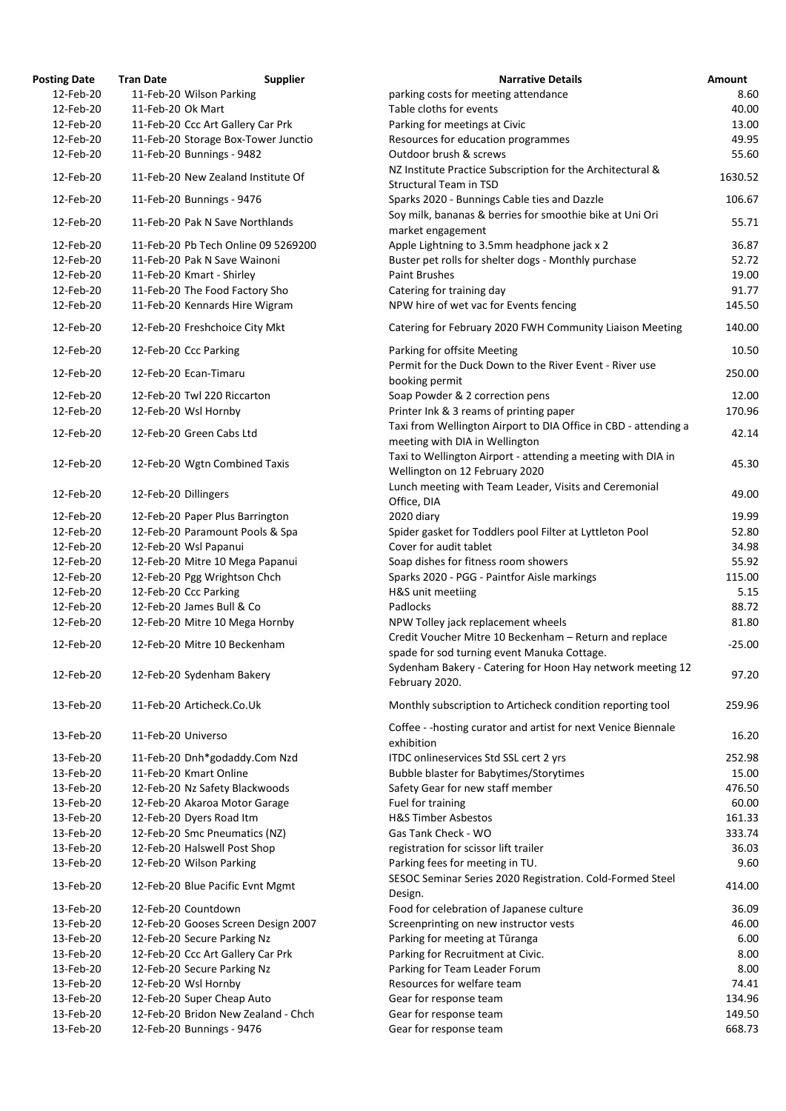| <b>Tran Date</b> | <b>Supplier</b> | <b>Narrative Details</b>                                                                                                                                                                                                                                                                                                                                                                                                                                                                                                                                                                                                                                                                                                                                                                                                                                                                                                                                                                                                                                                                                                                                                                                                                                                                                                                                                                                                                                                                                                                                                                                                             |
|------------------|-----------------|--------------------------------------------------------------------------------------------------------------------------------------------------------------------------------------------------------------------------------------------------------------------------------------------------------------------------------------------------------------------------------------------------------------------------------------------------------------------------------------------------------------------------------------------------------------------------------------------------------------------------------------------------------------------------------------------------------------------------------------------------------------------------------------------------------------------------------------------------------------------------------------------------------------------------------------------------------------------------------------------------------------------------------------------------------------------------------------------------------------------------------------------------------------------------------------------------------------------------------------------------------------------------------------------------------------------------------------------------------------------------------------------------------------------------------------------------------------------------------------------------------------------------------------------------------------------------------------------------------------------------------------|
|                  |                 | parking costs for meeting attendance                                                                                                                                                                                                                                                                                                                                                                                                                                                                                                                                                                                                                                                                                                                                                                                                                                                                                                                                                                                                                                                                                                                                                                                                                                                                                                                                                                                                                                                                                                                                                                                                 |
|                  |                 | Table cloths for events                                                                                                                                                                                                                                                                                                                                                                                                                                                                                                                                                                                                                                                                                                                                                                                                                                                                                                                                                                                                                                                                                                                                                                                                                                                                                                                                                                                                                                                                                                                                                                                                              |
|                  |                 | Parking for meetings at Civic                                                                                                                                                                                                                                                                                                                                                                                                                                                                                                                                                                                                                                                                                                                                                                                                                                                                                                                                                                                                                                                                                                                                                                                                                                                                                                                                                                                                                                                                                                                                                                                                        |
|                  |                 | Resources for education programmes                                                                                                                                                                                                                                                                                                                                                                                                                                                                                                                                                                                                                                                                                                                                                                                                                                                                                                                                                                                                                                                                                                                                                                                                                                                                                                                                                                                                                                                                                                                                                                                                   |
|                  |                 | Outdoor brush & screws                                                                                                                                                                                                                                                                                                                                                                                                                                                                                                                                                                                                                                                                                                                                                                                                                                                                                                                                                                                                                                                                                                                                                                                                                                                                                                                                                                                                                                                                                                                                                                                                               |
|                  |                 | NZ Institute Practice Subscription for the Architectural &<br><b>Structural Team in TSD</b>                                                                                                                                                                                                                                                                                                                                                                                                                                                                                                                                                                                                                                                                                                                                                                                                                                                                                                                                                                                                                                                                                                                                                                                                                                                                                                                                                                                                                                                                                                                                          |
|                  |                 | Sparks 2020 - Bunnings Cable ties and Dazzle                                                                                                                                                                                                                                                                                                                                                                                                                                                                                                                                                                                                                                                                                                                                                                                                                                                                                                                                                                                                                                                                                                                                                                                                                                                                                                                                                                                                                                                                                                                                                                                         |
|                  |                 | Soy milk, bananas & berries for smoothie bike at Uni Ori<br>market engagement                                                                                                                                                                                                                                                                                                                                                                                                                                                                                                                                                                                                                                                                                                                                                                                                                                                                                                                                                                                                                                                                                                                                                                                                                                                                                                                                                                                                                                                                                                                                                        |
|                  |                 | Apple Lightning to 3.5mm headphone jack x 2                                                                                                                                                                                                                                                                                                                                                                                                                                                                                                                                                                                                                                                                                                                                                                                                                                                                                                                                                                                                                                                                                                                                                                                                                                                                                                                                                                                                                                                                                                                                                                                          |
|                  |                 | Buster pet rolls for shelter dogs - Monthly purchase                                                                                                                                                                                                                                                                                                                                                                                                                                                                                                                                                                                                                                                                                                                                                                                                                                                                                                                                                                                                                                                                                                                                                                                                                                                                                                                                                                                                                                                                                                                                                                                 |
|                  |                 | <b>Paint Brushes</b>                                                                                                                                                                                                                                                                                                                                                                                                                                                                                                                                                                                                                                                                                                                                                                                                                                                                                                                                                                                                                                                                                                                                                                                                                                                                                                                                                                                                                                                                                                                                                                                                                 |
|                  |                 | Catering for training day                                                                                                                                                                                                                                                                                                                                                                                                                                                                                                                                                                                                                                                                                                                                                                                                                                                                                                                                                                                                                                                                                                                                                                                                                                                                                                                                                                                                                                                                                                                                                                                                            |
|                  |                 | NPW hire of wet vac for Events fencing                                                                                                                                                                                                                                                                                                                                                                                                                                                                                                                                                                                                                                                                                                                                                                                                                                                                                                                                                                                                                                                                                                                                                                                                                                                                                                                                                                                                                                                                                                                                                                                               |
|                  |                 | Catering for February 2020 FWH Community Liaison Mee                                                                                                                                                                                                                                                                                                                                                                                                                                                                                                                                                                                                                                                                                                                                                                                                                                                                                                                                                                                                                                                                                                                                                                                                                                                                                                                                                                                                                                                                                                                                                                                 |
|                  |                 | Parking for offsite Meeting                                                                                                                                                                                                                                                                                                                                                                                                                                                                                                                                                                                                                                                                                                                                                                                                                                                                                                                                                                                                                                                                                                                                                                                                                                                                                                                                                                                                                                                                                                                                                                                                          |
|                  |                 | Permit for the Duck Down to the River Event - River use<br>booking permit                                                                                                                                                                                                                                                                                                                                                                                                                                                                                                                                                                                                                                                                                                                                                                                                                                                                                                                                                                                                                                                                                                                                                                                                                                                                                                                                                                                                                                                                                                                                                            |
|                  |                 | Soap Powder & 2 correction pens                                                                                                                                                                                                                                                                                                                                                                                                                                                                                                                                                                                                                                                                                                                                                                                                                                                                                                                                                                                                                                                                                                                                                                                                                                                                                                                                                                                                                                                                                                                                                                                                      |
|                  |                 | Printer Ink & 3 reams of printing paper                                                                                                                                                                                                                                                                                                                                                                                                                                                                                                                                                                                                                                                                                                                                                                                                                                                                                                                                                                                                                                                                                                                                                                                                                                                                                                                                                                                                                                                                                                                                                                                              |
|                  |                 | Taxi from Wellington Airport to DIA Office in CBD - atten                                                                                                                                                                                                                                                                                                                                                                                                                                                                                                                                                                                                                                                                                                                                                                                                                                                                                                                                                                                                                                                                                                                                                                                                                                                                                                                                                                                                                                                                                                                                                                            |
|                  |                 | meeting with DIA in Wellington                                                                                                                                                                                                                                                                                                                                                                                                                                                                                                                                                                                                                                                                                                                                                                                                                                                                                                                                                                                                                                                                                                                                                                                                                                                                                                                                                                                                                                                                                                                                                                                                       |
|                  |                 | Taxi to Wellington Airport - attending a meeting with DIA                                                                                                                                                                                                                                                                                                                                                                                                                                                                                                                                                                                                                                                                                                                                                                                                                                                                                                                                                                                                                                                                                                                                                                                                                                                                                                                                                                                                                                                                                                                                                                            |
|                  |                 | Wellington on 12 February 2020<br>Lunch meeting with Team Leader, Visits and Ceremonial                                                                                                                                                                                                                                                                                                                                                                                                                                                                                                                                                                                                                                                                                                                                                                                                                                                                                                                                                                                                                                                                                                                                                                                                                                                                                                                                                                                                                                                                                                                                              |
|                  |                 | Office, DIA                                                                                                                                                                                                                                                                                                                                                                                                                                                                                                                                                                                                                                                                                                                                                                                                                                                                                                                                                                                                                                                                                                                                                                                                                                                                                                                                                                                                                                                                                                                                                                                                                          |
|                  |                 | 2020 diary                                                                                                                                                                                                                                                                                                                                                                                                                                                                                                                                                                                                                                                                                                                                                                                                                                                                                                                                                                                                                                                                                                                                                                                                                                                                                                                                                                                                                                                                                                                                                                                                                           |
|                  |                 | Spider gasket for Toddlers pool Filter at Lyttleton Pool                                                                                                                                                                                                                                                                                                                                                                                                                                                                                                                                                                                                                                                                                                                                                                                                                                                                                                                                                                                                                                                                                                                                                                                                                                                                                                                                                                                                                                                                                                                                                                             |
|                  |                 | Cover for audit tablet                                                                                                                                                                                                                                                                                                                                                                                                                                                                                                                                                                                                                                                                                                                                                                                                                                                                                                                                                                                                                                                                                                                                                                                                                                                                                                                                                                                                                                                                                                                                                                                                               |
|                  |                 | Soap dishes for fitness room showers                                                                                                                                                                                                                                                                                                                                                                                                                                                                                                                                                                                                                                                                                                                                                                                                                                                                                                                                                                                                                                                                                                                                                                                                                                                                                                                                                                                                                                                                                                                                                                                                 |
|                  |                 | Sparks 2020 - PGG - Paintfor Aisle markings                                                                                                                                                                                                                                                                                                                                                                                                                                                                                                                                                                                                                                                                                                                                                                                                                                                                                                                                                                                                                                                                                                                                                                                                                                                                                                                                                                                                                                                                                                                                                                                          |
|                  |                 | H&S unit meetiing                                                                                                                                                                                                                                                                                                                                                                                                                                                                                                                                                                                                                                                                                                                                                                                                                                                                                                                                                                                                                                                                                                                                                                                                                                                                                                                                                                                                                                                                                                                                                                                                                    |
|                  |                 | Padlocks                                                                                                                                                                                                                                                                                                                                                                                                                                                                                                                                                                                                                                                                                                                                                                                                                                                                                                                                                                                                                                                                                                                                                                                                                                                                                                                                                                                                                                                                                                                                                                                                                             |
|                  |                 | NPW Tolley jack replacement wheels                                                                                                                                                                                                                                                                                                                                                                                                                                                                                                                                                                                                                                                                                                                                                                                                                                                                                                                                                                                                                                                                                                                                                                                                                                                                                                                                                                                                                                                                                                                                                                                                   |
|                  |                 | Credit Voucher Mitre 10 Beckenham - Return and replac<br>spade for sod turning event Manuka Cottage.                                                                                                                                                                                                                                                                                                                                                                                                                                                                                                                                                                                                                                                                                                                                                                                                                                                                                                                                                                                                                                                                                                                                                                                                                                                                                                                                                                                                                                                                                                                                 |
|                  |                 | Sydenham Bakery - Catering for Hoon Hay network meet<br>February 2020.                                                                                                                                                                                                                                                                                                                                                                                                                                                                                                                                                                                                                                                                                                                                                                                                                                                                                                                                                                                                                                                                                                                                                                                                                                                                                                                                                                                                                                                                                                                                                               |
|                  |                 | Monthly subscription to Articheck condition reporting to                                                                                                                                                                                                                                                                                                                                                                                                                                                                                                                                                                                                                                                                                                                                                                                                                                                                                                                                                                                                                                                                                                                                                                                                                                                                                                                                                                                                                                                                                                                                                                             |
|                  |                 | Coffee - - hosting curator and artist for next Venice Bienn                                                                                                                                                                                                                                                                                                                                                                                                                                                                                                                                                                                                                                                                                                                                                                                                                                                                                                                                                                                                                                                                                                                                                                                                                                                                                                                                                                                                                                                                                                                                                                          |
|                  |                 | exhibition                                                                                                                                                                                                                                                                                                                                                                                                                                                                                                                                                                                                                                                                                                                                                                                                                                                                                                                                                                                                                                                                                                                                                                                                                                                                                                                                                                                                                                                                                                                                                                                                                           |
|                  |                 | ITDC onlineservices Std SSL cert 2 yrs                                                                                                                                                                                                                                                                                                                                                                                                                                                                                                                                                                                                                                                                                                                                                                                                                                                                                                                                                                                                                                                                                                                                                                                                                                                                                                                                                                                                                                                                                                                                                                                               |
|                  |                 | <b>Bubble blaster for Babytimes/Storytimes</b>                                                                                                                                                                                                                                                                                                                                                                                                                                                                                                                                                                                                                                                                                                                                                                                                                                                                                                                                                                                                                                                                                                                                                                                                                                                                                                                                                                                                                                                                                                                                                                                       |
|                  |                 | Safety Gear for new staff member                                                                                                                                                                                                                                                                                                                                                                                                                                                                                                                                                                                                                                                                                                                                                                                                                                                                                                                                                                                                                                                                                                                                                                                                                                                                                                                                                                                                                                                                                                                                                                                                     |
|                  |                 | Fuel for training                                                                                                                                                                                                                                                                                                                                                                                                                                                                                                                                                                                                                                                                                                                                                                                                                                                                                                                                                                                                                                                                                                                                                                                                                                                                                                                                                                                                                                                                                                                                                                                                                    |
|                  |                 | <b>H&amp;S Timber Asbestos</b>                                                                                                                                                                                                                                                                                                                                                                                                                                                                                                                                                                                                                                                                                                                                                                                                                                                                                                                                                                                                                                                                                                                                                                                                                                                                                                                                                                                                                                                                                                                                                                                                       |
|                  |                 | Gas Tank Check - WO                                                                                                                                                                                                                                                                                                                                                                                                                                                                                                                                                                                                                                                                                                                                                                                                                                                                                                                                                                                                                                                                                                                                                                                                                                                                                                                                                                                                                                                                                                                                                                                                                  |
|                  |                 | registration for scissor lift trailer                                                                                                                                                                                                                                                                                                                                                                                                                                                                                                                                                                                                                                                                                                                                                                                                                                                                                                                                                                                                                                                                                                                                                                                                                                                                                                                                                                                                                                                                                                                                                                                                |
|                  |                 | Parking fees for meeting in TU.                                                                                                                                                                                                                                                                                                                                                                                                                                                                                                                                                                                                                                                                                                                                                                                                                                                                                                                                                                                                                                                                                                                                                                                                                                                                                                                                                                                                                                                                                                                                                                                                      |
|                  |                 | SESOC Seminar Series 2020 Registration. Cold-Formed St<br>Design.                                                                                                                                                                                                                                                                                                                                                                                                                                                                                                                                                                                                                                                                                                                                                                                                                                                                                                                                                                                                                                                                                                                                                                                                                                                                                                                                                                                                                                                                                                                                                                    |
|                  |                 | Food for celebration of Japanese culture                                                                                                                                                                                                                                                                                                                                                                                                                                                                                                                                                                                                                                                                                                                                                                                                                                                                                                                                                                                                                                                                                                                                                                                                                                                                                                                                                                                                                                                                                                                                                                                             |
|                  |                 | Screenprinting on new instructor vests                                                                                                                                                                                                                                                                                                                                                                                                                                                                                                                                                                                                                                                                                                                                                                                                                                                                                                                                                                                                                                                                                                                                                                                                                                                                                                                                                                                                                                                                                                                                                                                               |
|                  |                 | Parking for meeting at Tūranga                                                                                                                                                                                                                                                                                                                                                                                                                                                                                                                                                                                                                                                                                                                                                                                                                                                                                                                                                                                                                                                                                                                                                                                                                                                                                                                                                                                                                                                                                                                                                                                                       |
|                  |                 | Parking for Recruitment at Civic.                                                                                                                                                                                                                                                                                                                                                                                                                                                                                                                                                                                                                                                                                                                                                                                                                                                                                                                                                                                                                                                                                                                                                                                                                                                                                                                                                                                                                                                                                                                                                                                                    |
|                  |                 | Parking for Team Leader Forum                                                                                                                                                                                                                                                                                                                                                                                                                                                                                                                                                                                                                                                                                                                                                                                                                                                                                                                                                                                                                                                                                                                                                                                                                                                                                                                                                                                                                                                                                                                                                                                                        |
|                  |                 | Resources for welfare team                                                                                                                                                                                                                                                                                                                                                                                                                                                                                                                                                                                                                                                                                                                                                                                                                                                                                                                                                                                                                                                                                                                                                                                                                                                                                                                                                                                                                                                                                                                                                                                                           |
|                  |                 | Gear for response team                                                                                                                                                                                                                                                                                                                                                                                                                                                                                                                                                                                                                                                                                                                                                                                                                                                                                                                                                                                                                                                                                                                                                                                                                                                                                                                                                                                                                                                                                                                                                                                                               |
|                  |                 | Gear for response team                                                                                                                                                                                                                                                                                                                                                                                                                                                                                                                                                                                                                                                                                                                                                                                                                                                                                                                                                                                                                                                                                                                                                                                                                                                                                                                                                                                                                                                                                                                                                                                                               |
|                  |                 | Gear for response team                                                                                                                                                                                                                                                                                                                                                                                                                                                                                                                                                                                                                                                                                                                                                                                                                                                                                                                                                                                                                                                                                                                                                                                                                                                                                                                                                                                                                                                                                                                                                                                                               |
|                  |                 | 11-Feb-20 Wilson Parking<br>11-Feb-20 Ok Mart<br>11-Feb-20 Ccc Art Gallery Car Prk<br>11-Feb-20 Storage Box-Tower Junctio<br>11-Feb-20 Bunnings - 9482<br>11-Feb-20 New Zealand Institute Of<br>11-Feb-20 Bunnings - 9476<br>11-Feb-20 Pak N Save Northlands<br>11-Feb-20 Pb Tech Online 09 5269200<br>11-Feb-20 Pak N Save Wainoni<br>11-Feb-20 Kmart - Shirley<br>11-Feb-20 The Food Factory Sho<br>11-Feb-20 Kennards Hire Wigram<br>12-Feb-20 Freshchoice City Mkt<br>12-Feb-20 Ccc Parking<br>12-Feb-20 Ecan-Timaru<br>12-Feb-20 Twl 220 Riccarton<br>12-Feb-20 Wsl Hornby<br>12-Feb-20 Green Cabs Ltd<br>12-Feb-20 Wgtn Combined Taxis<br>12-Feb-20 Dillingers<br>12-Feb-20 Paper Plus Barrington<br>12-Feb-20 Paramount Pools & Spa<br>12-Feb-20 Wsl Papanui<br>12-Feb-20 Mitre 10 Mega Papanui<br>12-Feb-20 Pgg Wrightson Chch<br>12-Feb-20 Ccc Parking<br>12-Feb-20 James Bull & Co<br>12-Feb-20 Mitre 10 Mega Hornby<br>12-Feb-20 Mitre 10 Beckenham<br>12-Feb-20 Sydenham Bakery<br>11-Feb-20 Articheck.Co.Uk<br>11-Feb-20 Universo<br>11-Feb-20 Dnh*godaddy.Com Nzd<br>11-Feb-20 Kmart Online<br>12-Feb-20 Nz Safety Blackwoods<br>12-Feb-20 Akaroa Motor Garage<br>12-Feb-20 Dyers Road Itm<br>12-Feb-20 Smc Pneumatics (NZ)<br>12-Feb-20 Halswell Post Shop<br>12-Feb-20 Wilson Parking<br>12-Feb-20 Blue Pacific Evnt Mgmt<br>12-Feb-20 Countdown<br>12-Feb-20 Gooses Screen Design 2007<br>12-Feb-20 Secure Parking Nz<br>12-Feb-20 Ccc Art Gallery Car Prk<br>12-Feb-20 Secure Parking Nz<br>12-Feb-20 Wsl Hornby<br>12-Feb-20 Super Cheap Auto<br>12-Feb-20 Bridon New Zealand - Chch<br>12-Feb-20 Bunnings - 9476 |

| 12-Feb-20<br>11-Feb-20 Wilson Parking<br>parking costs for meeting attendance<br>12-Feb-20<br>11-Feb-20 Ok Mart<br>Table cloths for events<br>12-Feb-20<br>11-Feb-20 Ccc Art Gallery Car Prk<br>Parking for meetings at Civic<br>12-Feb-20<br>11-Feb-20 Storage Box-Tower Junctio<br>Resources for education programmes<br>Outdoor brush & screws<br>12-Feb-20<br>11-Feb-20 Bunnings - 9482<br>NZ Institute Practice Subscription for the Architectural &<br>12-Feb-20<br>11-Feb-20 New Zealand Institute Of<br><b>Structural Team in TSD</b><br>12-Feb-20<br>11-Feb-20 Bunnings - 9476<br>Sparks 2020 - Bunnings Cable ties and Dazzle<br>Soy milk, bananas & berries for smoothie bike at Uni Ori<br>12-Feb-20<br>11-Feb-20 Pak N Save Northlands<br>market engagement<br>Apple Lightning to 3.5mm headphone jack x 2<br>12-Feb-20<br>11-Feb-20 Pb Tech Online 09 5269200<br>Buster pet rolls for shelter dogs - Monthly purchase<br>12-Feb-20<br>11-Feb-20 Pak N Save Wainoni<br>12-Feb-20<br>11-Feb-20 Kmart - Shirley<br><b>Paint Brushes</b><br>11-Feb-20 The Food Factory Sho<br>Catering for training day<br>12-Feb-20<br>NPW hire of wet vac for Events fencing<br>12-Feb-20<br>11-Feb-20 Kennards Hire Wigram<br>12-Feb-20<br>12-Feb-20 Freshchoice City Mkt<br>Catering for February 2020 FWH Community Liaison Meeting<br>12-Feb-20<br>12-Feb-20 Ccc Parking<br>Parking for offsite Meeting<br>Permit for the Duck Down to the River Event - River use<br>12-Feb-20 Ecan-Timaru<br>12-Feb-20<br>booking permit<br>12-Feb-20 Twl 220 Riccarton<br>12-Feb-20<br>Soap Powder & 2 correction pens | 8.60<br>40.00<br>13.00<br>49.95<br>55.60<br>1630.52<br>106.67<br>55.71<br>36.87<br>52.72<br>19.00<br>91.77<br>145.50<br>140.00<br>10.50 |
|-----------------------------------------------------------------------------------------------------------------------------------------------------------------------------------------------------------------------------------------------------------------------------------------------------------------------------------------------------------------------------------------------------------------------------------------------------------------------------------------------------------------------------------------------------------------------------------------------------------------------------------------------------------------------------------------------------------------------------------------------------------------------------------------------------------------------------------------------------------------------------------------------------------------------------------------------------------------------------------------------------------------------------------------------------------------------------------------------------------------------------------------------------------------------------------------------------------------------------------------------------------------------------------------------------------------------------------------------------------------------------------------------------------------------------------------------------------------------------------------------------------------------------------------------------------------------------------------------------------|-----------------------------------------------------------------------------------------------------------------------------------------|
|                                                                                                                                                                                                                                                                                                                                                                                                                                                                                                                                                                                                                                                                                                                                                                                                                                                                                                                                                                                                                                                                                                                                                                                                                                                                                                                                                                                                                                                                                                                                                                                                           |                                                                                                                                         |
|                                                                                                                                                                                                                                                                                                                                                                                                                                                                                                                                                                                                                                                                                                                                                                                                                                                                                                                                                                                                                                                                                                                                                                                                                                                                                                                                                                                                                                                                                                                                                                                                           |                                                                                                                                         |
|                                                                                                                                                                                                                                                                                                                                                                                                                                                                                                                                                                                                                                                                                                                                                                                                                                                                                                                                                                                                                                                                                                                                                                                                                                                                                                                                                                                                                                                                                                                                                                                                           |                                                                                                                                         |
|                                                                                                                                                                                                                                                                                                                                                                                                                                                                                                                                                                                                                                                                                                                                                                                                                                                                                                                                                                                                                                                                                                                                                                                                                                                                                                                                                                                                                                                                                                                                                                                                           |                                                                                                                                         |
|                                                                                                                                                                                                                                                                                                                                                                                                                                                                                                                                                                                                                                                                                                                                                                                                                                                                                                                                                                                                                                                                                                                                                                                                                                                                                                                                                                                                                                                                                                                                                                                                           |                                                                                                                                         |
|                                                                                                                                                                                                                                                                                                                                                                                                                                                                                                                                                                                                                                                                                                                                                                                                                                                                                                                                                                                                                                                                                                                                                                                                                                                                                                                                                                                                                                                                                                                                                                                                           |                                                                                                                                         |
|                                                                                                                                                                                                                                                                                                                                                                                                                                                                                                                                                                                                                                                                                                                                                                                                                                                                                                                                                                                                                                                                                                                                                                                                                                                                                                                                                                                                                                                                                                                                                                                                           |                                                                                                                                         |
|                                                                                                                                                                                                                                                                                                                                                                                                                                                                                                                                                                                                                                                                                                                                                                                                                                                                                                                                                                                                                                                                                                                                                                                                                                                                                                                                                                                                                                                                                                                                                                                                           |                                                                                                                                         |
|                                                                                                                                                                                                                                                                                                                                                                                                                                                                                                                                                                                                                                                                                                                                                                                                                                                                                                                                                                                                                                                                                                                                                                                                                                                                                                                                                                                                                                                                                                                                                                                                           |                                                                                                                                         |
|                                                                                                                                                                                                                                                                                                                                                                                                                                                                                                                                                                                                                                                                                                                                                                                                                                                                                                                                                                                                                                                                                                                                                                                                                                                                                                                                                                                                                                                                                                                                                                                                           |                                                                                                                                         |
|                                                                                                                                                                                                                                                                                                                                                                                                                                                                                                                                                                                                                                                                                                                                                                                                                                                                                                                                                                                                                                                                                                                                                                                                                                                                                                                                                                                                                                                                                                                                                                                                           |                                                                                                                                         |
|                                                                                                                                                                                                                                                                                                                                                                                                                                                                                                                                                                                                                                                                                                                                                                                                                                                                                                                                                                                                                                                                                                                                                                                                                                                                                                                                                                                                                                                                                                                                                                                                           |                                                                                                                                         |
|                                                                                                                                                                                                                                                                                                                                                                                                                                                                                                                                                                                                                                                                                                                                                                                                                                                                                                                                                                                                                                                                                                                                                                                                                                                                                                                                                                                                                                                                                                                                                                                                           |                                                                                                                                         |
|                                                                                                                                                                                                                                                                                                                                                                                                                                                                                                                                                                                                                                                                                                                                                                                                                                                                                                                                                                                                                                                                                                                                                                                                                                                                                                                                                                                                                                                                                                                                                                                                           |                                                                                                                                         |
|                                                                                                                                                                                                                                                                                                                                                                                                                                                                                                                                                                                                                                                                                                                                                                                                                                                                                                                                                                                                                                                                                                                                                                                                                                                                                                                                                                                                                                                                                                                                                                                                           |                                                                                                                                         |
|                                                                                                                                                                                                                                                                                                                                                                                                                                                                                                                                                                                                                                                                                                                                                                                                                                                                                                                                                                                                                                                                                                                                                                                                                                                                                                                                                                                                                                                                                                                                                                                                           |                                                                                                                                         |
|                                                                                                                                                                                                                                                                                                                                                                                                                                                                                                                                                                                                                                                                                                                                                                                                                                                                                                                                                                                                                                                                                                                                                                                                                                                                                                                                                                                                                                                                                                                                                                                                           |                                                                                                                                         |
|                                                                                                                                                                                                                                                                                                                                                                                                                                                                                                                                                                                                                                                                                                                                                                                                                                                                                                                                                                                                                                                                                                                                                                                                                                                                                                                                                                                                                                                                                                                                                                                                           |                                                                                                                                         |
|                                                                                                                                                                                                                                                                                                                                                                                                                                                                                                                                                                                                                                                                                                                                                                                                                                                                                                                                                                                                                                                                                                                                                                                                                                                                                                                                                                                                                                                                                                                                                                                                           |                                                                                                                                         |
|                                                                                                                                                                                                                                                                                                                                                                                                                                                                                                                                                                                                                                                                                                                                                                                                                                                                                                                                                                                                                                                                                                                                                                                                                                                                                                                                                                                                                                                                                                                                                                                                           | 250.00                                                                                                                                  |
|                                                                                                                                                                                                                                                                                                                                                                                                                                                                                                                                                                                                                                                                                                                                                                                                                                                                                                                                                                                                                                                                                                                                                                                                                                                                                                                                                                                                                                                                                                                                                                                                           | 12.00                                                                                                                                   |
|                                                                                                                                                                                                                                                                                                                                                                                                                                                                                                                                                                                                                                                                                                                                                                                                                                                                                                                                                                                                                                                                                                                                                                                                                                                                                                                                                                                                                                                                                                                                                                                                           | 170.96                                                                                                                                  |
| 12-Feb-20 Wsl Hornby<br>Printer Ink & 3 reams of printing paper<br>12-Feb-20                                                                                                                                                                                                                                                                                                                                                                                                                                                                                                                                                                                                                                                                                                                                                                                                                                                                                                                                                                                                                                                                                                                                                                                                                                                                                                                                                                                                                                                                                                                              |                                                                                                                                         |
| Taxi from Wellington Airport to DIA Office in CBD - attending a<br>12-Feb-20<br>12-Feb-20 Green Cabs Ltd<br>meeting with DIA in Wellington                                                                                                                                                                                                                                                                                                                                                                                                                                                                                                                                                                                                                                                                                                                                                                                                                                                                                                                                                                                                                                                                                                                                                                                                                                                                                                                                                                                                                                                                | 42.14                                                                                                                                   |
| Taxi to Wellington Airport - attending a meeting with DIA in                                                                                                                                                                                                                                                                                                                                                                                                                                                                                                                                                                                                                                                                                                                                                                                                                                                                                                                                                                                                                                                                                                                                                                                                                                                                                                                                                                                                                                                                                                                                              |                                                                                                                                         |
| 12-Feb-20<br>12-Feb-20 Wgtn Combined Taxis<br>Wellington on 12 February 2020                                                                                                                                                                                                                                                                                                                                                                                                                                                                                                                                                                                                                                                                                                                                                                                                                                                                                                                                                                                                                                                                                                                                                                                                                                                                                                                                                                                                                                                                                                                              | 45.30                                                                                                                                   |
|                                                                                                                                                                                                                                                                                                                                                                                                                                                                                                                                                                                                                                                                                                                                                                                                                                                                                                                                                                                                                                                                                                                                                                                                                                                                                                                                                                                                                                                                                                                                                                                                           |                                                                                                                                         |
| Lunch meeting with Team Leader, Visits and Ceremonial<br>12-Feb-20 Dillingers<br>12-Feb-20                                                                                                                                                                                                                                                                                                                                                                                                                                                                                                                                                                                                                                                                                                                                                                                                                                                                                                                                                                                                                                                                                                                                                                                                                                                                                                                                                                                                                                                                                                                | 49.00                                                                                                                                   |
| Office, DIA                                                                                                                                                                                                                                                                                                                                                                                                                                                                                                                                                                                                                                                                                                                                                                                                                                                                                                                                                                                                                                                                                                                                                                                                                                                                                                                                                                                                                                                                                                                                                                                               |                                                                                                                                         |
| 12-Feb-20<br>12-Feb-20 Paper Plus Barrington<br>2020 diary                                                                                                                                                                                                                                                                                                                                                                                                                                                                                                                                                                                                                                                                                                                                                                                                                                                                                                                                                                                                                                                                                                                                                                                                                                                                                                                                                                                                                                                                                                                                                | 19.99                                                                                                                                   |
| 12-Feb-20<br>12-Feb-20 Paramount Pools & Spa<br>Spider gasket for Toddlers pool Filter at Lyttleton Pool                                                                                                                                                                                                                                                                                                                                                                                                                                                                                                                                                                                                                                                                                                                                                                                                                                                                                                                                                                                                                                                                                                                                                                                                                                                                                                                                                                                                                                                                                                  | 52.80                                                                                                                                   |
| 12-Feb-20<br>12-Feb-20 Wsl Papanui<br>Cover for audit tablet                                                                                                                                                                                                                                                                                                                                                                                                                                                                                                                                                                                                                                                                                                                                                                                                                                                                                                                                                                                                                                                                                                                                                                                                                                                                                                                                                                                                                                                                                                                                              | 34.98                                                                                                                                   |
| 12-Feb-20<br>12-Feb-20 Mitre 10 Mega Papanui<br>Soap dishes for fitness room showers                                                                                                                                                                                                                                                                                                                                                                                                                                                                                                                                                                                                                                                                                                                                                                                                                                                                                                                                                                                                                                                                                                                                                                                                                                                                                                                                                                                                                                                                                                                      | 55.92                                                                                                                                   |
| 12-Feb-20 Pgg Wrightson Chch<br>12-Feb-20<br>Sparks 2020 - PGG - Paintfor Aisle markings                                                                                                                                                                                                                                                                                                                                                                                                                                                                                                                                                                                                                                                                                                                                                                                                                                                                                                                                                                                                                                                                                                                                                                                                                                                                                                                                                                                                                                                                                                                  | 115.00                                                                                                                                  |
| 12-Feb-20<br>12-Feb-20 Ccc Parking<br>H&S unit meetiing                                                                                                                                                                                                                                                                                                                                                                                                                                                                                                                                                                                                                                                                                                                                                                                                                                                                                                                                                                                                                                                                                                                                                                                                                                                                                                                                                                                                                                                                                                                                                   | 5.15                                                                                                                                    |
| 12-Feb-20 James Bull & Co<br>Padlocks<br>12-Feb-20                                                                                                                                                                                                                                                                                                                                                                                                                                                                                                                                                                                                                                                                                                                                                                                                                                                                                                                                                                                                                                                                                                                                                                                                                                                                                                                                                                                                                                                                                                                                                        | 88.72                                                                                                                                   |
| 12-Feb-20<br>12-Feb-20 Mitre 10 Mega Hornby<br>NPW Tolley jack replacement wheels                                                                                                                                                                                                                                                                                                                                                                                                                                                                                                                                                                                                                                                                                                                                                                                                                                                                                                                                                                                                                                                                                                                                                                                                                                                                                                                                                                                                                                                                                                                         | 81.80                                                                                                                                   |
| Credit Voucher Mitre 10 Beckenham - Return and replace                                                                                                                                                                                                                                                                                                                                                                                                                                                                                                                                                                                                                                                                                                                                                                                                                                                                                                                                                                                                                                                                                                                                                                                                                                                                                                                                                                                                                                                                                                                                                    |                                                                                                                                         |
| 12-Feb-20<br>12-Feb-20 Mitre 10 Beckenham<br>spade for sod turning event Manuka Cottage.                                                                                                                                                                                                                                                                                                                                                                                                                                                                                                                                                                                                                                                                                                                                                                                                                                                                                                                                                                                                                                                                                                                                                                                                                                                                                                                                                                                                                                                                                                                  | $-25.00$                                                                                                                                |
| Sydenham Bakery - Catering for Hoon Hay network meeting 12                                                                                                                                                                                                                                                                                                                                                                                                                                                                                                                                                                                                                                                                                                                                                                                                                                                                                                                                                                                                                                                                                                                                                                                                                                                                                                                                                                                                                                                                                                                                                |                                                                                                                                         |
| 12-Feb-20<br>12-Feb-20 Sydenham Bakery                                                                                                                                                                                                                                                                                                                                                                                                                                                                                                                                                                                                                                                                                                                                                                                                                                                                                                                                                                                                                                                                                                                                                                                                                                                                                                                                                                                                                                                                                                                                                                    | 97.20                                                                                                                                   |
| February 2020.                                                                                                                                                                                                                                                                                                                                                                                                                                                                                                                                                                                                                                                                                                                                                                                                                                                                                                                                                                                                                                                                                                                                                                                                                                                                                                                                                                                                                                                                                                                                                                                            |                                                                                                                                         |
| 11-Feb-20 Articheck.Co.Uk<br>Monthly subscription to Articheck condition reporting tool<br>13-Feb-20                                                                                                                                                                                                                                                                                                                                                                                                                                                                                                                                                                                                                                                                                                                                                                                                                                                                                                                                                                                                                                                                                                                                                                                                                                                                                                                                                                                                                                                                                                      | 259.96                                                                                                                                  |
|                                                                                                                                                                                                                                                                                                                                                                                                                                                                                                                                                                                                                                                                                                                                                                                                                                                                                                                                                                                                                                                                                                                                                                                                                                                                                                                                                                                                                                                                                                                                                                                                           |                                                                                                                                         |
| Coffee - - hosting curator and artist for next Venice Biennale<br>13-Feb-20<br>11-Feb-20 Universo                                                                                                                                                                                                                                                                                                                                                                                                                                                                                                                                                                                                                                                                                                                                                                                                                                                                                                                                                                                                                                                                                                                                                                                                                                                                                                                                                                                                                                                                                                         | 16.20                                                                                                                                   |
| exhibition                                                                                                                                                                                                                                                                                                                                                                                                                                                                                                                                                                                                                                                                                                                                                                                                                                                                                                                                                                                                                                                                                                                                                                                                                                                                                                                                                                                                                                                                                                                                                                                                |                                                                                                                                         |
| 13-Feb-20<br>11-Feb-20 Dnh*godaddy.Com Nzd<br>ITDC onlineservices Std SSL cert 2 yrs                                                                                                                                                                                                                                                                                                                                                                                                                                                                                                                                                                                                                                                                                                                                                                                                                                                                                                                                                                                                                                                                                                                                                                                                                                                                                                                                                                                                                                                                                                                      | 252.98                                                                                                                                  |
| 13-Feb-20<br>11-Feb-20 Kmart Online<br><b>Bubble blaster for Babytimes/Storytimes</b>                                                                                                                                                                                                                                                                                                                                                                                                                                                                                                                                                                                                                                                                                                                                                                                                                                                                                                                                                                                                                                                                                                                                                                                                                                                                                                                                                                                                                                                                                                                     | 15.00                                                                                                                                   |
| Safety Gear for new staff member<br>13-Feb-20<br>12-Feb-20 Nz Safety Blackwoods                                                                                                                                                                                                                                                                                                                                                                                                                                                                                                                                                                                                                                                                                                                                                                                                                                                                                                                                                                                                                                                                                                                                                                                                                                                                                                                                                                                                                                                                                                                           | 476.50                                                                                                                                  |
| 12-Feb-20 Akaroa Motor Garage<br>13-Feb-20<br>Fuel for training                                                                                                                                                                                                                                                                                                                                                                                                                                                                                                                                                                                                                                                                                                                                                                                                                                                                                                                                                                                                                                                                                                                                                                                                                                                                                                                                                                                                                                                                                                                                           | 60.00                                                                                                                                   |
| <b>H&amp;S Timber Asbestos</b><br>13-Feb-20<br>12-Feb-20 Dyers Road Itm                                                                                                                                                                                                                                                                                                                                                                                                                                                                                                                                                                                                                                                                                                                                                                                                                                                                                                                                                                                                                                                                                                                                                                                                                                                                                                                                                                                                                                                                                                                                   | 161.33                                                                                                                                  |
| 12-Feb-20 Smc Pneumatics (NZ)<br>Gas Tank Check - WO<br>13-Feb-20                                                                                                                                                                                                                                                                                                                                                                                                                                                                                                                                                                                                                                                                                                                                                                                                                                                                                                                                                                                                                                                                                                                                                                                                                                                                                                                                                                                                                                                                                                                                         | 333.74                                                                                                                                  |
| 12-Feb-20 Halswell Post Shop<br>registration for scissor lift trailer<br>13-Feb-20                                                                                                                                                                                                                                                                                                                                                                                                                                                                                                                                                                                                                                                                                                                                                                                                                                                                                                                                                                                                                                                                                                                                                                                                                                                                                                                                                                                                                                                                                                                        | 36.03                                                                                                                                   |
| 13-Feb-20<br>12-Feb-20 Wilson Parking<br>Parking fees for meeting in TU.                                                                                                                                                                                                                                                                                                                                                                                                                                                                                                                                                                                                                                                                                                                                                                                                                                                                                                                                                                                                                                                                                                                                                                                                                                                                                                                                                                                                                                                                                                                                  | 9.60                                                                                                                                    |
|                                                                                                                                                                                                                                                                                                                                                                                                                                                                                                                                                                                                                                                                                                                                                                                                                                                                                                                                                                                                                                                                                                                                                                                                                                                                                                                                                                                                                                                                                                                                                                                                           |                                                                                                                                         |
| SESOC Seminar Series 2020 Registration. Cold-Formed Steel<br>13-Feb-20<br>12-Feb-20 Blue Pacific Evnt Mgmt<br>Design.                                                                                                                                                                                                                                                                                                                                                                                                                                                                                                                                                                                                                                                                                                                                                                                                                                                                                                                                                                                                                                                                                                                                                                                                                                                                                                                                                                                                                                                                                     | 414.00                                                                                                                                  |
| 12-Feb-20 Countdown<br>13-Feb-20<br>Food for celebration of Japanese culture                                                                                                                                                                                                                                                                                                                                                                                                                                                                                                                                                                                                                                                                                                                                                                                                                                                                                                                                                                                                                                                                                                                                                                                                                                                                                                                                                                                                                                                                                                                              | 36.09                                                                                                                                   |
| 13-Feb-20<br>12-Feb-20 Gooses Screen Design 2007<br>Screenprinting on new instructor vests                                                                                                                                                                                                                                                                                                                                                                                                                                                                                                                                                                                                                                                                                                                                                                                                                                                                                                                                                                                                                                                                                                                                                                                                                                                                                                                                                                                                                                                                                                                | 46.00                                                                                                                                   |
| 12-Feb-20 Secure Parking Nz<br>Parking for meeting at Tūranga<br>13-Feb-20                                                                                                                                                                                                                                                                                                                                                                                                                                                                                                                                                                                                                                                                                                                                                                                                                                                                                                                                                                                                                                                                                                                                                                                                                                                                                                                                                                                                                                                                                                                                | 6.00                                                                                                                                    |
|                                                                                                                                                                                                                                                                                                                                                                                                                                                                                                                                                                                                                                                                                                                                                                                                                                                                                                                                                                                                                                                                                                                                                                                                                                                                                                                                                                                                                                                                                                                                                                                                           |                                                                                                                                         |
| 13-Feb-20<br>12-Feb-20 Ccc Art Gallery Car Prk<br>Parking for Recruitment at Civic.                                                                                                                                                                                                                                                                                                                                                                                                                                                                                                                                                                                                                                                                                                                                                                                                                                                                                                                                                                                                                                                                                                                                                                                                                                                                                                                                                                                                                                                                                                                       | 8.00                                                                                                                                    |
| 13-Feb-20<br>12-Feb-20 Secure Parking Nz<br>Parking for Team Leader Forum                                                                                                                                                                                                                                                                                                                                                                                                                                                                                                                                                                                                                                                                                                                                                                                                                                                                                                                                                                                                                                                                                                                                                                                                                                                                                                                                                                                                                                                                                                                                 | 8.00                                                                                                                                    |
| Resources for welfare team<br>13-Feb-20<br>12-Feb-20 Wsl Hornby                                                                                                                                                                                                                                                                                                                                                                                                                                                                                                                                                                                                                                                                                                                                                                                                                                                                                                                                                                                                                                                                                                                                                                                                                                                                                                                                                                                                                                                                                                                                           | 74.41                                                                                                                                   |
| 12-Feb-20 Super Cheap Auto<br>13-Feb-20<br>Gear for response team                                                                                                                                                                                                                                                                                                                                                                                                                                                                                                                                                                                                                                                                                                                                                                                                                                                                                                                                                                                                                                                                                                                                                                                                                                                                                                                                                                                                                                                                                                                                         | 134.96                                                                                                                                  |
| 12-Feb-20 Bridon New Zealand - Chch<br>13-Feb-20<br>Gear for response team                                                                                                                                                                                                                                                                                                                                                                                                                                                                                                                                                                                                                                                                                                                                                                                                                                                                                                                                                                                                                                                                                                                                                                                                                                                                                                                                                                                                                                                                                                                                | 149.50                                                                                                                                  |
| Gear for response team<br>13-Feb-20<br>12-Feb-20 Bunnings - 9476                                                                                                                                                                                                                                                                                                                                                                                                                                                                                                                                                                                                                                                                                                                                                                                                                                                                                                                                                                                                                                                                                                                                                                                                                                                                                                                                                                                                                                                                                                                                          | 668.73                                                                                                                                  |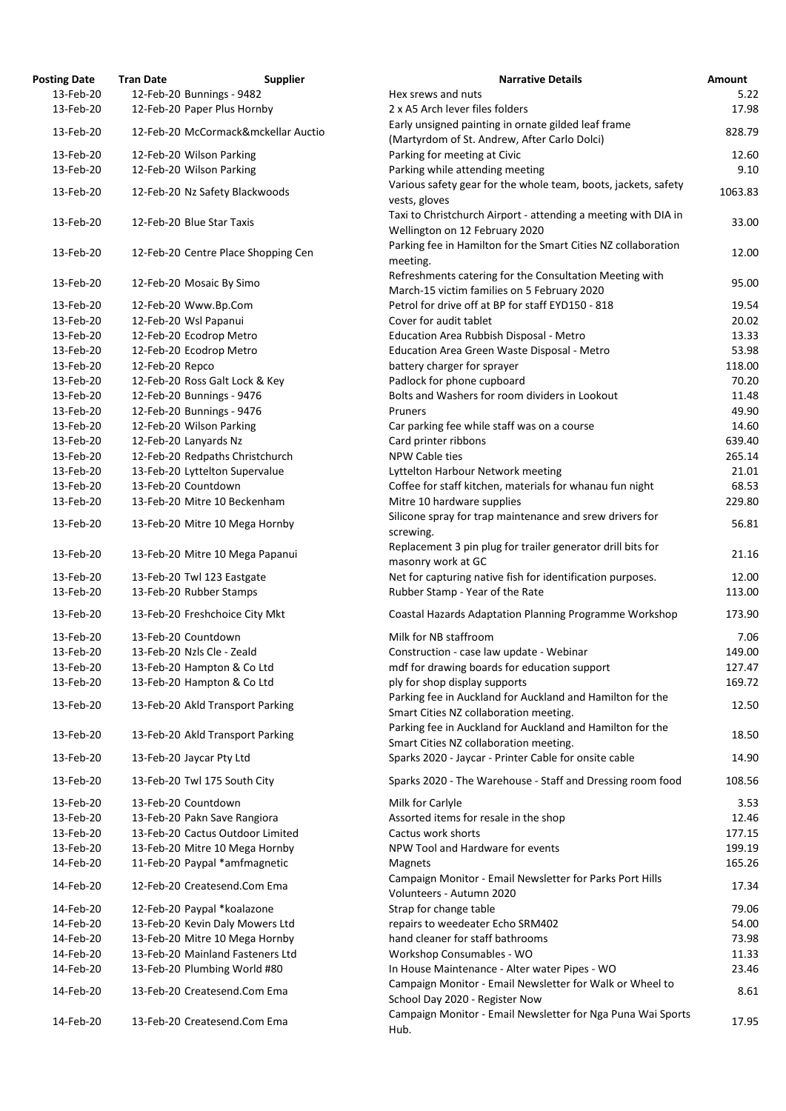| osting Date | <b>Tran Date</b> | <b>Supplier</b>                        |
|-------------|------------------|----------------------------------------|
| 13-Feb-20   |                  | 12-Feb-20 Bunnings - 9482              |
| 13-Feb-20   |                  | 12-Feb-20 Paper Plus Hornby            |
|             |                  |                                        |
| 13-Feb-20   |                  | 12-Feb-20 McCormack&mckellar Auctio    |
| 13-Feb-20   |                  | 12-Feb-20 Wilson Parking               |
| 13-Feb-20   |                  |                                        |
|             |                  | 12-Feb-20 Wilson Parking               |
| 13-Feb-20   |                  | 12-Feb-20 Nz Safety Blackwoods         |
|             |                  |                                        |
| 13-Feb-20   |                  | 12-Feb-20 Blue Star Taxis              |
|             |                  |                                        |
| 13-Feb-20   |                  | 12-Feb-20 Centre Place Shopping Cen    |
|             |                  |                                        |
| 13-Feb-20   |                  | 12-Feb-20 Mosaic By Simo               |
|             |                  |                                        |
| 13-Feb-20   |                  | 12-Feb-20 Www.Bp.Com                   |
| 13-Feb-20   |                  | 12-Feb-20 Wsl Papanui                  |
| 13-Feb-20   |                  | 12-Feb-20 Ecodrop Metro                |
| 13-Feb-20   |                  | 12-Feb-20 Ecodrop Metro                |
| 13-Feb-20   | 12-Feb-20 Repco  |                                        |
| 13-Feb-20   |                  | 12-Feb-20 Ross Galt Lock & Key         |
| 13-Feb-20   |                  | 12-Feb-20 Bunnings - 9476              |
| 13-Feb-20   |                  | 12-Feb-20 Bunnings - 9476              |
| 13-Feb-20   |                  | 12-Feb-20 Wilson Parking               |
| 13-Feb-20   |                  |                                        |
|             |                  | 12-Feb-20 Lanyards Nz                  |
| 13-Feb-20   |                  | 12-Feb-20 Redpaths Christchurch        |
| 13-Feb-20   |                  | 13-Feb-20 Lyttelton Supervalue         |
| 13-Feb-20   |                  | 13-Feb-20 Countdown                    |
| 13-Feb-20   |                  | 13-Feb-20 Mitre 10 Beckenham           |
| 13-Feb-20   |                  | 13-Feb-20 Mitre 10 Mega Hornby         |
|             |                  |                                        |
| 13-Feb-20   |                  | 13-Feb-20 Mitre 10 Mega Papanui        |
|             |                  |                                        |
| 13-Feb-20   |                  | 13-Feb-20 Twl 123 Eastgate             |
| 13-Feb-20   |                  | 13-Feb-20 Rubber Stamps                |
| 13-Feb-20   |                  | 13-Feb-20 Freshchoice City Mkt         |
| 13-Feb-20   |                  | 13-Feb-20 Countdown                    |
|             |                  |                                        |
| 13-Feb-20   |                  | 13-Feb-20 Nzls Cle - Zeald             |
| 13-Feb-20   |                  | 13-Feb-20 Hampton & Co Ltd             |
| 13-Feb-20   |                  | 13-Feb-20 Hampton & Co Ltd             |
| 13-Feb-20   |                  | 13-Feb-20 Akld Transport Parking       |
|             |                  |                                        |
| 13-Feb-20   |                  | 13-Feb-20 Akld Transport Parking       |
| 13-Feb-20   |                  | 13-Feb-20 Jaycar Pty Ltd               |
|             |                  |                                        |
| 13-Feb-20   |                  | 13-Feb-20 Twl 175 South City           |
| 13-Feb-20   |                  | 13-Feb-20 Countdown                    |
| 13-Feb-20   |                  | 13-Feb-20 Pakn Save Rangiora           |
| 13-Feb-20   |                  | 13-Feb-20 Cactus Outdoor Limited       |
| 13-Feb-20   |                  | 13-Feb-20 Mitre 10 Mega Hornby         |
| 14-Feb-20   |                  | 11-Feb-20 Paypal *amfmagnetic          |
|             |                  |                                        |
| 14-Feb-20   |                  | 12-Feb-20 Createsend.Com Ema           |
| 14-Feb-20   |                  | 12-Feb-20 Paypal *koalazone            |
| 14-Feb-20   |                  | 13-Feb-20 Kevin Daly Mowers Ltd        |
|             |                  |                                        |
| 14-Feb-20   |                  | 13-Feb-20 Mitre 10 Mega Hornby         |
| 14-Feb-20   |                  | 13-Feb-20 Mainland Fasteners Ltd       |
| 14-Feb-20   |                  | 13-Feb-20 Plumbing World #80           |
| 14-Feb-20   |                  | 13-Feb-20 Createsend.Com Ema           |
|             |                  |                                        |
|             |                  | 14-Feb-20 13-Feb-20 Createsend.Com Ema |

| <b>Posting Date</b>    | <b>Tran Date</b> | <b>Supplier</b>                                              | <b>Narrative Details</b>                                                                               | <b>Amount</b>  |
|------------------------|------------------|--------------------------------------------------------------|--------------------------------------------------------------------------------------------------------|----------------|
| 13-Feb-20              |                  | 12-Feb-20 Bunnings - 9482                                    | Hex srews and nuts                                                                                     | 5.22           |
| 13-Feb-20              |                  | 12-Feb-20 Paper Plus Hornby                                  | 2 x A5 Arch lever files folders                                                                        | 17.98          |
| 13-Feb-20              |                  | 12-Feb-20 McCormack&mckellar Auctio                          | Early unsigned painting in ornate gilded leaf frame<br>(Martyrdom of St. Andrew, After Carlo Dolci)    | 828.79         |
| 13-Feb-20              |                  | 12-Feb-20 Wilson Parking                                     | Parking for meeting at Civic                                                                           | 12.60          |
|                        |                  |                                                              |                                                                                                        |                |
| 13-Feb-20              |                  | 12-Feb-20 Wilson Parking                                     | Parking while attending meeting                                                                        | 9.10           |
| 13-Feb-20              |                  | 12-Feb-20 Nz Safety Blackwoods                               | Various safety gear for the whole team, boots, jackets, safety<br>vests, gloves                        | 1063.83        |
| 13-Feb-20              |                  | 12-Feb-20 Blue Star Taxis                                    | Taxi to Christchurch Airport - attending a meeting with DIA in<br>Wellington on 12 February 2020       | 33.00          |
| 13-Feb-20              |                  | 12-Feb-20 Centre Place Shopping Cen                          | Parking fee in Hamilton for the Smart Cities NZ collaboration<br>meeting.                              | 12.00          |
| 13-Feb-20              |                  | 12-Feb-20 Mosaic By Simo                                     | Refreshments catering for the Consultation Meeting with<br>March-15 victim families on 5 February 2020 | 95.00          |
| 13-Feb-20              |                  | 12-Feb-20 Www.Bp.Com                                         | Petrol for drive off at BP for staff EYD150 - 818                                                      | 19.54          |
| 13-Feb-20              |                  | 12-Feb-20 Wsl Papanui                                        | Cover for audit tablet                                                                                 | 20.02          |
| 13-Feb-20              |                  | 12-Feb-20 Ecodrop Metro                                      | Education Area Rubbish Disposal - Metro                                                                | 13.33          |
| 13-Feb-20              |                  | 12-Feb-20 Ecodrop Metro                                      |                                                                                                        |                |
|                        |                  |                                                              | Education Area Green Waste Disposal - Metro                                                            | 53.98          |
| 13-Feb-20              | 12-Feb-20 Repco  |                                                              | battery charger for sprayer                                                                            | 118.00         |
| 13-Feb-20              |                  | 12-Feb-20 Ross Galt Lock & Key                               | Padlock for phone cupboard                                                                             | 70.20          |
| 13-Feb-20              |                  | 12-Feb-20 Bunnings - 9476                                    | Bolts and Washers for room dividers in Lookout                                                         | 11.48          |
| 13-Feb-20              |                  | 12-Feb-20 Bunnings - 9476                                    | Pruners                                                                                                | 49.90          |
| 13-Feb-20              |                  | 12-Feb-20 Wilson Parking                                     | Car parking fee while staff was on a course                                                            | 14.60          |
| 13-Feb-20              |                  | 12-Feb-20 Lanyards Nz                                        | Card printer ribbons                                                                                   | 639.40         |
| 13-Feb-20              |                  | 12-Feb-20 Redpaths Christchurch                              | NPW Cable ties                                                                                         | 265.14         |
|                        |                  |                                                              |                                                                                                        |                |
| 13-Feb-20              |                  | 13-Feb-20 Lyttelton Supervalue                               | Lyttelton Harbour Network meeting                                                                      | 21.01          |
| 13-Feb-20              |                  | 13-Feb-20 Countdown                                          | Coffee for staff kitchen, materials for whanau fun night                                               | 68.53          |
| 13-Feb-20              |                  | 13-Feb-20 Mitre 10 Beckenham                                 | Mitre 10 hardware supplies<br>Silicone spray for trap maintenance and srew drivers for                 | 229.80         |
| 13-Feb-20              |                  | 13-Feb-20 Mitre 10 Mega Hornby                               | screwing.<br>Replacement 3 pin plug for trailer generator drill bits for                               | 56.81          |
| 13-Feb-20              |                  | 13-Feb-20 Mitre 10 Mega Papanui                              | masonry work at GC                                                                                     | 21.16          |
| 13-Feb-20              |                  | 13-Feb-20 Twl 123 Eastgate                                   | Net for capturing native fish for identification purposes.                                             | 12.00          |
| 13-Feb-20              |                  | 13-Feb-20 Rubber Stamps                                      | Rubber Stamp - Year of the Rate                                                                        | 113.00         |
| 13-Feb-20              |                  | 13-Feb-20 Freshchoice City Mkt                               | Coastal Hazards Adaptation Planning Programme Workshop                                                 | 173.90         |
| 13-Feb-20              |                  | 13-Feb-20 Countdown                                          | Milk for NB staffroom                                                                                  | 7.06           |
| 13-Feb-20              |                  | 13-Feb-20 Nzls Cle - Zeald                                   | Construction - case law update - Webinar                                                               | 149.00         |
| 13-Feb-20              |                  | 13-Feb-20 Hampton & Co Ltd                                   | mdf for drawing boards for education support                                                           | 127.47         |
| 13-Feb-20              |                  | 13-Feb-20 Hampton & Co Ltd                                   | ply for shop display supports                                                                          | 169.72         |
| 13-Feb-20              |                  | 13-Feb-20 Akld Transport Parking                             | Parking fee in Auckland for Auckland and Hamilton for the                                              | 12.50          |
|                        |                  |                                                              | Smart Cities NZ collaboration meeting.<br>Parking fee in Auckland for Auckland and Hamilton for the    |                |
| 13-Feb-20<br>13-Feb-20 |                  | 13-Feb-20 Akld Transport Parking<br>13-Feb-20 Jaycar Pty Ltd | Smart Cities NZ collaboration meeting.<br>Sparks 2020 - Jaycar - Printer Cable for onsite cable        | 18.50<br>14.90 |
|                        |                  |                                                              |                                                                                                        |                |
| 13-Feb-20              |                  | 13-Feb-20 Twl 175 South City<br>13-Feb-20 Countdown          | Sparks 2020 - The Warehouse - Staff and Dressing room food                                             | 108.56         |
| 13-Feb-20              |                  |                                                              | Milk for Carlyle                                                                                       | 3.53           |
| 13-Feb-20              |                  | 13-Feb-20 Pakn Save Rangiora                                 | Assorted items for resale in the shop                                                                  | 12.46          |
| 13-Feb-20              |                  | 13-Feb-20 Cactus Outdoor Limited                             | Cactus work shorts                                                                                     | 177.15         |
| 13-Feb-20              |                  | 13-Feb-20 Mitre 10 Mega Hornby                               | NPW Tool and Hardware for events                                                                       | 199.19         |
| 14-Feb-20              |                  | 11-Feb-20 Paypal *amfmagnetic                                | Magnets<br>Campaign Monitor - Email Newsletter for Parks Port Hills                                    | 165.26         |
| 14-Feb-20              |                  | 12-Feb-20 Createsend.Com Ema                                 | Volunteers - Autumn 2020                                                                               | 17.34          |
| 14-Feb-20              |                  | 12-Feb-20 Paypal *koalazone                                  | Strap for change table                                                                                 | 79.06          |
| 14-Feb-20              |                  | 13-Feb-20 Kevin Daly Mowers Ltd                              | repairs to weedeater Echo SRM402                                                                       | 54.00          |
| 14-Feb-20              |                  | 13-Feb-20 Mitre 10 Mega Hornby                               | hand cleaner for staff bathrooms                                                                       | 73.98          |
| 14-Feb-20              |                  | 13-Feb-20 Mainland Fasteners Ltd                             | Workshop Consumables - WO                                                                              | 11.33          |
| 14-Feb-20              |                  | 13-Feb-20 Plumbing World #80                                 | In House Maintenance - Alter water Pipes - WO                                                          | 23.46          |
| 14-Feb-20              |                  | 13-Feb-20 Createsend.Com Ema                                 | Campaign Monitor - Email Newsletter for Walk or Wheel to                                               | 8.61           |
| 14-Feb-20              |                  | 13-Feb-20 Createsend.Com Ema                                 | School Day 2020 - Register Now<br>Campaign Monitor - Email Newsletter for Nga Puna Wai Sports          | 17.95          |
|                        |                  |                                                              | Hub.                                                                                                   |                |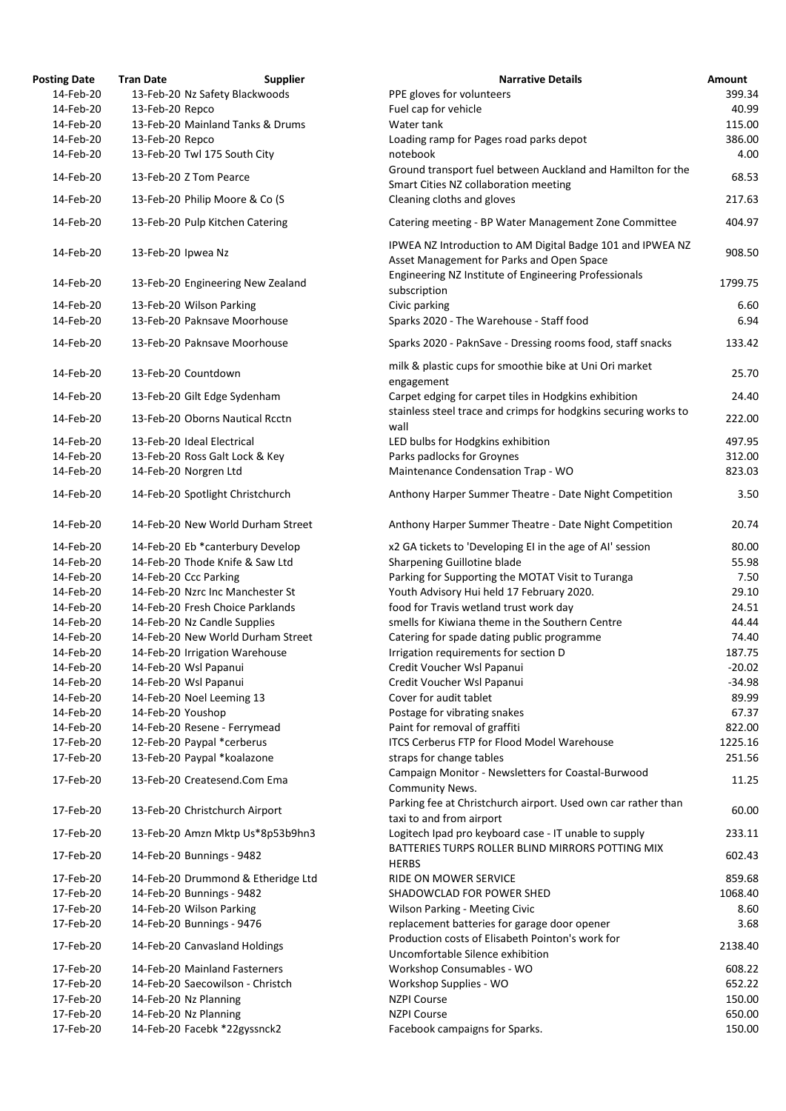| <b>Posting Date</b> | <b>Tran Date</b>   | <b>Supplier</b>                    | <b>Narrative Details</b>                                                                                | Amount   |
|---------------------|--------------------|------------------------------------|---------------------------------------------------------------------------------------------------------|----------|
| 14-Feb-20           |                    | 13-Feb-20 Nz Safety Blackwoods     | PPE gloves for volunteers                                                                               | 399.34   |
| 14-Feb-20           | 13-Feb-20 Repco    |                                    | Fuel cap for vehicle                                                                                    | 40.99    |
| 14-Feb-20           |                    | 13-Feb-20 Mainland Tanks & Drums   | Water tank                                                                                              | 115.00   |
| 14-Feb-20           | 13-Feb-20 Repco    |                                    | Loading ramp for Pages road parks depot                                                                 | 386.00   |
| 14-Feb-20           |                    | 13-Feb-20 Twl 175 South City       | notebook                                                                                                | 4.00     |
|                     |                    | 13-Feb-20 Z Tom Pearce             | Ground transport fuel between Auckland and Hamilton for the                                             |          |
| 14-Feb-20           |                    |                                    | Smart Cities NZ collaboration meeting                                                                   | 68.53    |
| 14-Feb-20           |                    | 13-Feb-20 Philip Moore & Co (S     | Cleaning cloths and gloves                                                                              | 217.63   |
| 14-Feb-20           |                    | 13-Feb-20 Pulp Kitchen Catering    | Catering meeting - BP Water Management Zone Committee                                                   | 404.97   |
|                     |                    |                                    |                                                                                                         |          |
| 14-Feb-20           | 13-Feb-20 Ipwea Nz |                                    | IPWEA NZ Introduction to AM Digital Badge 101 and IPWEA NZ<br>Asset Management for Parks and Open Space | 908.50   |
| 14-Feb-20           |                    | 13-Feb-20 Engineering New Zealand  | Engineering NZ Institute of Engineering Professionals<br>subscription                                   | 1799.75  |
| 14-Feb-20           |                    | 13-Feb-20 Wilson Parking           | Civic parking                                                                                           | 6.60     |
| 14-Feb-20           |                    | 13-Feb-20 Paknsave Moorhouse       | Sparks 2020 - The Warehouse - Staff food                                                                | 6.94     |
|                     |                    |                                    |                                                                                                         |          |
| 14-Feb-20           |                    | 13-Feb-20 Paknsave Moorhouse       | Sparks 2020 - PaknSave - Dressing rooms food, staff snacks                                              | 133.42   |
| 14-Feb-20           |                    | 13-Feb-20 Countdown                | milk & plastic cups for smoothie bike at Uni Ori market<br>engagement                                   | 25.70    |
| 14-Feb-20           |                    | 13-Feb-20 Gilt Edge Sydenham       | Carpet edging for carpet tiles in Hodgkins exhibition                                                   | 24.40    |
| 14-Feb-20           |                    | 13-Feb-20 Oborns Nautical Rcctn    | stainless steel trace and crimps for hodgkins securing works to                                         | 222.00   |
|                     |                    |                                    | wall                                                                                                    |          |
| 14-Feb-20           |                    | 13-Feb-20 Ideal Electrical         | LED bulbs for Hodgkins exhibition                                                                       | 497.95   |
| 14-Feb-20           |                    | 13-Feb-20 Ross Galt Lock & Key     | Parks padlocks for Groynes                                                                              | 312.00   |
| 14-Feb-20           |                    | 14-Feb-20 Norgren Ltd              | Maintenance Condensation Trap - WO                                                                      | 823.03   |
| 14-Feb-20           |                    | 14-Feb-20 Spotlight Christchurch   | Anthony Harper Summer Theatre - Date Night Competition                                                  | 3.50     |
| 14-Feb-20           |                    | 14-Feb-20 New World Durham Street  | Anthony Harper Summer Theatre - Date Night Competition                                                  | 20.74    |
| 14-Feb-20           |                    | 14-Feb-20 Eb *canterbury Develop   | x2 GA tickets to 'Developing EI in the age of AI' session                                               | 80.00    |
| 14-Feb-20           |                    | 14-Feb-20 Thode Knife & Saw Ltd    | Sharpening Guillotine blade                                                                             | 55.98    |
| 14-Feb-20           |                    | 14-Feb-20 Ccc Parking              | Parking for Supporting the MOTAT Visit to Turanga                                                       | 7.50     |
| 14-Feb-20           |                    | 14-Feb-20 Nzrc Inc Manchester St   | Youth Advisory Hui held 17 February 2020.                                                               | 29.10    |
| 14-Feb-20           |                    | 14-Feb-20 Fresh Choice Parklands   | food for Travis wetland trust work day                                                                  | 24.51    |
| 14-Feb-20           |                    | 14-Feb-20 Nz Candle Supplies       | smells for Kiwiana theme in the Southern Centre                                                         | 44.44    |
| 14-Feb-20           |                    | 14-Feb-20 New World Durham Street  | Catering for spade dating public programme                                                              | 74.40    |
| 14-Feb-20           |                    | 14-Feb-20 Irrigation Warehouse     | Irrigation requirements for section D                                                                   | 187.75   |
| 14-Feb-20           |                    | 14-Feb-20 Wsl Papanui              | Credit Voucher Wsl Papanui                                                                              | $-20.02$ |
| 14-Feb-20           |                    | 14-Feb-20 Wsl Papanui              | Credit Voucher Wsl Papanui                                                                              | $-34.98$ |
| 14-Feb-20           |                    | 14-Feb-20 Noel Leeming 13          | Cover for audit tablet                                                                                  | 89.99    |
| 14-Feb-20           | 14-Feb-20 Youshop  |                                    | Postage for vibrating snakes                                                                            | 67.37    |
| 14-Feb-20           |                    | 14-Feb-20 Resene - Ferrymead       | Paint for removal of graffiti                                                                           | 822.00   |
| 17-Feb-20           |                    | 12-Feb-20 Paypal *cerberus         | <b>ITCS Cerberus FTP for Flood Model Warehouse</b>                                                      | 1225.16  |
| 17-Feb-20           |                    | 13-Feb-20 Paypal *koalazone        | straps for change tables                                                                                | 251.56   |
| 17-Feb-20           |                    | 13-Feb-20 Createsend.Com Ema       | Campaign Monitor - Newsletters for Coastal-Burwood<br>Community News.                                   | 11.25    |
| 17-Feb-20           |                    | 13-Feb-20 Christchurch Airport     | Parking fee at Christchurch airport. Used own car rather than<br>taxi to and from airport               | 60.00    |
| 17-Feb-20           |                    | 13-Feb-20 Amzn Mktp Us*8p53b9hn3   | Logitech Ipad pro keyboard case - IT unable to supply                                                   | 233.11   |
| 17-Feb-20           |                    | 14-Feb-20 Bunnings - 9482          | BATTERIES TURPS ROLLER BLIND MIRRORS POTTING MIX<br><b>HERBS</b>                                        | 602.43   |
| 17-Feb-20           |                    | 14-Feb-20 Drummond & Etheridge Ltd | RIDE ON MOWER SERVICE                                                                                   | 859.68   |
| 17-Feb-20           |                    | 14-Feb-20 Bunnings - 9482          | SHADOWCLAD FOR POWER SHED                                                                               | 1068.40  |
| 17-Feb-20           |                    | 14-Feb-20 Wilson Parking           | Wilson Parking - Meeting Civic                                                                          | 8.60     |
| 17-Feb-20           |                    | 14-Feb-20 Bunnings - 9476          | replacement batteries for garage door opener                                                            | 3.68     |
| 17-Feb-20           |                    | 14-Feb-20 Canvasland Holdings      | Production costs of Elisabeth Pointon's work for<br>Uncomfortable Silence exhibition                    | 2138.40  |
| 17-Feb-20           |                    | 14-Feb-20 Mainland Fasterners      | Workshop Consumables - WO                                                                               | 608.22   |
| 17-Feb-20           |                    | 14-Feb-20 Saecowilson - Christch   | Workshop Supplies - WO                                                                                  | 652.22   |
| 17-Feb-20           |                    | 14-Feb-20 Nz Planning              | <b>NZPI Course</b>                                                                                      | 150.00   |
| 17-Feb-20           |                    | 14-Feb-20 Nz Planning              | <b>NZPI Course</b>                                                                                      | 650.00   |
| 17-Feb-20           |                    | 14-Feb-20 Facebk *22gyssnck2       | Facebook campaigns for Sparks.                                                                          | 150.00   |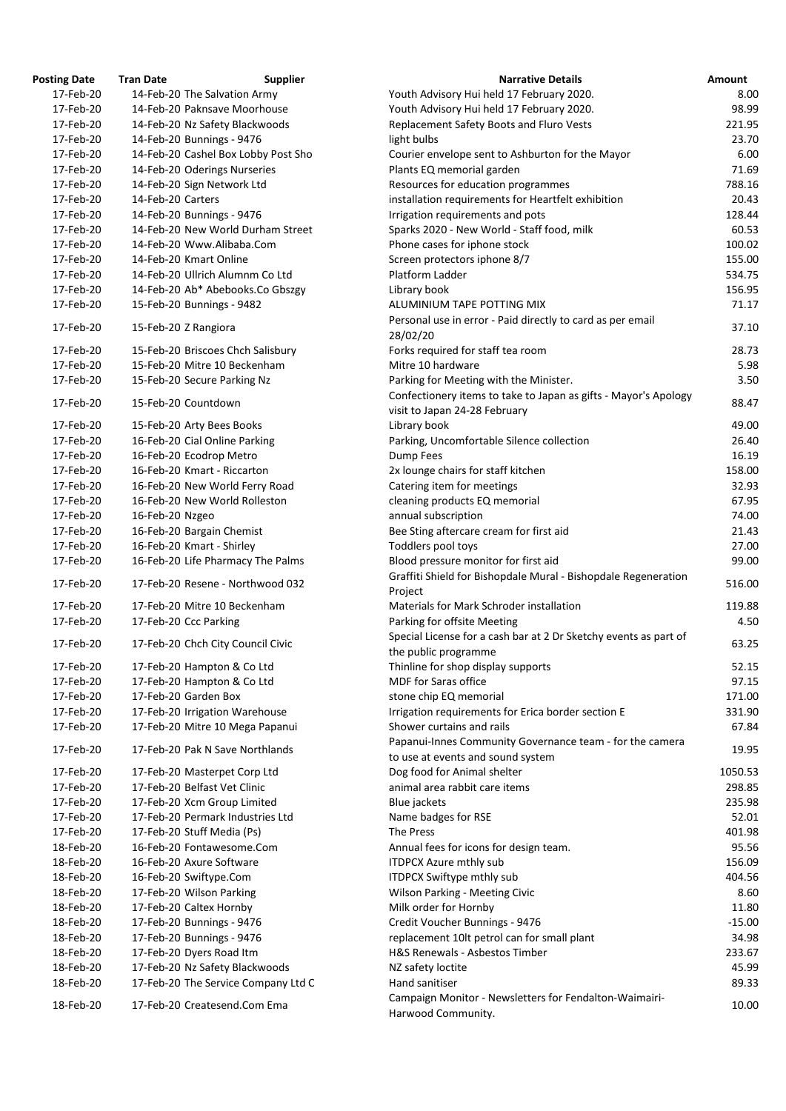| <b>osting Date</b>     | <b>Tran Date</b>  | <b>Supplier</b>                                          |
|------------------------|-------------------|----------------------------------------------------------|
| 17-Feb-20              |                   | 14-Feb-20 The Salvation Army                             |
| 17-Feb-20              |                   | 14-Feb-20 Paknsave Moorhouse                             |
| 17-Feb-20              |                   | 14-Feb-20 Nz Safety Blackwoods                           |
| 17-Feb-20              |                   | 14-Feb-20 Bunnings - 9476                                |
| 17-Feb-20              |                   | 14-Feb-20 Cashel Box Lobby Post Sho                      |
| 17-Feb-20              |                   | 14-Feb-20 Oderings Nurseries                             |
| 17-Feb-20              |                   | 14-Feb-20 Sign Network Ltd                               |
| 17-Feb-20              | 14-Feb-20 Carters |                                                          |
| 17-Feb-20              |                   | 14-Feb-20 Bunnings - 9476                                |
| 17-Feb-20              |                   | 14-Feb-20 New World Durham Street                        |
| 17-Feb-20              |                   | 14-Feb-20 Www.Alibaba.Com                                |
| 17-Feb-20              |                   | 14-Feb-20 Kmart Online                                   |
| 17-Feb-20              |                   | 14-Feb-20 Ullrich Alumnm Co Ltd                          |
| 17-Feb-20              |                   | 14-Feb-20 Ab* Abebooks.Co Gbszgy                         |
| 17-Feb-20              |                   | 15-Feb-20 Bunnings - 9482                                |
| 17-Feb-20              |                   | 15-Feb-20 Z Rangiora                                     |
| 17-Feb-20              |                   | 15-Feb-20 Briscoes Chch Salisbury                        |
| 17-Feb-20              |                   | 15-Feb-20 Mitre 10 Beckenham                             |
| 17-Feb-20              |                   | 15-Feb-20 Secure Parking Nz                              |
| 17-Feb-20              |                   | 15-Feb-20 Countdown                                      |
| 17-Feb-20              |                   | 15-Feb-20 Arty Bees Books                                |
| 17-Feb-20              |                   | 16-Feb-20 Cial Online Parking                            |
| 17-Feb-20              |                   | 16-Feb-20 Ecodrop Metro                                  |
| 17-Feb-20              |                   | 16-Feb-20 Kmart - Riccarton                              |
| 17-Feb-20              |                   | 16-Feb-20 New World Ferry Road                           |
| 17-Feb-20              |                   | 16-Feb-20 New World Rolleston                            |
| 17-Feb-20              | 16-Feb-20 Nzgeo   |                                                          |
| 17-Feb-20              |                   | 16-Feb-20 Bargain Chemist                                |
| 17-Feb-20              |                   | 16-Feb-20 Kmart - Shirley                                |
| 17-Feb-20              |                   | 16-Feb-20 Life Pharmacy The Palms                        |
| 17-Feb-20              |                   | 17-Feb-20 Resene - Northwood 032                         |
| 17-Feb-20              |                   | 17-Feb-20 Mitre 10 Beckenham                             |
| 17-Feb-20              |                   | 17-Feb-20 Ccc Parking                                    |
| 17-Feb-20              |                   | 17-Feb-20 Chch City Council Civic                        |
| 17-Feb-20              |                   |                                                          |
| 17-Feb-20              |                   | 17-Feb-20 Hampton & Co Ltd<br>17-Feb-20 Hampton & Co Ltd |
| 17-Feb-20              |                   | 17-Feb-20 Garden Box                                     |
| 17-Feb-20              |                   | 17-Feb-20 Irrigation Warehouse                           |
| 17-Feb-20              |                   | 17-Feb-20 Mitre 10 Mega Papanui                          |
|                        |                   |                                                          |
| 17-Feb-20              |                   | 17-Feb-20 Pak N Save Northlands                          |
| 17-Feb-20              |                   | 17-Feb-20 Masterpet Corp Ltd                             |
| 17-Feb-20              |                   | 17-Feb-20 Belfast Vet Clinic                             |
| 17-Feb-20              |                   | 17-Feb-20 Xcm Group Limited                              |
| 17-Feb-20              |                   | 17-Feb-20 Permark Industries Ltd                         |
| 17-Feb-20              |                   | 17-Feb-20 Stuff Media (Ps)                               |
| 18-Feb-20              |                   | 16-Feb-20 Fontawesome.Com                                |
| 18-Feb-20              |                   | 16-Feb-20 Axure Software                                 |
| 18-Feb-20              |                   | 16-Feb-20 Swiftype.Com                                   |
| 18-Feb-20              |                   | 17-Feb-20 Wilson Parking                                 |
| 18-Feb-20              |                   | 17-Feb-20 Caltex Hornby                                  |
| 18-Feb-20<br>18-Feb-20 |                   | 17-Feb-20 Bunnings - 9476                                |
| 18-Feb-20              |                   | 17-Feb-20 Bunnings - 9476<br>17-Feb-20 Dyers Road Itm    |
| 18-Feb-20              |                   | 17-Feb-20 Nz Safety Blackwoods                           |
| 18-Feb-20              |                   | 17-Feb-20 The Service Company Ltd C                      |
|                        |                   |                                                          |
| 18-Feb-20              |                   | 17-Feb-20 Createsend.Com Ema                             |

| <b>Posting Date</b> | <b>Tran Date</b>  | <b>Supplier</b>                     | <b>Narrative Details</b>                                                                      | <b>Amount</b> |
|---------------------|-------------------|-------------------------------------|-----------------------------------------------------------------------------------------------|---------------|
| 17-Feb-20           |                   | 14-Feb-20 The Salvation Army        | Youth Advisory Hui held 17 February 2020.                                                     | 8.00          |
| 17-Feb-20           |                   | 14-Feb-20 Paknsave Moorhouse        | Youth Advisory Hui held 17 February 2020.                                                     | 98.99         |
| 17-Feb-20           |                   | 14-Feb-20 Nz Safety Blackwoods      | Replacement Safety Boots and Fluro Vests                                                      | 221.95        |
| 17-Feb-20           |                   | 14-Feb-20 Bunnings - 9476           | light bulbs                                                                                   | 23.70         |
| 17-Feb-20           |                   | 14-Feb-20 Cashel Box Lobby Post Sho | Courier envelope sent to Ashburton for the Mayor                                              | 6.00          |
| 17-Feb-20           |                   | 14-Feb-20 Oderings Nurseries        | Plants EQ memorial garden                                                                     | 71.69         |
| 17-Feb-20           |                   | 14-Feb-20 Sign Network Ltd          | Resources for education programmes                                                            | 788.16        |
| 17-Feb-20           | 14-Feb-20 Carters |                                     | installation requirements for Heartfelt exhibition                                            | 20.43         |
| 17-Feb-20           |                   | 14-Feb-20 Bunnings - 9476           | Irrigation requirements and pots                                                              | 128.44        |
| 17-Feb-20           |                   | 14-Feb-20 New World Durham Street   | Sparks 2020 - New World - Staff food, milk                                                    | 60.53         |
| 17-Feb-20           |                   | 14-Feb-20 Www.Alibaba.Com           | Phone cases for iphone stock                                                                  | 100.02        |
| 17-Feb-20           |                   | 14-Feb-20 Kmart Online              | Screen protectors iphone 8/7                                                                  | 155.00        |
| 17-Feb-20           |                   | 14-Feb-20 Ullrich Alumnm Co Ltd     | Platform Ladder                                                                               | 534.75        |
| 17-Feb-20           |                   | 14-Feb-20 Ab* Abebooks.Co Gbszgy    | Library book                                                                                  | 156.95        |
| 17-Feb-20           |                   | 15-Feb-20 Bunnings - 9482           | ALUMINIUM TAPE POTTING MIX                                                                    | 71.17         |
| 17-Feb-20           |                   | 15-Feb-20 Z Rangiora                | Personal use in error - Paid directly to card as per email<br>28/02/20                        | 37.10         |
| 17-Feb-20           |                   | 15-Feb-20 Briscoes Chch Salisbury   | Forks required for staff tea room                                                             | 28.73         |
| 17-Feb-20           |                   | 15-Feb-20 Mitre 10 Beckenham        | Mitre 10 hardware                                                                             | 5.98          |
| 17-Feb-20           |                   | 15-Feb-20 Secure Parking Nz         | Parking for Meeting with the Minister.                                                        | 3.50          |
|                     |                   |                                     | Confectionery items to take to Japan as gifts - Mayor's Apology                               |               |
| 17-Feb-20           |                   | 15-Feb-20 Countdown                 | visit to Japan 24-28 February                                                                 | 88.47         |
| 17-Feb-20           |                   | 15-Feb-20 Arty Bees Books           | Library book                                                                                  | 49.00         |
| 17-Feb-20           |                   | 16-Feb-20 Cial Online Parking       | Parking, Uncomfortable Silence collection                                                     | 26.40         |
| 17-Feb-20           |                   | 16-Feb-20 Ecodrop Metro             | Dump Fees                                                                                     | 16.19         |
| 17-Feb-20           |                   | 16-Feb-20 Kmart - Riccarton         | 2x lounge chairs for staff kitchen                                                            | 158.00        |
| 17-Feb-20           |                   | 16-Feb-20 New World Ferry Road      | Catering item for meetings                                                                    | 32.93         |
| 17-Feb-20           |                   | 16-Feb-20 New World Rolleston       | cleaning products EQ memorial                                                                 | 67.95         |
| 17-Feb-20           | 16-Feb-20 Nzgeo   |                                     | annual subscription                                                                           | 74.00         |
| 17-Feb-20           |                   | 16-Feb-20 Bargain Chemist           | Bee Sting aftercare cream for first aid                                                       | 21.43         |
| 17-Feb-20           |                   | 16-Feb-20 Kmart - Shirley           | Toddlers pool toys                                                                            | 27.00         |
| 17-Feb-20           |                   | 16-Feb-20 Life Pharmacy The Palms   | Blood pressure monitor for first aid                                                          | 99.00         |
| 17-Feb-20           |                   | 17-Feb-20 Resene - Northwood 032    | Graffiti Shield for Bishopdale Mural - Bishopdale Regeneration<br>Project                     | 516.00        |
| 17-Feb-20           |                   | 17-Feb-20 Mitre 10 Beckenham        | Materials for Mark Schroder installation                                                      | 119.88        |
| 17-Feb-20           |                   | 17-Feb-20 Ccc Parking               | Parking for offsite Meeting                                                                   | 4.50          |
|                     |                   |                                     | Special License for a cash bar at 2 Dr Sketchy events as part of                              |               |
| 17-Feb-20           |                   | 17-Feb-20 Chch City Council Civic   | the public programme                                                                          | 63.25         |
| 17-Feb-20           |                   | 17-Feb-20 Hampton & Co Ltd          | Thinline for shop display supports                                                            | 52.15         |
| 17-Feb-20           |                   | 17-Feb-20 Hampton & Co Ltd          | <b>MDF</b> for Saras office                                                                   | 97.15         |
| 17-Feb-20           |                   | 17-Feb-20 Garden Box                | stone chip EQ memorial                                                                        | 171.00        |
| 17-Feb-20           |                   | 17-Feb-20 Irrigation Warehouse      | Irrigation requirements for Erica border section E                                            | 331.90        |
| 17-Feb-20           |                   | 17-Feb-20 Mitre 10 Mega Papanui     | Shower curtains and rails                                                                     | 67.84         |
| 17-Feb-20           |                   | 17-Feb-20 Pak N Save Northlands     | Papanui-Innes Community Governance team - for the camera<br>to use at events and sound system | 19.95         |
| 17-Feb-20           |                   | 17-Feb-20 Masterpet Corp Ltd        | Dog food for Animal shelter                                                                   | 1050.53       |
| 17-Feb-20           |                   | 17-Feb-20 Belfast Vet Clinic        | animal area rabbit care items                                                                 | 298.85        |
| 17-Feb-20           |                   | 17-Feb-20 Xcm Group Limited         | Blue jackets                                                                                  | 235.98        |
| 17-Feb-20           |                   | 17-Feb-20 Permark Industries Ltd    | Name badges for RSE                                                                           | 52.01         |
| 17-Feb-20           |                   | 17-Feb-20 Stuff Media (Ps)          | The Press                                                                                     | 401.98        |
| 18-Feb-20           |                   | 16-Feb-20 Fontawesome.Com           | Annual fees for icons for design team.                                                        | 95.56         |
| 18-Feb-20           |                   | 16-Feb-20 Axure Software            | <b>ITDPCX Azure mthly sub</b>                                                                 | 156.09        |
| 18-Feb-20           |                   | 16-Feb-20 Swiftype.Com              | <b>ITDPCX Swiftype mthly sub</b>                                                              | 404.56        |
| 18-Feb-20           |                   | 17-Feb-20 Wilson Parking            | <b>Wilson Parking - Meeting Civic</b>                                                         | 8.60          |
| 18-Feb-20           |                   | 17-Feb-20 Caltex Hornby             | Milk order for Hornby                                                                         | 11.80         |
| 18-Feb-20           |                   | 17-Feb-20 Bunnings - 9476           | Credit Voucher Bunnings - 9476                                                                | $-15.00$      |
| 18-Feb-20           |                   | 17-Feb-20 Bunnings - 9476           | replacement 10lt petrol can for small plant                                                   | 34.98         |
| 18-Feb-20           |                   | 17-Feb-20 Dyers Road Itm            | H&S Renewals - Asbestos Timber                                                                | 233.67        |
| 18-Feb-20           |                   | 17-Feb-20 Nz Safety Blackwoods      | NZ safety loctite                                                                             | 45.99         |
| 18-Feb-20           |                   | 17-Feb-20 The Service Company Ltd C | Hand sanitiser                                                                                | 89.33         |
| 18-Feb-20           |                   | 17-Feb-20 Createsend.Com Ema        | Campaign Monitor - Newsletters for Fendalton-Waimairi-<br>Harwood Community.                  | 10.00         |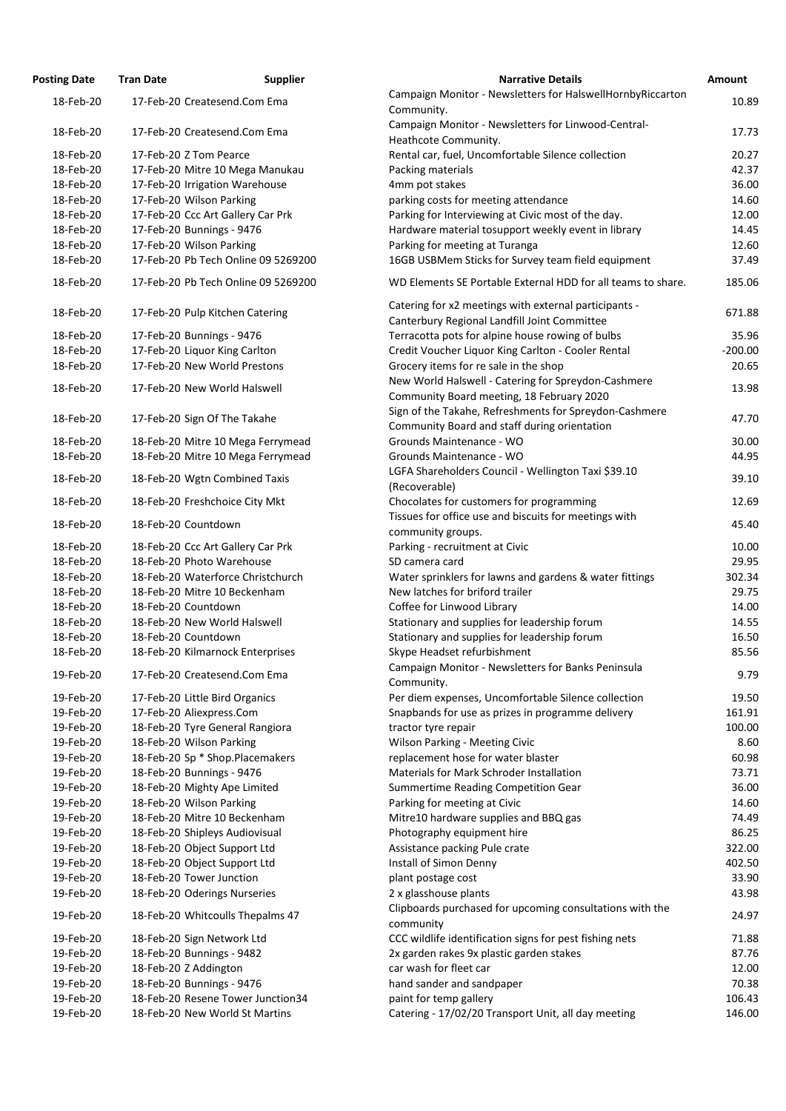| <b>Posting Date</b> | <b>Tran Date</b> | <b>Supplier</b>                     | <b>Narrative Details</b>                                                                              | <b>Amount</b> |
|---------------------|------------------|-------------------------------------|-------------------------------------------------------------------------------------------------------|---------------|
| 18-Feb-20           |                  | 17-Feb-20 Createsend.Com Ema        | Campaign Monitor - Newsletters for HalswellHornbyRiccarton<br>Community.                              | 10.89         |
| 18-Feb-20           |                  | 17-Feb-20 Createsend.Com Ema        | Campaign Monitor - Newsletters for Linwood-Central-<br>Heathcote Community.                           | 17.73         |
| 18-Feb-20           |                  | 17-Feb-20 Z Tom Pearce              | Rental car, fuel, Uncomfortable Silence collection                                                    | 20.27         |
| 18-Feb-20           |                  | 17-Feb-20 Mitre 10 Mega Manukau     | Packing materials                                                                                     | 42.37         |
| 18-Feb-20           |                  | 17-Feb-20 Irrigation Warehouse      | 4mm pot stakes                                                                                        | 36.00         |
| 18-Feb-20           |                  | 17-Feb-20 Wilson Parking            | parking costs for meeting attendance                                                                  | 14.60         |
| 18-Feb-20           |                  | 17-Feb-20 Ccc Art Gallery Car Prk   | Parking for Interviewing at Civic most of the day.                                                    | 12.00         |
| 18-Feb-20           |                  | 17-Feb-20 Bunnings - 9476           | Hardware material tosupport weekly event in library                                                   | 14.45         |
| 18-Feb-20           |                  | 17-Feb-20 Wilson Parking            | Parking for meeting at Turanga                                                                        | 12.60         |
| 18-Feb-20           |                  | 17-Feb-20 Pb Tech Online 09 5269200 | 16GB USBMem Sticks for Survey team field equipment                                                    | 37.49         |
| 18-Feb-20           |                  | 17-Feb-20 Pb Tech Online 09 5269200 | WD Elements SE Portable External HDD for all teams to share.                                          | 185.06        |
| 18-Feb-20           |                  | 17-Feb-20 Pulp Kitchen Catering     | Catering for x2 meetings with external participants -<br>Canterbury Regional Landfill Joint Committee | 671.88        |
| 18-Feb-20           |                  | 17-Feb-20 Bunnings - 9476           | Terracotta pots for alpine house rowing of bulbs                                                      | 35.96         |
| 18-Feb-20           |                  | 17-Feb-20 Liquor King Carlton       | Credit Voucher Liquor King Carlton - Cooler Rental                                                    | $-200.00$     |
| 18-Feb-20           |                  | 17-Feb-20 New World Prestons        | Grocery items for re sale in the shop                                                                 | 20.65         |
|                     |                  |                                     | New World Halswell - Catering for Spreydon-Cashmere                                                   |               |
| 18-Feb-20           |                  | 17-Feb-20 New World Halswell        | Community Board meeting, 18 February 2020                                                             | 13.98         |
| 18-Feb-20           |                  | 17-Feb-20 Sign Of The Takahe        | Sign of the Takahe, Refreshments for Spreydon-Cashmere                                                | 47.70         |
|                     |                  |                                     | Community Board and staff during orientation                                                          |               |
| 18-Feb-20           |                  | 18-Feb-20 Mitre 10 Mega Ferrymead   | Grounds Maintenance - WO                                                                              | 30.00         |
| 18-Feb-20           |                  | 18-Feb-20 Mitre 10 Mega Ferrymead   | Grounds Maintenance - WO                                                                              | 44.95         |
| 18-Feb-20           |                  | 18-Feb-20 Wgtn Combined Taxis       | LGFA Shareholders Council - Wellington Taxi \$39.10<br>(Recoverable)                                  | 39.10         |
| 18-Feb-20           |                  | 18-Feb-20 Freshchoice City Mkt      | Chocolates for customers for programming                                                              | 12.69         |
| 18-Feb-20           |                  | 18-Feb-20 Countdown                 | Tissues for office use and biscuits for meetings with<br>community groups.                            | 45.40         |
| 18-Feb-20           |                  | 18-Feb-20 Ccc Art Gallery Car Prk   | Parking - recruitment at Civic                                                                        | 10.00         |
| 18-Feb-20           |                  | 18-Feb-20 Photo Warehouse           | SD camera card                                                                                        | 29.95         |
| 18-Feb-20           |                  | 18-Feb-20 Waterforce Christchurch   | Water sprinklers for lawns and gardens & water fittings                                               | 302.34        |
| 18-Feb-20           |                  | 18-Feb-20 Mitre 10 Beckenham        | New latches for briford trailer                                                                       | 29.75         |
| 18-Feb-20           |                  | 18-Feb-20 Countdown                 | Coffee for Linwood Library                                                                            | 14.00         |
| 18-Feb-20           |                  | 18-Feb-20 New World Halswell        | Stationary and supplies for leadership forum                                                          | 14.55         |
| 18-Feb-20           |                  | 18-Feb-20 Countdown                 | Stationary and supplies for leadership forum                                                          | 16.50         |
| 18-Feb-20           |                  | 18-Feb-20 Kilmarnock Enterprises    | Skype Headset refurbishment<br>Campaign Monitor - Newsletters for Banks Peninsula                     | 85.56         |
| 19-Feb-20           |                  | 17-Feb-20 Createsend.Com Ema        | Community.                                                                                            | 9.79          |
| 19-Feb-20           |                  | 17-Feb-20 Little Bird Organics      | Per diem expenses, Uncomfortable Silence collection                                                   | 19.50         |
| 19-Feb-20           |                  | 17-Feb-20 Aliexpress.Com            | Snapbands for use as prizes in programme delivery                                                     | 161.91        |
| 19-Feb-20           |                  | 18-Feb-20 Tyre General Rangiora     | tractor tyre repair                                                                                   | 100.00        |
| 19-Feb-20           |                  | 18-Feb-20 Wilson Parking            | Wilson Parking - Meeting Civic                                                                        | 8.60          |
| 19-Feb-20           |                  | 18-Feb-20 Sp * Shop.Placemakers     | replacement hose for water blaster                                                                    | 60.98         |
| 19-Feb-20           |                  | 18-Feb-20 Bunnings - 9476           | Materials for Mark Schroder Installation                                                              | 73.71         |
| 19-Feb-20           |                  | 18-Feb-20 Mighty Ape Limited        | Summertime Reading Competition Gear                                                                   | 36.00         |
| 19-Feb-20           |                  | 18-Feb-20 Wilson Parking            | Parking for meeting at Civic                                                                          | 14.60         |
| 19-Feb-20           |                  | 18-Feb-20 Mitre 10 Beckenham        | Mitre10 hardware supplies and BBQ gas                                                                 | 74.49         |
| 19-Feb-20           |                  | 18-Feb-20 Shipleys Audiovisual      | Photography equipment hire                                                                            | 86.25         |
| 19-Feb-20           |                  | 18-Feb-20 Object Support Ltd        | Assistance packing Pule crate                                                                         | 322.00        |
| 19-Feb-20           |                  | 18-Feb-20 Object Support Ltd        | Install of Simon Denny                                                                                | 402.50        |
| 19-Feb-20           |                  | 18-Feb-20 Tower Junction            | plant postage cost                                                                                    | 33.90         |
| 19-Feb-20           |                  | 18-Feb-20 Oderings Nurseries        | 2 x glasshouse plants<br>Clipboards purchased for upcoming consultations with the                     | 43.98         |
| 19-Feb-20           |                  | 18-Feb-20 Whitcoulls Thepalms 47    | community                                                                                             | 24.97         |
| 19-Feb-20           |                  | 18-Feb-20 Sign Network Ltd          | CCC wildlife identification signs for pest fishing nets                                               | 71.88         |
| 19-Feb-20           |                  | 18-Feb-20 Bunnings - 9482           | 2x garden rakes 9x plastic garden stakes                                                              | 87.76         |
| 19-Feb-20           |                  | 18-Feb-20 Z Addington               | car wash for fleet car                                                                                | 12.00         |
| 19-Feb-20           |                  | 18-Feb-20 Bunnings - 9476           | hand sander and sandpaper                                                                             | 70.38         |
| 19-Feb-20           |                  | 18-Feb-20 Resene Tower Junction34   | paint for temp gallery                                                                                | 106.43        |
| 19-Feb-20           |                  | 18-Feb-20 New World St Martins      | Catering - 17/02/20 Transport Unit, all day meeting                                                   | 146.00        |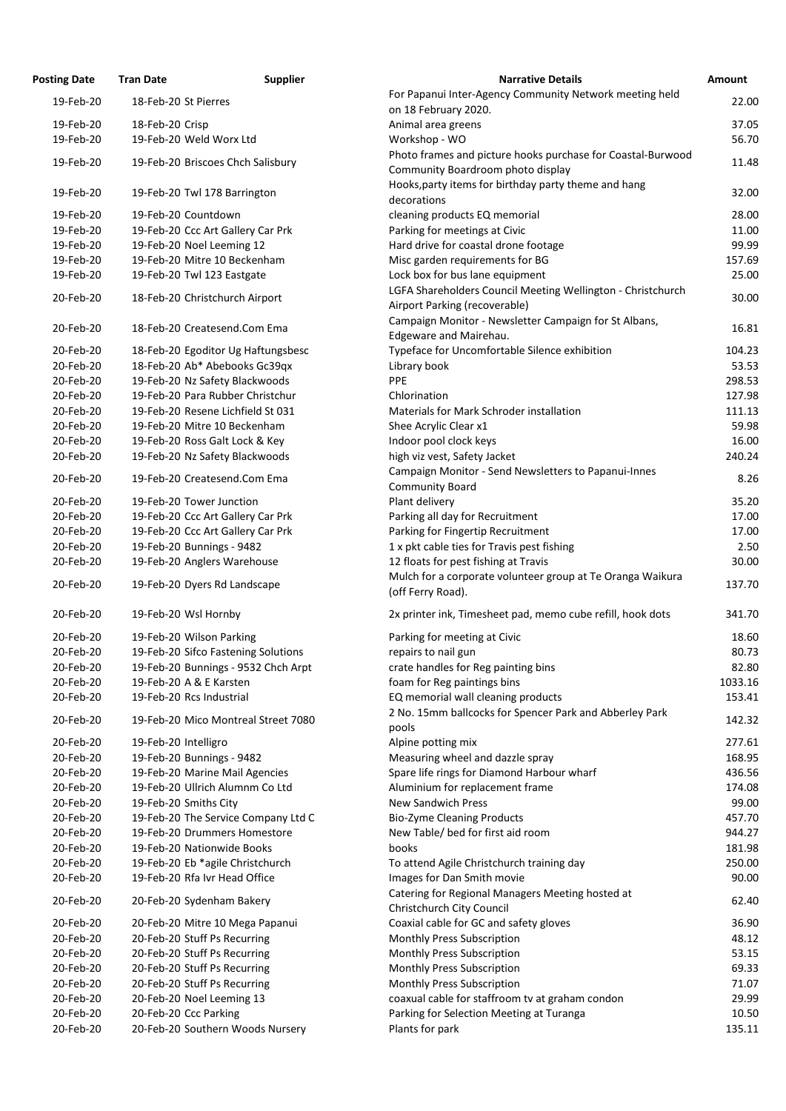| <b>osting Date</b> | <b>Tran Date</b>                  | <b>Supplier</b>                     | <b>Narrative Details</b>                                            |
|--------------------|-----------------------------------|-------------------------------------|---------------------------------------------------------------------|
| 19-Feb-20          | 18-Feb-20 St Pierres              |                                     | For Papanui Inter-Agency Community Network meetir                   |
|                    |                                   |                                     | on 18 February 2020.                                                |
| 19-Feb-20          | 18-Feb-20 Crisp                   |                                     | Animal area greens                                                  |
| 19-Feb-20          | 19-Feb-20 Weld Worx Ltd           |                                     | Workshop - WO                                                       |
| 19-Feb-20          |                                   | 19-Feb-20 Briscoes Chch Salisbury   | Photo frames and picture hooks purchase for Coastal-                |
|                    |                                   |                                     | Community Boardroom photo display                                   |
| 19-Feb-20          | 19-Feb-20 Twl 178 Barrington      |                                     | Hooks, party items for birthday party theme and hang<br>decorations |
| 19-Feb-20          | 19-Feb-20 Countdown               |                                     | cleaning products EQ memorial                                       |
| 19-Feb-20          | 19-Feb-20 Ccc Art Gallery Car Prk |                                     | Parking for meetings at Civic                                       |
| 19-Feb-20          | 19-Feb-20 Noel Leeming 12         |                                     | Hard drive for coastal drone footage                                |
| 19-Feb-20          | 19-Feb-20 Mitre 10 Beckenham      |                                     | Misc garden requirements for BG                                     |
| 19-Feb-20          | 19-Feb-20 Twl 123 Eastgate        |                                     | Lock box for bus lane equipment                                     |
|                    |                                   |                                     | LGFA Shareholders Council Meeting Wellington - Chris                |
| 20-Feb-20          | 18-Feb-20 Christchurch Airport    |                                     | Airport Parking (recoverable)                                       |
|                    |                                   |                                     | Campaign Monitor - Newsletter Campaign for St Albar                 |
| 20-Feb-20          | 18-Feb-20 Createsend.Com Ema      |                                     | Edgeware and Mairehau.                                              |
| 20-Feb-20          |                                   | 18-Feb-20 Egoditor Ug Haftungsbesc  | Typeface for Uncomfortable Silence exhibition                       |
| 20-Feb-20          | 18-Feb-20 Ab* Abebooks Gc39qx     |                                     | Library book                                                        |
| 20-Feb-20          | 19-Feb-20 Nz Safety Blackwoods    |                                     | PPE                                                                 |
| 20-Feb-20          |                                   | 19-Feb-20 Para Rubber Christchur    | Chlorination                                                        |
| 20-Feb-20          |                                   | 19-Feb-20 Resene Lichfield St 031   | Materials for Mark Schroder installation                            |
| 20-Feb-20          | 19-Feb-20 Mitre 10 Beckenham      |                                     | Shee Acrylic Clear x1                                               |
| 20-Feb-20          | 19-Feb-20 Ross Galt Lock & Key    |                                     | Indoor pool clock keys                                              |
| 20-Feb-20          | 19-Feb-20 Nz Safety Blackwoods    |                                     | high viz vest, Safety Jacket                                        |
|                    |                                   |                                     | Campaign Monitor - Send Newsletters to Papanui-Inne                 |
| 20-Feb-20          | 19-Feb-20 Createsend.Com Ema      |                                     | <b>Community Board</b>                                              |
| 20-Feb-20          | 19-Feb-20 Tower Junction          |                                     | Plant delivery                                                      |
| 20-Feb-20          | 19-Feb-20 Ccc Art Gallery Car Prk |                                     | Parking all day for Recruitment                                     |
| 20-Feb-20          | 19-Feb-20 Ccc Art Gallery Car Prk |                                     | Parking for Fingertip Recruitment                                   |
| 20-Feb-20          | 19-Feb-20 Bunnings - 9482         |                                     | 1 x pkt cable ties for Travis pest fishing                          |
| 20-Feb-20          | 19-Feb-20 Anglers Warehouse       |                                     | 12 floats for pest fishing at Travis                                |
| 20-Feb-20          | 19-Feb-20 Dyers Rd Landscape      |                                     | Mulch for a corporate volunteer group at Te Oranga V                |
|                    |                                   |                                     | (off Ferry Road).                                                   |
| 20-Feb-20          | 19-Feb-20 Wsl Hornby              |                                     | 2x printer ink, Timesheet pad, memo cube refill, hook               |
| 20-Feb-20          | 19-Feb-20 Wilson Parking          |                                     | Parking for meeting at Civic                                        |
| 20-Feb-20          |                                   | 19-Feb-20 Sifco Fastening Solutions | repairs to nail gun                                                 |
| 20-Feb-20          |                                   | 19-Feb-20 Bunnings - 9532 Chch Arpt | crate handles for Reg painting bins                                 |
| 20-Feb-20          | 19-Feb-20 A & E Karsten           |                                     | foam for Reg paintings bins                                         |
| 20-Feb-20          | 19-Feb-20 Rcs Industrial          |                                     | EQ memorial wall cleaning products                                  |
|                    |                                   |                                     | 2 No. 15mm ballcocks for Spencer Park and Abberley I                |
| 20-Feb-20          |                                   | 19-Feb-20 Mico Montreal Street 7080 | pools                                                               |
| 20-Feb-20          | 19-Feb-20 Intelligro              |                                     | Alpine potting mix                                                  |
| 20-Feb-20          | 19-Feb-20 Bunnings - 9482         |                                     | Measuring wheel and dazzle spray                                    |
| 20-Feb-20          | 19-Feb-20 Marine Mail Agencies    |                                     | Spare life rings for Diamond Harbour wharf                          |
| 20-Feb-20          | 19-Feb-20 Ullrich Alumnm Co Ltd   |                                     | Aluminium for replacement frame                                     |
| 20-Feb-20          | 19-Feb-20 Smiths City             |                                     | <b>New Sandwich Press</b>                                           |
| 20-Feb-20          |                                   | 19-Feb-20 The Service Company Ltd C | <b>Bio-Zyme Cleaning Products</b>                                   |
| 20-Feb-20          | 19-Feb-20 Drummers Homestore      |                                     | New Table/ bed for first aid room                                   |
| 20-Feb-20          | 19-Feb-20 Nationwide Books        |                                     | books                                                               |
| 20-Feb-20          | 19-Feb-20 Eb *agile Christchurch  |                                     | To attend Agile Christchurch training day                           |
| 20-Feb-20          | 19-Feb-20 Rfa Ivr Head Office     |                                     | Images for Dan Smith movie                                          |
| 20-Feb-20          | 20-Feb-20 Sydenham Bakery         |                                     | Catering for Regional Managers Meeting hosted at                    |
|                    |                                   |                                     | Christchurch City Council                                           |
| 20-Feb-20          |                                   | 20-Feb-20 Mitre 10 Mega Papanui     | Coaxial cable for GC and safety gloves                              |
| 20-Feb-20          | 20-Feb-20 Stuff Ps Recurring      |                                     | Monthly Press Subscription                                          |
| 20-Feb-20          | 20-Feb-20 Stuff Ps Recurring      |                                     | Monthly Press Subscription                                          |
| 20-Feb-20          | 20-Feb-20 Stuff Ps Recurring      |                                     | Monthly Press Subscription                                          |
| 20-Feb-20          | 20-Feb-20 Stuff Ps Recurring      |                                     | Monthly Press Subscription                                          |
| 20-Feb-20          | 20-Feb-20 Noel Leeming 13         |                                     | coaxual cable for staffroom tv at graham condon                     |
| 20-Feb-20          | 20-Feb-20 Ccc Parking             |                                     | Parking for Selection Meeting at Turanga                            |
| 20-Feb-20          |                                   | 20-Feb-20 Southern Woods Nursery    | Plants for park                                                     |

| <b>Posting Date</b> | <b>Tran Date</b>      | <b>Supplier</b>                     | <b>Narrative Details</b>                                    | <b>Amount</b> |
|---------------------|-----------------------|-------------------------------------|-------------------------------------------------------------|---------------|
| 19-Feb-20           | 18-Feb-20 St Pierres  |                                     | For Papanui Inter-Agency Community Network meeting held     | 22.00         |
|                     |                       |                                     | on 18 February 2020.                                        |               |
| 19-Feb-20           | 18-Feb-20 Crisp       |                                     | Animal area greens                                          | 37.05         |
| 19-Feb-20           |                       | 19-Feb-20 Weld Worx Ltd             | Workshop - WO                                               | 56.70         |
| 19-Feb-20           |                       | 19-Feb-20 Briscoes Chch Salisbury   | Photo frames and picture hooks purchase for Coastal-Burwood | 11.48         |
|                     |                       |                                     | Community Boardroom photo display                           |               |
| 19-Feb-20           |                       | 19-Feb-20 Twl 178 Barrington        | Hooks, party items for birthday party theme and hang        | 32.00         |
|                     |                       |                                     | decorations                                                 |               |
| 19-Feb-20           | 19-Feb-20 Countdown   |                                     | cleaning products EQ memorial                               | 28.00         |
| 19-Feb-20           |                       | 19-Feb-20 Ccc Art Gallery Car Prk   | Parking for meetings at Civic                               | 11.00         |
| 19-Feb-20           |                       | 19-Feb-20 Noel Leeming 12           | Hard drive for coastal drone footage                        | 99.99         |
| 19-Feb-20           |                       | 19-Feb-20 Mitre 10 Beckenham        | Misc garden requirements for BG                             | 157.69        |
| 19-Feb-20           |                       | 19-Feb-20 Twl 123 Eastgate          | Lock box for bus lane equipment                             | 25.00         |
| 20-Feb-20           |                       | 18-Feb-20 Christchurch Airport      | LGFA Shareholders Council Meeting Wellington - Christchurch | 30.00         |
|                     |                       |                                     | Airport Parking (recoverable)                               |               |
| 20-Feb-20           |                       | 18-Feb-20 Createsend.Com Ema        | Campaign Monitor - Newsletter Campaign for St Albans,       | 16.81         |
|                     |                       |                                     | Edgeware and Mairehau.                                      |               |
| 20-Feb-20           |                       | 18-Feb-20 Egoditor Ug Haftungsbesc  | Typeface for Uncomfortable Silence exhibition               | 104.23        |
| 20-Feb-20           |                       | 18-Feb-20 Ab* Abebooks Gc39qx       | Library book                                                | 53.53         |
| 20-Feb-20           |                       | 19-Feb-20 Nz Safety Blackwoods      | <b>PPE</b>                                                  | 298.53        |
| 20-Feb-20           |                       | 19-Feb-20 Para Rubber Christchur    | Chlorination                                                | 127.98        |
| 20-Feb-20           |                       | 19-Feb-20 Resene Lichfield St 031   | Materials for Mark Schroder installation                    | 111.13        |
| 20-Feb-20           |                       | 19-Feb-20 Mitre 10 Beckenham        | Shee Acrylic Clear x1                                       | 59.98         |
| 20-Feb-20           |                       | 19-Feb-20 Ross Galt Lock & Key      | Indoor pool clock keys                                      | 16.00         |
| 20-Feb-20           |                       | 19-Feb-20 Nz Safety Blackwoods      | high viz vest, Safety Jacket                                | 240.24        |
|                     |                       |                                     | Campaign Monitor - Send Newsletters to Papanui-Innes        |               |
| 20-Feb-20           |                       | 19-Feb-20 Createsend.Com Ema        | <b>Community Board</b>                                      | 8.26          |
| 20-Feb-20           |                       | 19-Feb-20 Tower Junction            | Plant delivery                                              | 35.20         |
| 20-Feb-20           |                       | 19-Feb-20 Ccc Art Gallery Car Prk   | Parking all day for Recruitment                             | 17.00         |
| 20-Feb-20           |                       | 19-Feb-20 Ccc Art Gallery Car Prk   | Parking for Fingertip Recruitment                           | 17.00         |
| 20-Feb-20           |                       | 19-Feb-20 Bunnings - 9482           | 1 x pkt cable ties for Travis pest fishing                  | 2.50          |
| 20-Feb-20           |                       | 19-Feb-20 Anglers Warehouse         | 12 floats for pest fishing at Travis                        | 30.00         |
|                     |                       |                                     | Mulch for a corporate volunteer group at Te Oranga Waikura  |               |
| 20-Feb-20           |                       | 19-Feb-20 Dyers Rd Landscape        | (off Ferry Road).                                           | 137.70        |
| 20-Feb-20           | 19-Feb-20 Wsl Hornby  |                                     | 2x printer ink, Timesheet pad, memo cube refill, hook dots  | 341.70        |
|                     |                       |                                     |                                                             |               |
| 20-Feb-20           |                       | 19-Feb-20 Wilson Parking            | Parking for meeting at Civic                                | 18.60         |
| 20-Feb-20           |                       | 19-Feb-20 Sifco Fastening Solutions | repairs to nail gun                                         | 80.73         |
| 20-Feb-20           |                       | 19-Feb-20 Bunnings - 9532 Chch Arpt | crate handles for Reg painting bins                         | 82.80         |
| 20-Feb-20           |                       | 19-Feb-20 A & E Karsten             | foam for Reg paintings bins                                 | 1033.16       |
| 20-Feb-20           |                       | 19-Feb-20 Rcs Industrial            | EQ memorial wall cleaning products                          | 153.41        |
| 20-Feb-20           |                       | 19-Feb-20 Mico Montreal Street 7080 | 2 No. 15mm ballcocks for Spencer Park and Abberley Park     | 142.32        |
|                     |                       |                                     | pools                                                       |               |
| 20-Feb-20           | 19-Feb-20 Intelligro  |                                     | Alpine potting mix                                          | 277.61        |
| 20-Feb-20           |                       | 19-Feb-20 Bunnings - 9482           | Measuring wheel and dazzle spray                            | 168.95        |
| 20-Feb-20           |                       | 19-Feb-20 Marine Mail Agencies      | Spare life rings for Diamond Harbour wharf                  | 436.56        |
| 20-Feb-20           |                       | 19-Feb-20 Ullrich Alumnm Co Ltd     | Aluminium for replacement frame                             | 174.08        |
| 20-Feb-20           | 19-Feb-20 Smiths City |                                     | <b>New Sandwich Press</b>                                   | 99.00         |
| 20-Feb-20           |                       | 19-Feb-20 The Service Company Ltd C | <b>Bio-Zyme Cleaning Products</b>                           | 457.70        |
| 20-Feb-20           |                       | 19-Feb-20 Drummers Homestore        | New Table/ bed for first aid room                           | 944.27        |
| 20-Feb-20           |                       | 19-Feb-20 Nationwide Books          | books                                                       | 181.98        |
| 20-Feb-20           |                       | 19-Feb-20 Eb *agile Christchurch    | To attend Agile Christchurch training day                   | 250.00        |
| 20-Feb-20           |                       | 19-Feb-20 Rfa Ivr Head Office       | Images for Dan Smith movie                                  | 90.00         |
|                     |                       |                                     | Catering for Regional Managers Meeting hosted at            |               |
| 20-Feb-20           |                       | 20-Feb-20 Sydenham Bakery           | Christchurch City Council                                   | 62.40         |
| 20-Feb-20           |                       | 20-Feb-20 Mitre 10 Mega Papanui     | Coaxial cable for GC and safety gloves                      | 36.90         |
| 20-Feb-20           |                       | 20-Feb-20 Stuff Ps Recurring        | Monthly Press Subscription                                  | 48.12         |
| 20-Feb-20           |                       | 20-Feb-20 Stuff Ps Recurring        | Monthly Press Subscription                                  | 53.15         |
| 20-Feb-20           |                       | 20-Feb-20 Stuff Ps Recurring        | Monthly Press Subscription                                  | 69.33         |
| 20-Feb-20           |                       | 20-Feb-20 Stuff Ps Recurring        | Monthly Press Subscription                                  | 71.07         |
| 20-Feb-20           |                       | 20-Feb-20 Noel Leeming 13           | coaxual cable for staffroom tv at graham condon             | 29.99         |
| 20-Feb-20           | 20-Feb-20 Ccc Parking |                                     | Parking for Selection Meeting at Turanga                    | 10.50         |
| 20-Feb-20           |                       | 20-Feb-20 Southern Woods Nursery    | Plants for park                                             | 135.11        |
|                     |                       |                                     |                                                             |               |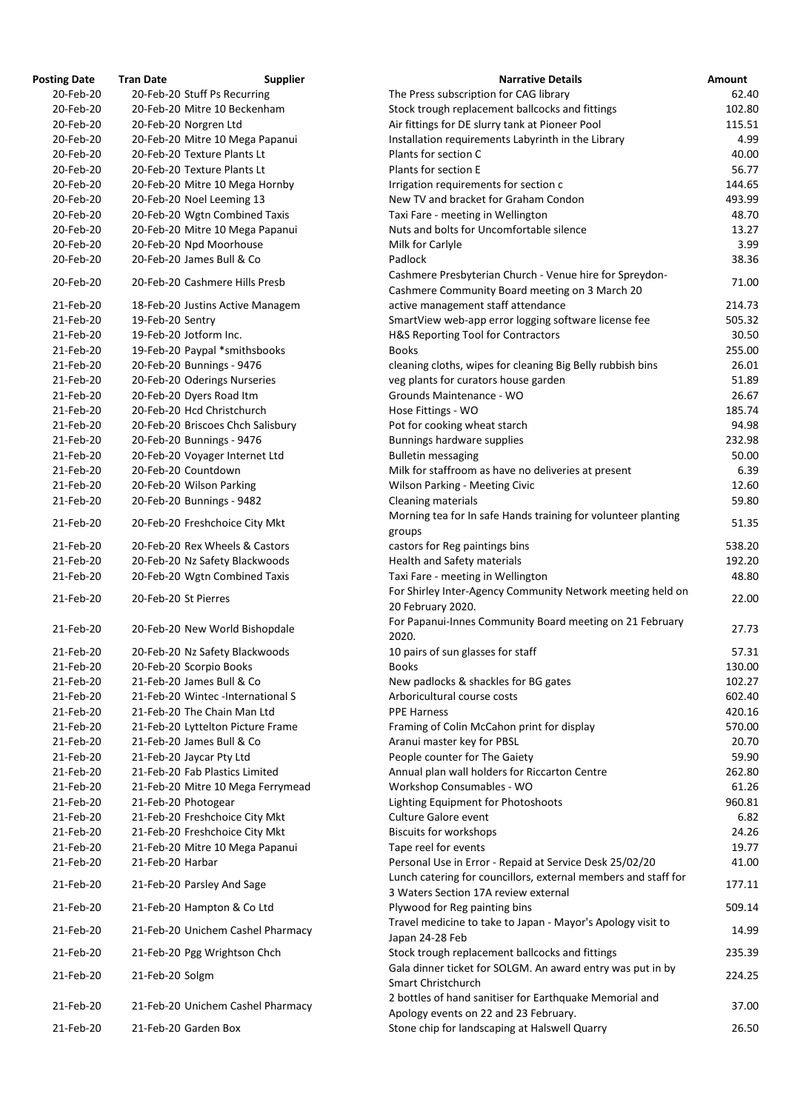| <b>Posting Date</b> | <b>Tran Date</b>                  | <b>Supplier</b> | <b>Narrative Details</b>                                                                                  | <b>Amount</b> |
|---------------------|-----------------------------------|-----------------|-----------------------------------------------------------------------------------------------------------|---------------|
| 20-Feb-20           | 20-Feb-20 Stuff Ps Recurring      |                 | The Press subscription for CAG library                                                                    | 62.40         |
| 20-Feb-20           | 20-Feb-20 Mitre 10 Beckenham      |                 | Stock trough replacement ballcocks and fittings                                                           | 102.80        |
| 20-Feb-20           | 20-Feb-20 Norgren Ltd             |                 | Air fittings for DE slurry tank at Pioneer Pool                                                           | 115.51        |
| 20-Feb-20           | 20-Feb-20 Mitre 10 Mega Papanui   |                 | Installation requirements Labyrinth in the Library                                                        | 4.99          |
| 20-Feb-20           | 20-Feb-20 Texture Plants Lt       |                 | Plants for section C                                                                                      | 40.00         |
| 20-Feb-20           | 20-Feb-20 Texture Plants Lt       |                 | Plants for section E                                                                                      | 56.77         |
| 20-Feb-20           | 20-Feb-20 Mitre 10 Mega Hornby    |                 | Irrigation requirements for section c                                                                     | 144.65        |
| 20-Feb-20           | 20-Feb-20 Noel Leeming 13         |                 | New TV and bracket for Graham Condon                                                                      | 493.99        |
| 20-Feb-20           | 20-Feb-20 Wgtn Combined Taxis     |                 | Taxi Fare - meeting in Wellington                                                                         | 48.70         |
| 20-Feb-20           | 20-Feb-20 Mitre 10 Mega Papanui   |                 | Nuts and bolts for Uncomfortable silence                                                                  | 13.27         |
| 20-Feb-20           | 20-Feb-20 Npd Moorhouse           |                 | Milk for Carlyle                                                                                          | 3.99          |
| 20-Feb-20           | 20-Feb-20 James Bull & Co         |                 | Padlock                                                                                                   | 38.36         |
|                     |                                   |                 |                                                                                                           |               |
| 20-Feb-20           | 20-Feb-20 Cashmere Hills Presb    |                 | Cashmere Presbyterian Church - Venue hire for Spreydon-<br>Cashmere Community Board meeting on 3 March 20 | 71.00         |
| 21-Feb-20           | 18-Feb-20 Justins Active Managem  |                 | active management staff attendance                                                                        | 214.73        |
| 21-Feb-20           | 19-Feb-20 Sentry                  |                 | SmartView web-app error logging software license fee                                                      | 505.32        |
| 21-Feb-20           | 19-Feb-20 Jotform Inc.            |                 | H&S Reporting Tool for Contractors                                                                        | 30.50         |
| 21-Feb-20           | 19-Feb-20 Paypal *smithsbooks     |                 | <b>Books</b>                                                                                              | 255.00        |
| 21-Feb-20           | 20-Feb-20 Bunnings - 9476         |                 | cleaning cloths, wipes for cleaning Big Belly rubbish bins                                                | 26.01         |
| 21-Feb-20           | 20-Feb-20 Oderings Nurseries      |                 | veg plants for curators house garden                                                                      | 51.89         |
| 21-Feb-20           | 20-Feb-20 Dyers Road Itm          |                 | Grounds Maintenance - WO                                                                                  | 26.67         |
| 21-Feb-20           | 20-Feb-20 Hcd Christchurch        |                 |                                                                                                           | 185.74        |
|                     |                                   |                 | Hose Fittings - WO                                                                                        |               |
| 21-Feb-20           | 20-Feb-20 Briscoes Chch Salisbury |                 | Pot for cooking wheat starch                                                                              | 94.98         |
| 21-Feb-20           | 20-Feb-20 Bunnings - 9476         |                 | Bunnings hardware supplies                                                                                | 232.98        |
| 21-Feb-20           | 20-Feb-20 Voyager Internet Ltd    |                 | <b>Bulletin messaging</b>                                                                                 | 50.00         |
| 21-Feb-20           | 20-Feb-20 Countdown               |                 | Milk for staffroom as have no deliveries at present                                                       | 6.39          |
| 21-Feb-20           | 20-Feb-20 Wilson Parking          |                 | <b>Wilson Parking - Meeting Civic</b>                                                                     | 12.60         |
| 21-Feb-20           | 20-Feb-20 Bunnings - 9482         |                 | Cleaning materials                                                                                        | 59.80         |
| 21-Feb-20           | 20-Feb-20 Freshchoice City Mkt    |                 | Morning tea for In safe Hands training for volunteer planting<br>groups                                   | 51.35         |
| 21-Feb-20           | 20-Feb-20 Rex Wheels & Castors    |                 | castors for Reg paintings bins                                                                            | 538.20        |
| 21-Feb-20           | 20-Feb-20 Nz Safety Blackwoods    |                 | Health and Safety materials                                                                               | 192.20        |
|                     |                                   |                 |                                                                                                           |               |
| 21-Feb-20           | 20-Feb-20 Wgtn Combined Taxis     |                 | Taxi Fare - meeting in Wellington                                                                         | 48.80         |
| 21-Feb-20           | 20-Feb-20 St Pierres              |                 | For Shirley Inter-Agency Community Network meeting held on                                                | 22.00         |
|                     |                                   |                 | 20 February 2020.                                                                                         |               |
| 21-Feb-20           | 20-Feb-20 New World Bishopdale    |                 | For Papanui-Innes Community Board meeting on 21 February<br>2020.                                         | 27.73         |
| 21-Feb-20           | 20-Feb-20 Nz Safety Blackwoods    |                 | 10 pairs of sun glasses for staff                                                                         | 57.31         |
| 21-Feb-20           | 20-Feb-20 Scorpio Books           |                 | <b>Books</b>                                                                                              | 130.00        |
| 21-Feb-20           | 21-Feb-20 James Bull & Co         |                 | New padlocks & shackles for BG gates                                                                      | 102.27        |
| 21-Feb-20           | 21-Feb-20 Wintec -International S |                 | Arboricultural course costs                                                                               | 602.40        |
|                     | 21-Feb-20 The Chain Man Ltd       |                 |                                                                                                           |               |
| 21-Feb-20           |                                   |                 | <b>PPE Harness</b>                                                                                        | 420.16        |
| 21-Feb-20           | 21-Feb-20 Lyttelton Picture Frame |                 | Framing of Colin McCahon print for display                                                                | 570.00        |
| 21-Feb-20           | 21-Feb-20 James Bull & Co         |                 | Aranui master key for PBSL                                                                                | 20.70         |
| 21-Feb-20           | 21-Feb-20 Jaycar Pty Ltd          |                 | People counter for The Gaiety                                                                             | 59.90         |
| 21-Feb-20           | 21-Feb-20 Fab Plastics Limited    |                 | Annual plan wall holders for Riccarton Centre                                                             | 262.80        |
| 21-Feb-20           | 21-Feb-20 Mitre 10 Mega Ferrymead |                 | Workshop Consumables - WO                                                                                 | 61.26         |
| 21-Feb-20           | 21-Feb-20 Photogear               |                 | Lighting Equipment for Photoshoots                                                                        | 960.81        |
| 21-Feb-20           | 21-Feb-20 Freshchoice City Mkt    |                 | <b>Culture Galore event</b>                                                                               | 6.82          |
| 21-Feb-20           | 21-Feb-20 Freshchoice City Mkt    |                 | <b>Biscuits for workshops</b>                                                                             | 24.26         |
| 21-Feb-20           | 21-Feb-20 Mitre 10 Mega Papanui   |                 | Tape reel for events                                                                                      | 19.77         |
| 21-Feb-20           | 21-Feb-20 Harbar                  |                 | Personal Use in Error - Repaid at Service Desk 25/02/20                                                   | 41.00         |
|                     |                                   |                 | Lunch catering for councillors, external members and staff for                                            |               |
| 21-Feb-20           | 21-Feb-20 Parsley And Sage        |                 | 3 Waters Section 17A review external                                                                      | 177.11        |
| 21-Feb-20           | 21-Feb-20 Hampton & Co Ltd        |                 | Plywood for Reg painting bins                                                                             | 509.14        |
| 21-Feb-20           | 21-Feb-20 Unichem Cashel Pharmacy |                 | Travel medicine to take to Japan - Mayor's Apology visit to<br>Japan 24-28 Feb                            | 14.99         |
| 21-Feb-20           | 21-Feb-20 Pgg Wrightson Chch      |                 | Stock trough replacement ballcocks and fittings                                                           | 235.39        |
| 21-Feb-20           | 21-Feb-20 Solgm                   |                 | Gala dinner ticket for SOLGM. An award entry was put in by<br><b>Smart Christchurch</b>                   | 224.25        |
| 21-Feb-20           | 21-Feb-20 Unichem Cashel Pharmacy |                 | 2 bottles of hand sanitiser for Earthquake Memorial and<br>Apology events on 22 and 23 February.          | 37.00         |
| 21-Feb-20           | 21-Feb-20 Garden Box              |                 | Stone chip for landscaping at Halswell Quarry                                                             | 26.50         |
|                     |                                   |                 |                                                                                                           |               |

51.35

27.73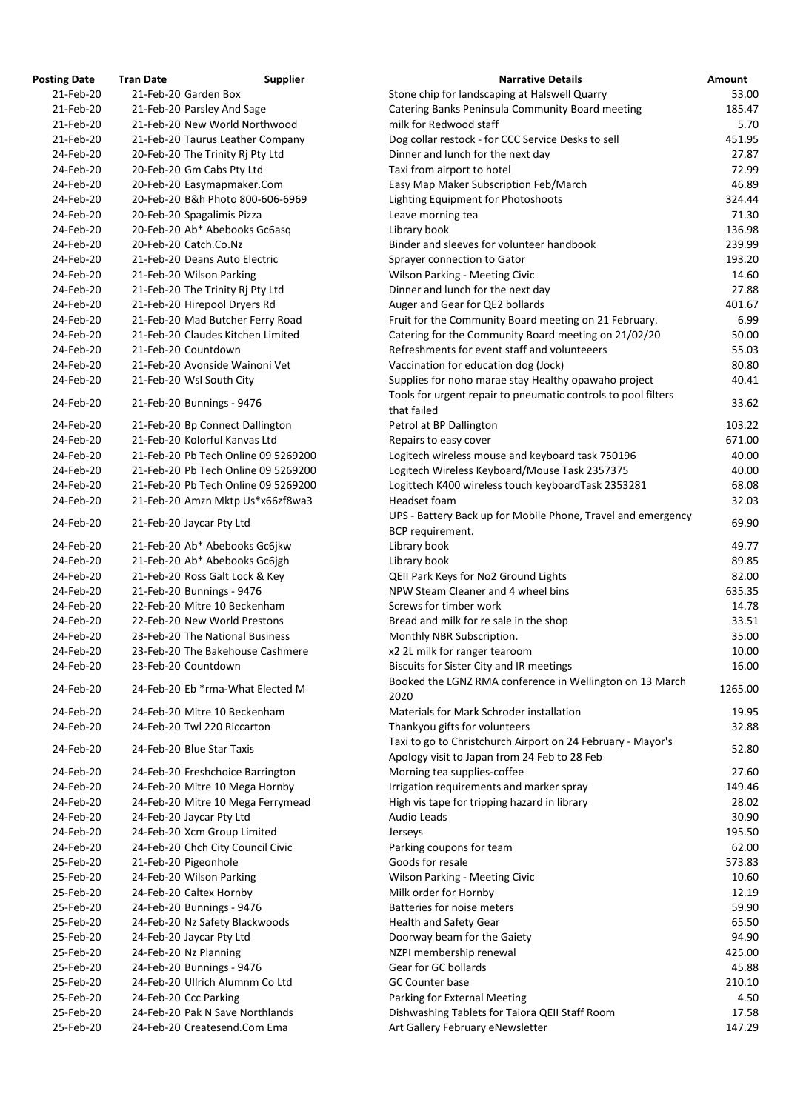| <b>osting Date</b>     | <b>Tran Date</b> | <b>Supplier</b>                                              |
|------------------------|------------------|--------------------------------------------------------------|
| 21-Feb-20              |                  | 21-Feb-20 Garden Box                                         |
| 21-Feb-20              |                  | 21-Feb-20 Parsley And Sage                                   |
| 21-Feb-20              |                  | 21-Feb-20 New World Northwood                                |
| 21-Feb-20              |                  | 21-Feb-20 Taurus Leather Company                             |
| 24-Feb-20              |                  | 20-Feb-20 The Trinity Rj Pty Ltd                             |
| 24-Feb-20              |                  | 20-Feb-20 Gm Cabs Pty Ltd                                    |
| 24-Feb-20              |                  | 20-Feb-20 Easymapmaker.Com                                   |
| 24-Feb-20              |                  | 20-Feb-20 B&h Photo 800-606-6969                             |
| 24-Feb-20              |                  | 20-Feb-20 Spagalimis Pizza                                   |
| 24-Feb-20              |                  | 20-Feb-20 Ab* Abebooks Gc6asq                                |
| 24-Feb-20              |                  | 20-Feb-20 Catch.Co.Nz                                        |
| 24-Feb-20              |                  | 21-Feb-20 Deans Auto Electric                                |
| 24-Feb-20              |                  | 21-Feb-20 Wilson Parking                                     |
| 24-Feb-20              |                  | 21-Feb-20 The Trinity Rj Pty Ltd                             |
| 24-Feb-20              |                  | 21-Feb-20 Hirepool Dryers Rd                                 |
| 24-Feb-20              |                  | 21-Feb-20 Mad Butcher Ferry Road                             |
| 24-Feb-20              |                  | 21-Feb-20 Claudes Kitchen Limited                            |
| 24-Feb-20              |                  | 21-Feb-20 Countdown                                          |
| 24-Feb-20              |                  | 21-Feb-20 Avonside Wainoni Vet                               |
| 24-Feb-20              |                  | 21-Feb-20 Wsl South City                                     |
| 24-Feb-20              |                  | 21-Feb-20 Bunnings - 9476                                    |
| 24-Feb-20              |                  | 21-Feb-20 Bp Connect Dallington                              |
| 24-Feb-20              |                  | 21-Feb-20 Kolorful Kanvas Ltd                                |
| 24-Feb-20              |                  | 21-Feb-20 Pb Tech Online 09 5269200                          |
| 24-Feb-20              |                  | 21-Feb-20 Pb Tech Online 09 5269200                          |
| 24-Feb-20              |                  | 21-Feb-20 Pb Tech Online 09 5269200                          |
| 24-Feb-20              |                  | 21-Feb-20 Amzn Mktp Us*x66zf8wa3                             |
| 24-Feb-20              |                  | 21-Feb-20 Jaycar Pty Ltd                                     |
| 24-Feb-20              |                  | 21-Feb-20 Ab* Abebooks Gc6jkw                                |
| 24-Feb-20              |                  | 21-Feb-20 Ab* Abebooks Gc6jgh                                |
| 24-Feb-20              |                  | 21-Feb-20 Ross Galt Lock & Key                               |
| 24-Feb-20              |                  | 21-Feb-20 Bunnings - 9476                                    |
| 24-Feb-20              |                  | 22-Feb-20 Mitre 10 Beckenham                                 |
| 24-Feb-20              |                  | 22-Feb-20 New World Prestons                                 |
| 24-Feb-20              |                  | 23-Feb-20 The National Business                              |
| 24-Feb-20              |                  | 23-Feb-20 The Bakehouse Cashmere                             |
| 24-Feb-20              |                  | 23-Feb-20 Countdown                                          |
| 24-Feb-20              |                  | 24-Feb-20 Eb *rma-What Elected M                             |
| 24-Feb-20              |                  | 24-Feb-20 Mitre 10 Beckenham                                 |
| 24-Feb-20              |                  | 24-Feb-20 Twl 220 Riccarton                                  |
| 24-Feb-20              |                  | 24-Feb-20 Blue Star Taxis                                    |
| 24-Feb-20              |                  | 24-Feb-20 Freshchoice Barrington                             |
| 24-Feb-20              |                  | 24-Feb-20 Mitre 10 Mega Hornby                               |
| 24-Feb-20              |                  | 24-Feb-20 Mitre 10 Mega Ferrymead                            |
| 24-Feb-20              |                  | 24-Feb-20 Jaycar Pty Ltd                                     |
| 24-Feb-20              |                  | 24-Feb-20 Xcm Group Limited                                  |
| 24-Feb-20              |                  | 24-Feb-20 Chch City Council Civic                            |
| 25-Feb-20              |                  | 21-Feb-20 Pigeonhole                                         |
| 25-Feb-20              |                  | 24-Feb-20 Wilson Parking                                     |
| 25-Feb-20              |                  | 24-Feb-20 Caltex Hornby                                      |
| 25-Feb-20              |                  | 24-Feb-20 Bunnings - 9476                                    |
| 25-Feb-20              |                  | 24-Feb-20 Nz Safety Blackwoods                               |
| 25-Feb-20<br>25-Feb-20 |                  | 24-Feb-20 Jaycar Pty Ltd                                     |
|                        |                  | 24-Feb-20 Nz Planning                                        |
| 25-Feb-20<br>25-Feb-20 |                  | 24-Feb-20 Bunnings - 9476<br>24-Feb-20 Ullrich Alumnm Co Ltd |
| 25-Feb-20              |                  | 24-Feb-20 Ccc Parking                                        |
| 25-Feb-20              |                  | 24-Feb-20 Pak N Save Northlands                              |
| 25-Feb-20              |                  | 24-Feb-20 Createsend.Com Ema                                 |
|                        |                  |                                                              |

| <b>Posting Date</b>    | <b>Tran Date</b> | <b>Supplier</b>                                             | <b>Narrative Details</b>                                                         | <b>Amount</b>  |
|------------------------|------------------|-------------------------------------------------------------|----------------------------------------------------------------------------------|----------------|
| 21-Feb-20              |                  | 21-Feb-20 Garden Box                                        | Stone chip for landscaping at Halswell Quarry                                    | 53.00          |
| 21-Feb-20              |                  | 21-Feb-20 Parsley And Sage                                  | Catering Banks Peninsula Community Board meeting                                 | 185.47         |
| 21-Feb-20              |                  | 21-Feb-20 New World Northwood                               | milk for Redwood staff                                                           | 5.70           |
| 21-Feb-20              |                  | 21-Feb-20 Taurus Leather Company                            | Dog collar restock - for CCC Service Desks to sell                               | 451.95         |
| 24-Feb-20              |                  | 20-Feb-20 The Trinity Rj Pty Ltd                            | Dinner and lunch for the next day                                                | 27.87          |
| 24-Feb-20              |                  | 20-Feb-20 Gm Cabs Pty Ltd                                   | Taxi from airport to hotel                                                       | 72.99          |
| 24-Feb-20              |                  | 20-Feb-20 Easymapmaker.Com                                  | Easy Map Maker Subscription Feb/March                                            | 46.89          |
| 24-Feb-20              |                  | 20-Feb-20 B&h Photo 800-606-6969                            | Lighting Equipment for Photoshoots                                               | 324.44         |
| 24-Feb-20              |                  | 20-Feb-20 Spagalimis Pizza                                  | Leave morning tea                                                                | 71.30          |
| 24-Feb-20              |                  | 20-Feb-20 Ab* Abebooks Gc6asq                               | Library book                                                                     | 136.98         |
| 24-Feb-20              |                  | 20-Feb-20 Catch.Co.Nz                                       | Binder and sleeves for volunteer handbook                                        | 239.99         |
| 24-Feb-20              |                  | 21-Feb-20 Deans Auto Electric                               | Sprayer connection to Gator                                                      | 193.20         |
| 24-Feb-20              |                  | 21-Feb-20 Wilson Parking                                    | <b>Wilson Parking - Meeting Civic</b>                                            | 14.60          |
| 24-Feb-20              |                  | 21-Feb-20 The Trinity Rj Pty Ltd                            | Dinner and lunch for the next day                                                | 27.88          |
| 24-Feb-20              |                  | 21-Feb-20 Hirepool Dryers Rd                                | Auger and Gear for QE2 bollards                                                  | 401.67         |
| 24-Feb-20              |                  | 21-Feb-20 Mad Butcher Ferry Road                            | Fruit for the Community Board meeting on 21 February.                            | 6.99           |
| 24-Feb-20              |                  | 21-Feb-20 Claudes Kitchen Limited                           | Catering for the Community Board meeting on 21/02/20                             | 50.00          |
| 24-Feb-20              |                  | 21-Feb-20 Countdown                                         | Refreshments for event staff and volunteeers                                     | 55.03          |
| 24-Feb-20              |                  | 21-Feb-20 Avonside Wainoni Vet                              | Vaccination for education dog (Jock)                                             | 80.80          |
| 24-Feb-20              |                  | 21-Feb-20 Wsl South City                                    | Supplies for noho marae stay Healthy opawaho project                             | 40.41          |
| 24-Feb-20              |                  |                                                             | Tools for urgent repair to pneumatic controls to pool filters                    | 33.62          |
|                        |                  | 21-Feb-20 Bunnings - 9476                                   | that failed                                                                      |                |
| 24-Feb-20              |                  | 21-Feb-20 Bp Connect Dallington                             | Petrol at BP Dallington                                                          | 103.22         |
| 24-Feb-20              |                  | 21-Feb-20 Kolorful Kanvas Ltd                               | Repairs to easy cover                                                            | 671.00         |
| 24-Feb-20              |                  | 21-Feb-20 Pb Tech Online 09 5269200                         | Logitech wireless mouse and keyboard task 750196                                 | 40.00          |
| 24-Feb-20              |                  | 21-Feb-20 Pb Tech Online 09 5269200                         | Logitech Wireless Keyboard/Mouse Task 2357375                                    | 40.00          |
| 24-Feb-20              |                  | 21-Feb-20 Pb Tech Online 09 5269200                         | Logittech K400 wireless touch keyboardTask 2353281                               | 68.08          |
| 24-Feb-20              |                  | 21-Feb-20 Amzn Mktp Us*x66zf8wa3                            | Headset foam                                                                     | 32.03          |
| 24-Feb-20              |                  | 21-Feb-20 Jaycar Pty Ltd                                    | UPS - Battery Back up for Mobile Phone, Travel and emergency<br>BCP requirement. | 69.90          |
| 24-Feb-20              |                  | 21-Feb-20 Ab* Abebooks Gc6jkw                               | Library book                                                                     | 49.77          |
| 24-Feb-20              |                  | 21-Feb-20 Ab* Abebooks Gc6jgh                               | Library book                                                                     | 89.85          |
| 24-Feb-20              |                  | 21-Feb-20 Ross Galt Lock & Key                              | QEII Park Keys for No2 Ground Lights                                             | 82.00          |
| 24-Feb-20              |                  | 21-Feb-20 Bunnings - 9476                                   | NPW Steam Cleaner and 4 wheel bins                                               | 635.35         |
| 24-Feb-20              |                  | 22-Feb-20 Mitre 10 Beckenham                                | Screws for timber work                                                           | 14.78          |
| 24-Feb-20              |                  | 22-Feb-20 New World Prestons                                | Bread and milk for re sale in the shop                                           | 33.51          |
| 24-Feb-20              |                  | 23-Feb-20 The National Business                             | Monthly NBR Subscription.                                                        | 35.00          |
| 24-Feb-20              |                  | 23-Feb-20 The Bakehouse Cashmere                            | x2 2L milk for ranger tearoom                                                    | 10.00          |
| 24-Feb-20              |                  | 23-Feb-20 Countdown                                         | <b>Biscuits for Sister City and IR meetings</b>                                  | 16.00          |
| 24-Feb-20              |                  | 24-Feb-20 Eb *rma-What Elected M                            | Booked the LGNZ RMA conference in Wellington on 13 March<br>2020                 | 1265.00        |
| 24-Feb-20              |                  | 24-Feb-20 Mitre 10 Beckenham                                | Materials for Mark Schroder installation                                         | 19.95          |
| 24-Feb-20              |                  | 24-Feb-20 Twl 220 Riccarton                                 | Thankyou gifts for volunteers                                                    | 32.88          |
|                        |                  |                                                             | Taxi to go to Christchurch Airport on 24 February - Mayor's                      |                |
| 24-Feb-20              |                  | 24-Feb-20 Blue Star Taxis                                   | Apology visit to Japan from 24 Feb to 28 Feb                                     | 52.80          |
| 24-Feb-20              |                  | 24-Feb-20 Freshchoice Barrington                            | Morning tea supplies-coffee                                                      | 27.60          |
| 24-Feb-20              |                  | 24-Feb-20 Mitre 10 Mega Hornby                              | Irrigation requirements and marker spray                                         | 149.46         |
| 24-Feb-20              |                  | 24-Feb-20 Mitre 10 Mega Ferrymead                           | High vis tape for tripping hazard in library                                     | 28.02          |
| 24-Feb-20              |                  | 24-Feb-20 Jaycar Pty Ltd                                    | <b>Audio Leads</b>                                                               | 30.90          |
| 24-Feb-20              |                  | 24-Feb-20 Xcm Group Limited                                 | Jerseys                                                                          | 195.50         |
| 24-Feb-20              |                  | 24-Feb-20 Chch City Council Civic                           | Parking coupons for team                                                         | 62.00          |
| 25-Feb-20              |                  | 21-Feb-20 Pigeonhole                                        | Goods for resale                                                                 | 573.83         |
| 25-Feb-20              |                  | 24-Feb-20 Wilson Parking                                    | <b>Wilson Parking - Meeting Civic</b>                                            | 10.60          |
| 25-Feb-20<br>25-Feb-20 |                  | 24-Feb-20 Caltex Hornby                                     | Milk order for Hornby<br>Batteries for noise meters                              | 12.19          |
| 25-Feb-20              |                  | 24-Feb-20 Bunnings - 9476<br>24-Feb-20 Nz Safety Blackwoods |                                                                                  | 59.90<br>65.50 |
| 25-Feb-20              |                  |                                                             | Health and Safety Gear                                                           | 94.90          |
| 25-Feb-20              |                  | 24-Feb-20 Jaycar Pty Ltd<br>24-Feb-20 Nz Planning           | Doorway beam for the Gaiety<br>NZPI membership renewal                           | 425.00         |
| 25-Feb-20              |                  | 24-Feb-20 Bunnings - 9476                                   | Gear for GC bollards                                                             | 45.88          |
| 25-Feb-20              |                  | 24-Feb-20 Ullrich Alumnm Co Ltd                             | <b>GC Counter base</b>                                                           | 210.10         |
| 25-Feb-20              |                  | 24-Feb-20 Ccc Parking                                       | Parking for External Meeting                                                     | 4.50           |
| 25-Feb-20              |                  | 24-Feb-20 Pak N Save Northlands                             | Dishwashing Tablets for Taiora QEII Staff Room                                   | 17.58          |
| 25-Feb-20              |                  | 24-Feb-20 Createsend.Com Ema                                | Art Gallery February eNewsletter                                                 | 147.29         |
|                        |                  |                                                             |                                                                                  |                |